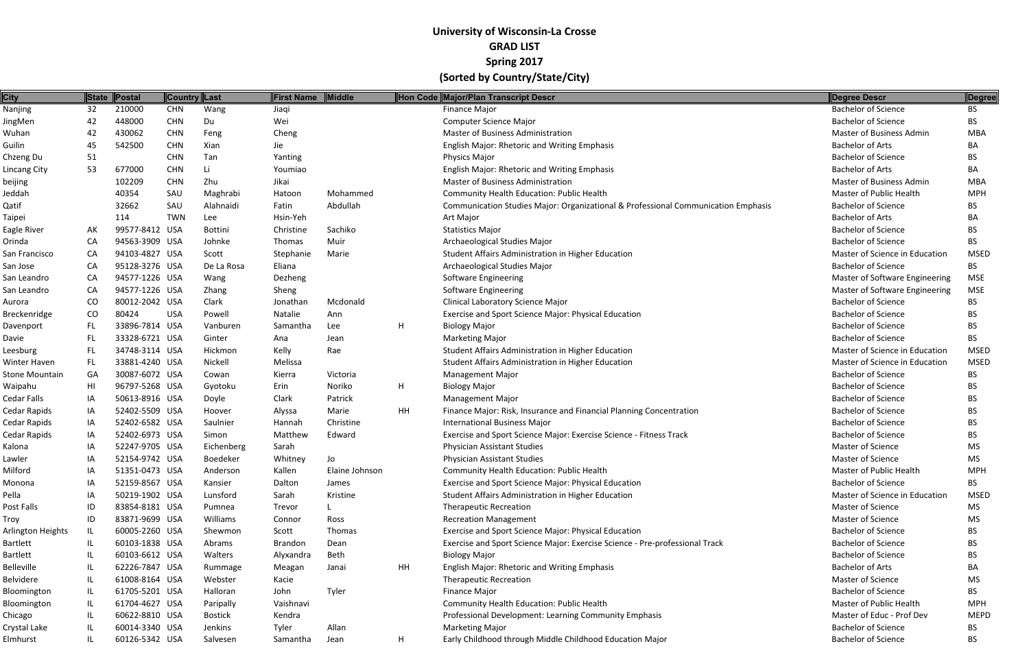| <b>City</b>           | <b>State</b> | Postal                           | Country Last |                 | <b>First Name</b> | Middle         |    | Hon Code Major/Plan Transcript Descr                                              | Degree Descr                                            | Degree                    |
|-----------------------|--------------|----------------------------------|--------------|-----------------|-------------------|----------------|----|-----------------------------------------------------------------------------------|---------------------------------------------------------|---------------------------|
| Nanjing               | 32           | 210000                           | <b>CHN</b>   | Wang            | Jiaqi             |                |    | Finance Major                                                                     | <b>Bachelor of Science</b>                              | <b>BS</b>                 |
| JingMen               | 42           | 448000                           | <b>CHN</b>   | Du              | Wei               |                |    | <b>Computer Science Major</b>                                                     | <b>Bachelor of Science</b>                              | <b>BS</b>                 |
| Wuhan                 | 42           | 430062                           | <b>CHN</b>   | Feng            | Cheng             |                |    | <b>Master of Business Administration</b>                                          | Master of Business Admin                                | <b>MBA</b>                |
| Guilin                | 45           | 542500                           | <b>CHN</b>   | Xian            | Jie               |                |    | <b>English Major: Rhetoric and Writing Emphasis</b>                               | <b>Bachelor of Arts</b>                                 | BA                        |
| Chzeng Du             | 51           |                                  | <b>CHN</b>   | Tan             | Yanting           |                |    | <b>Physics Major</b>                                                              | <b>Bachelor of Science</b>                              | BS.                       |
| Lincang City          | 53           | 677000                           | <b>CHN</b>   | Li              | Youmiao           |                |    | English Major: Rhetoric and Writing Emphasis                                      | <b>Bachelor of Arts</b>                                 | BA                        |
| beijing               |              | 102209                           | <b>CHN</b>   | Zhu             | Jikai             |                |    | <b>Master of Business Administration</b>                                          | Master of Business Admin                                | <b>MBA</b>                |
| Jeddah                |              | 40354                            | SAU          | Maghrabi        | Hatoon            | Mohammed       |    | Community Health Education: Public Health                                         | Master of Public Health                                 | <b>MPH</b>                |
| Qatif                 |              | 32662                            | SAU          | Alahnaidi       | Fatin             | Abdullah       |    | Communication Studies Major: Organizational & Professional Communication Emphasis | <b>Bachelor of Science</b>                              | BS.                       |
| Taipei                |              | 114                              | <b>TWN</b>   | Lee             | Hsin-Yeh          |                |    | Art Major                                                                         | <b>Bachelor of Arts</b>                                 | BA                        |
| Eagle River           | AK           | 99577-8412 USA                   |              | <b>Bottini</b>  | Christine         | Sachiko        |    | <b>Statistics Major</b>                                                           | <b>Bachelor of Science</b>                              | BS.                       |
| Orinda                | CA           | 94563-3909 USA                   |              | Johnke          | Thomas            | Muir           |    | Archaeological Studies Major                                                      | <b>Bachelor of Science</b>                              | BS.                       |
| San Francisco         | CA           | 94103-4827 USA                   |              | Scott           | Stephanie         | Marie          |    | Student Affairs Administration in Higher Education                                | Master of Science in Education                          | <b>MSED</b>               |
| San Jose              | CA           | 95128-3276 USA                   |              | De La Rosa      | Eliana            |                |    | Archaeological Studies Major                                                      | <b>Bachelor of Science</b>                              | BS.                       |
| San Leandro           | CA           | 94577-1226 USA                   |              | Wang            | Dezheng           |                |    | Software Engineering                                                              | Master of Software Engineering                          | <b>MSE</b>                |
| San Leandro           | CA           | 94577-1226 USA                   |              | Zhang           | Sheng             |                |    | <b>Software Engineering</b>                                                       | Master of Software Engineering                          | <b>MSE</b>                |
| Aurora                | CO           | 80012-2042 USA                   |              | Clark           | Jonathan          | Mcdonald       |    | <b>Clinical Laboratory Science Major</b>                                          | <b>Bachelor of Science</b>                              | <b>BS</b>                 |
| Breckenridge          | CO           | 80424                            | <b>USA</b>   | Powell          | Natalie           | Ann            |    | Exercise and Sport Science Major: Physical Education                              | <b>Bachelor of Science</b>                              | BS.                       |
| Davenport             | <b>FL</b>    | 33896-7814 USA                   |              | Vanburen        | Samantha          | Lee            | H  | <b>Biology Major</b>                                                              | <b>Bachelor of Science</b>                              | BS.                       |
| Davie                 | FL           | 33328-6721 USA                   |              | Ginter          | Ana               | Jean           |    | <b>Marketing Major</b>                                                            | <b>Bachelor of Science</b>                              | <b>BS</b>                 |
| Leesburg              | FL           | 34748-3114 USA                   |              | Hickmon         | Kelly             | Rae            |    | Student Affairs Administration in Higher Education                                | Master of Science in Education                          | <b>MSED</b>               |
| Winter Haven          | FL           | 33881-4240 USA                   |              | Nickell         | Melissa           |                |    | Student Affairs Administration in Higher Education                                | Master of Science in Education                          | <b>MSED</b>               |
| <b>Stone Mountain</b> | GA           | 30087-6072 USA                   |              | Cowan           | Kierra            | Victoria       |    | <b>Management Major</b>                                                           | <b>Bachelor of Science</b>                              | BS.                       |
| Waipahu               | HI           | 96797-5268 USA                   |              | Gyotoku         | Erin              | Noriko         | H  | <b>Biology Major</b>                                                              | <b>Bachelor of Science</b>                              | BS.                       |
| Cedar Falls           | IA           | 50613-8916 USA                   |              | Doyle           | Clark             | Patrick        |    | <b>Management Major</b>                                                           | <b>Bachelor of Science</b>                              | <b>BS</b>                 |
| Cedar Rapids          | IA           | 52402-5509 USA                   |              | Hoover          | Alyssa            | Marie          | HH | Finance Major: Risk, Insurance and Financial Planning Concentration               | <b>Bachelor of Science</b>                              | BS.                       |
| Cedar Rapids          | IA           | 52402-6582 USA                   |              | Saulnier        | Hannah            | Christine      |    | <b>International Business Major</b>                                               | <b>Bachelor of Science</b>                              | BS.                       |
| Cedar Rapids          | IA           | 52402-6973 USA                   |              | Simon           | Matthew           | Edward         |    | Exercise and Sport Science Major: Exercise Science - Fitness Track                | <b>Bachelor of Science</b>                              | BS.                       |
| Kalona                | ΙA           | 52247-9705 USA                   |              | Eichenberg      | Sarah             |                |    | Physician Assistant Studies                                                       | <b>Master of Science</b>                                | MS.                       |
| Lawler                | IA           | 52154-9742 USA                   |              | <b>Boedeker</b> | Whitney           | Jo             |    | <b>Physician Assistant Studies</b>                                                | <b>Master of Science</b>                                | MS                        |
| Milford               | ΙA           | 51351-0473 USA                   |              | Anderson        | Kallen            | Elaine Johnson |    | <b>Community Health Education: Public Health</b>                                  | Master of Public Health                                 | <b>MPH</b>                |
| Monona                | IA           | 52159-8567 USA                   |              | Kansier         | Dalton            | James          |    | Exercise and Sport Science Major: Physical Education                              | <b>Bachelor of Science</b>                              | BS.                       |
| Pella                 | ΙA           | 50219-1902 USA                   |              | Lunsford        | Sarah             | Kristine       |    | Student Affairs Administration in Higher Education                                | Master of Science in Education                          | MSED                      |
| Post Falls            | ID           | 83854-8181 USA                   |              | Pumnea          | Trevor            |                |    | <b>Therapeutic Recreation</b>                                                     | Master of Science                                       | MS                        |
| Troy                  | ID           | 83871-9699 USA                   |              | Williams        | Connor            | Ross           |    | <b>Recreation Management</b>                                                      | Master of Science                                       | MS                        |
| Arlington Heights     | IL           | 60005-2260 USA                   |              | Shewmon         | Scott             | Thomas         |    | <b>Exercise and Sport Science Major: Physical Education</b>                       | <b>Bachelor of Science</b>                              | BS.                       |
| Bartlett              | IL           | 60103-1838 USA                   |              | Abrams          | <b>Brandon</b>    | Dean           |    | Exercise and Sport Science Major: Exercise Science - Pre-professional Track       | <b>Bachelor of Science</b>                              | BS.                       |
| Bartlett              | IL           | 60103-6612 USA                   |              | Walters         | Alyxandra         | Beth           |    | <b>Biology Major</b>                                                              | <b>Bachelor of Science</b>                              | BS.                       |
| Belleville            | IL           | 62226-7847 USA                   |              | Rummage         |                   | Janai          | HH | <b>English Major: Rhetoric and Writing Emphasis</b>                               | <b>Bachelor of Arts</b>                                 | ВA                        |
| Belvidere             | IL           | 61008-8164 USA                   |              | Webster         | Meagan<br>Kacie   |                |    | <b>Therapeutic Recreation</b>                                                     | <b>Master of Science</b>                                | MS                        |
|                       |              |                                  |              |                 |                   | Tyler          |    |                                                                                   | <b>Bachelor of Science</b>                              |                           |
| Bloomington           | IL           | 61705-5201 USA<br>61704-4627 USA |              | Halloran        | John<br>Vaishnavi |                |    | Finance Major<br>Community Health Education: Public Health                        | Master of Public Health                                 | BS.                       |
| Bloomington           | IL           |                                  |              | Paripally       |                   |                |    |                                                                                   |                                                         | <b>MPH</b><br><b>MEPD</b> |
| Chicago               | IL           | 60622-8810 USA                   |              | <b>Bostick</b>  | Kendra            |                |    | Professional Development: Learning Community Emphasis                             | Master of Educ - Prof Dev<br><b>Bachelor of Science</b> |                           |
| Crystal Lake          | IL           | 60014-3340 USA                   |              | Jenkins         | Tyler             | Allan          |    | <b>Marketing Major</b>                                                            |                                                         | BS                        |
| Elmhurst              | IL           | 60126-5342 USA                   |              | Salvesen        | Samantha          | Jean           | H  | Early Childhood through Middle Childhood Education Major                          | <b>Bachelor of Science</b>                              | <b>BS</b>                 |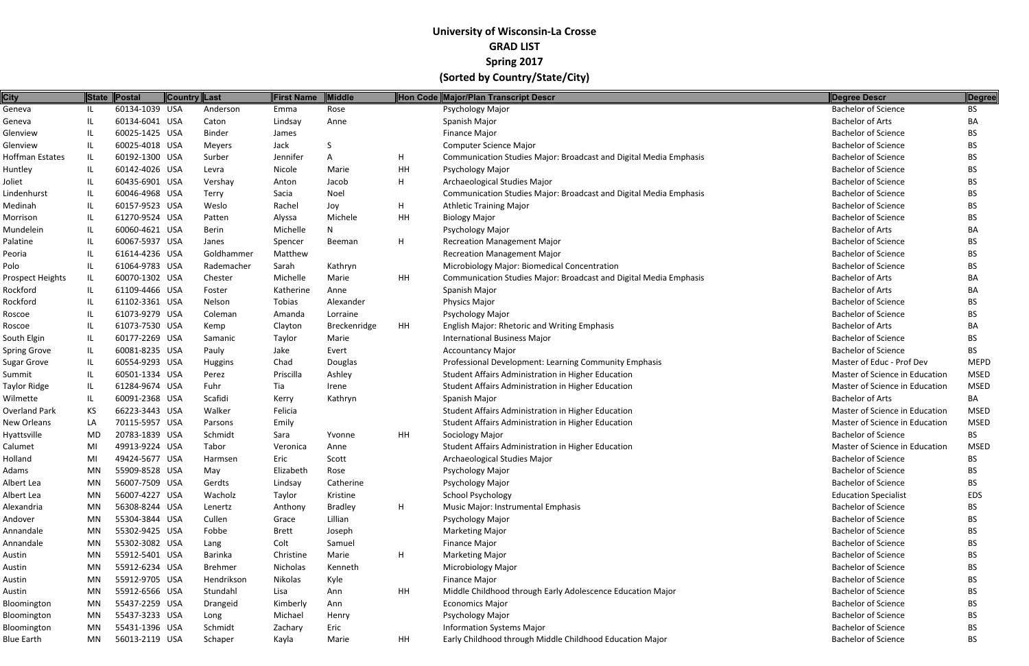| <b>City</b>          |     | State Postal   | <b>Country Last</b> |                | <b>First Name</b> | Middle         |    | Hon Code Major/Plan Transcript Descr                                              | Degree Descr                   | Degree      |
|----------------------|-----|----------------|---------------------|----------------|-------------------|----------------|----|-----------------------------------------------------------------------------------|--------------------------------|-------------|
| Geneva               | JL. | 60134-1039 USA |                     | Anderson       | Emma              | Rose           |    | Psychology Major                                                                  | <b>Bachelor of Science</b>     | BS          |
| Geneva               | IL  | 60134-6041 USA |                     | Caton          | Lindsay           | Anne           |    | Spanish Major                                                                     | <b>Bachelor of Arts</b>        | BA          |
| Glenview             |     | 60025-1425 USA |                     | <b>Binder</b>  | James             |                |    | Finance Major                                                                     | <b>Bachelor of Science</b>     | BS.         |
| Glenview             | IL  | 60025-4018 USA |                     | Meyers         | Jack              | S              |    | <b>Computer Science Major</b>                                                     | <b>Bachelor of Science</b>     | BS.         |
| Hoffman Estates      | IL  | 60192-1300 USA |                     | Surber         | Jennifer          | А              | H  | <b>Communication Studies Major: Broadcast and Digital Media Emphasis</b>          | <b>Bachelor of Science</b>     | BS.         |
| Huntley              | IL  | 60142-4026 USA |                     | Levra          | Nicole            | Marie          | HH | Psychology Major                                                                  | <b>Bachelor of Science</b>     | <b>BS</b>   |
| Joliet               | IL  | 60435-6901 USA |                     | Vershay        | Anton             | Jacob          | H  | Archaeological Studies Major                                                      | <b>Bachelor of Science</b>     | BS          |
| Lindenhurst          | IL. | 60046-4968 USA |                     | Terry          | Sacia             | Noel           |    | Communication Studies Major: Broadcast and Digital Media Emphasis                 | <b>Bachelor of Science</b>     | BS.         |
| Medinah              | IL  | 60157-9523 USA |                     | Weslo          | Rachel            | Joy            | H  | <b>Athletic Training Major</b>                                                    | <b>Bachelor of Science</b>     | BS.         |
| Morrison             | IL. | 61270-9524 USA |                     | Patten         | Alyssa            | Michele        | HH | <b>Biology Major</b>                                                              | <b>Bachelor of Science</b>     | <b>BS</b>   |
| Mundelein            | IL. | 60060-4621 USA |                     | <b>Berin</b>   | Michelle          | N              |    | Psychology Major                                                                  | <b>Bachelor of Arts</b>        | BA          |
| Palatine             | IL  | 60067-5937 USA |                     | Janes          | Spencer           | Beeman         | H  | <b>Recreation Management Major</b>                                                | <b>Bachelor of Science</b>     | BS          |
| Peoria               |     | 61614-4236 USA |                     | Goldhammer     | Matthew           |                |    | <b>Recreation Management Major</b>                                                | <b>Bachelor of Science</b>     | BS.         |
| Polo                 | IL. | 61064-9783 USA |                     | Rademacher     | Sarah             | Kathryn        |    | Microbiology Major: Biomedical Concentration                                      | <b>Bachelor of Science</b>     | BS.         |
| Prospect Heights     | IL  | 60070-1302 USA |                     | Chester        | Michelle          | Marie          | HH | Communication Studies Major: Broadcast and Digital Media Emphasis                 | <b>Bachelor of Arts</b>        | BA          |
| Rockford             | IL. | 61109-4466 USA |                     | Foster         | Katherine         | Anne           |    | Spanish Major                                                                     | <b>Bachelor of Arts</b>        | BA          |
| Rockford             | IL. | 61102-3361 USA |                     | Nelson         | Tobias            | Alexander      |    | Physics Major                                                                     | <b>Bachelor of Science</b>     | BS.         |
| Roscoe               | IL  | 61073-9279 USA |                     | Coleman        | Amanda            | Lorraine       |    | Psychology Major                                                                  | <b>Bachelor of Science</b>     | BS.         |
| Roscoe               | IL. | 61073-7530 USA |                     | Kemp           | Clayton           | Breckenridge   | HH | English Major: Rhetoric and Writing Emphasis                                      | <b>Bachelor of Arts</b>        | BA          |
| South Elgin          | IL  | 60177-2269 USA |                     | Samanic        | Taylor            | Marie          |    | <b>International Business Major</b>                                               | <b>Bachelor of Science</b>     | <b>BS</b>   |
|                      |     | 60081-8235 USA |                     | Pauly          | Jake              | Evert          |    |                                                                                   | <b>Bachelor of Science</b>     | BS.         |
| <b>Spring Grove</b>  | IL  | 60554-9293 USA |                     |                |                   |                |    | <b>Accountancy Major</b><br>Professional Development: Learning Community Emphasis | Master of Educ - Prof Dev      | <b>MEPD</b> |
| <b>Sugar Grove</b>   | IL  |                |                     | <b>Huggins</b> | Chad              | Douglas        |    |                                                                                   |                                |             |
| Summit               | IL  | 60501-1334 USA |                     | Perez          | Priscilla         | Ashley         |    | Student Affairs Administration in Higher Education                                | Master of Science in Education | <b>MSED</b> |
| <b>Taylor Ridge</b>  | IL  | 61284-9674 USA |                     | Fuhr           | Tia               | Irene          |    | Student Affairs Administration in Higher Education                                | Master of Science in Education | <b>MSED</b> |
| Wilmette             | IL  | 60091-2368 USA |                     | Scafidi        | Kerry             | Kathryn        |    | Spanish Major                                                                     | <b>Bachelor of Arts</b>        | BA          |
| <b>Overland Park</b> | KS  | 66223-3443 USA |                     | Walker         | Felicia           |                |    | Student Affairs Administration in Higher Education                                | Master of Science in Education | <b>MSED</b> |
| New Orleans          | LA  | 70115-5957 USA |                     | Parsons        | Emily             |                |    | Student Affairs Administration in Higher Education                                | Master of Science in Education | <b>MSED</b> |
| Hyattsville          | MD  | 20783-1839 USA |                     | Schmidt        | Sara              | Yvonne         | HH | Sociology Major                                                                   | <b>Bachelor of Science</b>     | BS.         |
| Calumet              | MI  | 49913-9224 USA |                     | Tabor          | Veronica          | Anne           |    | Student Affairs Administration in Higher Education                                | Master of Science in Education | <b>MSED</b> |
| Holland              | MI  | 49424-5677 USA |                     | Harmsen        | Eric              | Scott          |    | Archaeological Studies Major                                                      | <b>Bachelor of Science</b>     | <b>BS</b>   |
| Adams                | MN  | 55909-8528 USA |                     | May            | Elizabeth         | Rose           |    | Psychology Major                                                                  | <b>Bachelor of Science</b>     | <b>BS</b>   |
| Albert Lea           | MN  | 56007-7509 USA |                     | Gerdts         | Lindsay           | Catherine      |    | Psychology Major                                                                  | <b>Bachelor of Science</b>     | BS.         |
| Albert Lea           | MN  | 56007-4227 USA |                     | Wacholz        | Taylor            | Kristine       |    | School Psychology                                                                 | <b>Education Specialist</b>    | EDS         |
| Alexandria           | MN  | 56308-8244 USA |                     | Lenertz        | Anthony           | <b>Bradley</b> | H  | Music Major: Instrumental Emphasis                                                | <b>Bachelor of Science</b>     | <b>BS</b>   |
| Andover              | MN  | 55304-3844 USA |                     | Cullen         | Grace             | Lillian        |    | Psychology Major                                                                  | <b>Bachelor of Science</b>     | BS.         |
| Annandale            | MN  | 55302-9425 USA |                     | Fobbe          | <b>Brett</b>      | Joseph         |    | <b>Marketing Major</b>                                                            | <b>Bachelor of Science</b>     | BS.         |
| Annandale            | MN  | 55302-3082 USA |                     | Lang           | Colt              | Samuel         |    | Finance Major                                                                     | <b>Bachelor of Science</b>     | BS.         |
| Austin               | MN  | 55912-5401 USA |                     | Barinka        | Christine         | Marie          | H  | <b>Marketing Major</b>                                                            | <b>Bachelor of Science</b>     | BS.         |
| Austin               | MN  | 55912-6234 USA |                     | <b>Brehmer</b> | Nicholas          | Kenneth        |    | Microbiology Major                                                                | <b>Bachelor of Science</b>     | BS.         |
| Austin               | MN  | 55912-9705 USA |                     | Hendrikson     | Nikolas           | Kyle           |    | <b>Finance Major</b>                                                              | <b>Bachelor of Science</b>     | BS.         |
| Austin               | MN  | 55912-6566 USA |                     | Stundahl       | Lisa              | Ann            | HH | Middle Childhood through Early Adolescence Education Major                        | <b>Bachelor of Science</b>     | BS.         |
| Bloomington          | MN  | 55437-2259 USA |                     | Drangeid       | Kimberly          | Ann            |    | <b>Economics Major</b>                                                            | <b>Bachelor of Science</b>     | BS.         |
| Bloomington          | MN  | 55437-3233 USA |                     | Long           | Michael           | Henry          |    | Psychology Major                                                                  | <b>Bachelor of Science</b>     | BS          |
| Bloomington          | MN  | 55431-1396 USA |                     | Schmidt        | Zachary           | Eric           |    | <b>Information Systems Major</b>                                                  | <b>Bachelor of Science</b>     | BS.         |
| <b>Blue Earth</b>    | MN  | 56013-2119 USA |                     | Schaper        | Kayla             | Marie          | HH | Early Childhood through Middle Childhood Education Major                          | <b>Bachelor of Science</b>     | BS.         |
|                      |     |                |                     |                |                   |                |    |                                                                                   |                                |             |

| <b>Degree Descr</b>            | <b>Degree</b> |
|--------------------------------|---------------|
| <b>Bachelor of Science</b>     | BS            |
| <b>Bachelor of Arts</b>        | BА            |
| <b>Bachelor of Science</b>     | <b>BS</b>     |
| <b>Bachelor of Science</b>     | <b>BS</b>     |
| <b>Bachelor of Science</b>     | <b>BS</b>     |
| <b>Bachelor of Science</b>     | <b>BS</b>     |
| <b>Bachelor of Science</b>     | <b>BS</b>     |
| <b>Bachelor of Science</b>     | <b>BS</b>     |
| <b>Bachelor of Science</b>     | <b>BS</b>     |
| <b>Bachelor of Science</b>     | <b>BS</b>     |
| <b>Bachelor of Arts</b>        | BА            |
| <b>Bachelor of Science</b>     | <b>BS</b>     |
| <b>Bachelor of Science</b>     | <b>BS</b>     |
| <b>Bachelor of Science</b>     | <b>BS</b>     |
| <b>Bachelor of Arts</b>        | BА            |
| <b>Bachelor of Arts</b>        | BА            |
| <b>Bachelor of Science</b>     | <b>BS</b>     |
| <b>Bachelor of Science</b>     | <b>BS</b>     |
| <b>Bachelor of Arts</b>        | BА            |
| <b>Bachelor of Science</b>     | <b>BS</b>     |
| <b>Bachelor of Science</b>     | <b>BS</b>     |
| Master of Educ - Prof Dev      | MEPD          |
| Master of Science in Education | MSED          |
| Master of Science in Education | MSED          |
| <b>Bachelor of Arts</b>        | BA            |
| Master of Science in Education | MSED          |
| Master of Science in Education | MSED          |
| <b>Bachelor of Science</b>     | BS            |
| Master of Science in Education | MSED          |
| <b>Bachelor of Science</b>     | BS            |
| <b>Bachelor of Science</b>     | ВS            |
| <b>Bachelor of Science</b>     | <b>BS</b>     |
| <b>Education Specialist</b>    | <b>EDS</b>    |
| <b>Bachelor of Science</b>     | <b>BS</b>     |
| <b>Bachelor of Science</b>     | ВS            |
| <b>Bachelor of Science</b>     | <b>BS</b>     |
| <b>Bachelor of Science</b>     | <b>BS</b>     |
| <b>Bachelor of Science</b>     | <b>BS</b>     |
| <b>Bachelor of Science</b>     | <b>BS</b>     |
| <b>Bachelor of Science</b>     | <b>BS</b>     |
| <b>Bachelor of Science</b>     | BS            |
| <b>Bachelor of Science</b>     | <b>BS</b>     |
| <b>Bachelor of Science</b>     | <b>BS</b>     |
| <b>Bachelor of Science</b>     | BS            |
| Bachelor of Science            | <b>RS</b>     |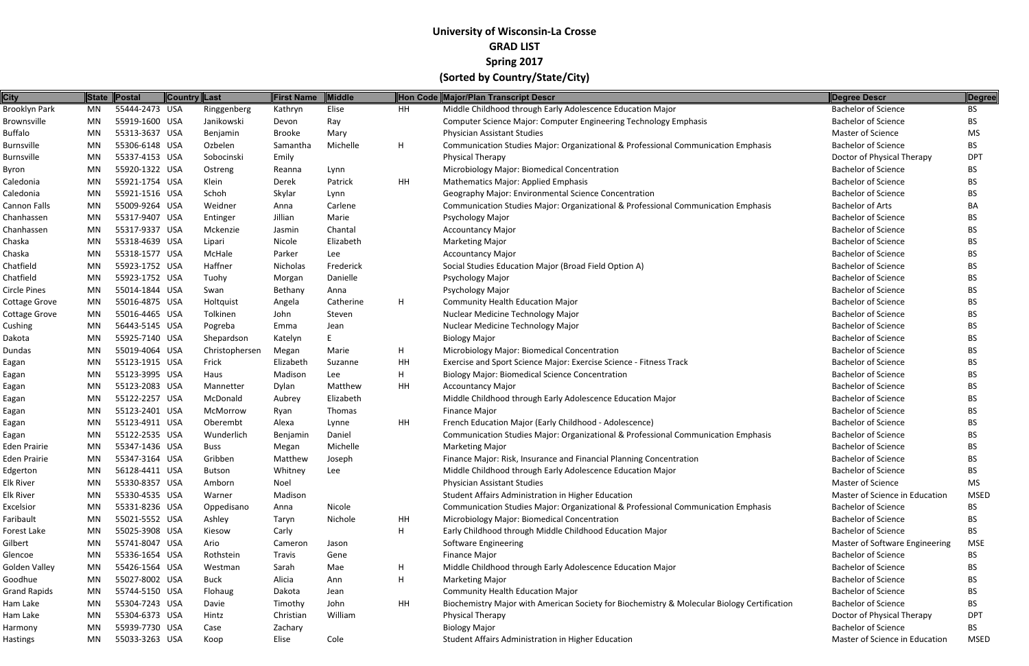| <b>City</b>          |    | State Postal   | <b>Country Last</b> |                | <b>First Name</b> | Middle    |    | Hon Code Major/Plan Transcript Descr                                                        | Degree Descr                   | <b>Degree</b> |
|----------------------|----|----------------|---------------------|----------------|-------------------|-----------|----|---------------------------------------------------------------------------------------------|--------------------------------|---------------|
| Brooklyn Park        | MN | 55444-2473 USA |                     | Ringgenberg    | Kathryn           | Elise     | HH | Middle Childhood through Early Adolescence Education Major                                  | <b>Bachelor of Science</b>     | <b>BS</b>     |
| Brownsville          | MN | 55919-1600 USA |                     | Janikowski     | Devon             | Ray       |    | Computer Science Major: Computer Engineering Technology Emphasis                            | <b>Bachelor of Science</b>     | <b>BS</b>     |
| <b>Buffalo</b>       | MN | 55313-3637 USA |                     | Benjamin       | <b>Brooke</b>     | Mary      |    | <b>Physician Assistant Studies</b>                                                          | <b>Master of Science</b>       | <b>MS</b>     |
| <b>Burnsville</b>    | MN | 55306-6148 USA |                     | Ozbelen        | Samantha          | Michelle  | H  | Communication Studies Major: Organizational & Professional Communication Emphasis           | <b>Bachelor of Science</b>     | <b>BS</b>     |
| <b>Burnsville</b>    | MN | 55337-4153 USA |                     | Sobocinski     | Emily             |           |    | <b>Physical Therapy</b>                                                                     | Doctor of Physical Therapy     | <b>DPT</b>    |
| Byron                | MN | 55920-1322 USA |                     | Ostreng        | Reanna            | Lynn      |    | Microbiology Major: Biomedical Concentration                                                | <b>Bachelor of Science</b>     | <b>BS</b>     |
| Caledonia            | MN | 55921-1754 USA |                     | Klein          | Derek             | Patrick   | HH | <b>Mathematics Major: Applied Emphasis</b>                                                  | <b>Bachelor of Science</b>     | BS.           |
| Caledonia            | MN | 55921-1516 USA |                     | Schoh          | Skylar            | Lynn      |    | Geography Major: Environmental Science Concentration                                        | <b>Bachelor of Science</b>     | BS.           |
| Cannon Falls         | MN | 55009-9264 USA |                     | Weidner        | Anna              | Carlene   |    | Communication Studies Major: Organizational & Professional Communication Emphasis           | <b>Bachelor of Arts</b>        | BA            |
| Chanhassen           | MN | 55317-9407 USA |                     | Entinger       | Jillian           | Marie     |    | <b>Psychology Major</b>                                                                     | <b>Bachelor of Science</b>     | <b>BS</b>     |
| Chanhassen           | MN | 55317-9337 USA |                     | Mckenzie       | Jasmin            | Chantal   |    | <b>Accountancy Major</b>                                                                    | <b>Bachelor of Science</b>     | BS.           |
| Chaska               | MN | 55318-4639 USA |                     | Lipari         | Nicole            | Elizabeth |    | <b>Marketing Major</b>                                                                      | <b>Bachelor of Science</b>     | <b>BS</b>     |
| Chaska               | MN | 55318-1577 USA |                     | McHale         | Parker            | Lee       |    | <b>Accountancy Major</b>                                                                    | <b>Bachelor of Science</b>     | BS.           |
| Chatfield            | MN | 55923-1752 USA |                     | Haffner        | Nicholas          | Frederick |    | Social Studies Education Major (Broad Field Option A)                                       | <b>Bachelor of Science</b>     | <b>BS</b>     |
| Chatfield            | MN | 55923-1752 USA |                     | Tuohy          | Morgan            | Danielle  |    | <b>Psychology Major</b>                                                                     | <b>Bachelor of Science</b>     | <b>BS</b>     |
| <b>Circle Pines</b>  | MN | 55014-1844 USA |                     | Swan           | Bethany           | Anna      |    | Psychology Major                                                                            | <b>Bachelor of Science</b>     | <b>BS</b>     |
| <b>Cottage Grove</b> | MN | 55016-4875 USA |                     | Holtquist      | Angela            | Catherine | H  | <b>Community Health Education Major</b>                                                     | <b>Bachelor of Science</b>     | BS.           |
| <b>Cottage Grove</b> | MN | 55016-4465 USA |                     | Tolkinen       | John              | Steven    |    | Nuclear Medicine Technology Major                                                           | <b>Bachelor of Science</b>     | <b>BS</b>     |
| Cushing              | MN | 56443-5145 USA |                     | Pogreba        | Emma              | Jean      |    | Nuclear Medicine Technology Major                                                           | <b>Bachelor of Science</b>     | <b>BS</b>     |
| Dakota               | MN | 55925-7140 USA |                     | Shepardson     | Katelyn           | E         |    | <b>Biology Major</b>                                                                        | <b>Bachelor of Science</b>     | <b>BS</b>     |
| Dundas               | MN | 55019-4064 USA |                     | Christophersen | Megan             | Marie     | H  | Microbiology Major: Biomedical Concentration                                                | <b>Bachelor of Science</b>     | BS            |
| Eagan                | MN | 55123-1915 USA |                     | Frick          | Elizabeth         | Suzanne   | HH | Exercise and Sport Science Major: Exercise Science - Fitness Track                          | <b>Bachelor of Science</b>     | <b>BS</b>     |
| Eagan                | MN | 55123-3995 USA |                     | Haus           | Madison           | Lee       | H  | <b>Biology Major: Biomedical Science Concentration</b>                                      | <b>Bachelor of Science</b>     | BS.           |
| Eagan                | MN | 55123-2083 USA |                     | Mannetter      | Dylan             | Matthew   | HH | <b>Accountancy Major</b>                                                                    | <b>Bachelor of Science</b>     | <b>BS</b>     |
| Eagan                | MN | 55122-2257 USA |                     | McDonald       | Aubrey            | Elizabeth |    | Middle Childhood through Early Adolescence Education Major                                  | <b>Bachelor of Science</b>     | <b>BS</b>     |
| Eagan                | MN | 55123-2401 USA |                     | McMorrow       | Ryan              | Thomas    |    | Finance Major                                                                               | <b>Bachelor of Science</b>     | <b>BS</b>     |
| Eagan                | MN | 55123-4911 USA |                     | Oberembt       | Alexa             | Lynne     | HH | French Education Major (Early Childhood - Adolescence)                                      | <b>Bachelor of Science</b>     | BS.           |
| Eagan                | MN | 55122-2535 USA |                     | Wunderlich     | Benjamin          | Daniel    |    | Communication Studies Major: Organizational & Professional Communication Emphasis           | <b>Bachelor of Science</b>     | BS.           |
| Eden Prairie         | MN | 55347-1436 USA |                     | <b>Buss</b>    | Megan             | Michelle  |    | <b>Marketing Major</b>                                                                      | <b>Bachelor of Science</b>     | BS.           |
| Eden Prairie         | MN | 55347-3164 USA |                     | Gribben        | Matthew           | Joseph    |    | Finance Major: Risk, Insurance and Financial Planning Concentration                         | <b>Bachelor of Science</b>     | <b>BS</b>     |
| Edgerton             | MN | 56128-4411 USA |                     | <b>Butson</b>  | Whitney           | Lee       |    | Middle Childhood through Early Adolescence Education Major                                  | <b>Bachelor of Science</b>     | BS            |
| Elk River            | MN | 55330-8357 USA |                     | Amborn         | Noel              |           |    | <b>Physician Assistant Studies</b>                                                          | <b>Master of Science</b>       | <b>MS</b>     |
| Elk River            | MN | 55330-4535 USA |                     | Warner         | Madison           |           |    | Student Affairs Administration in Higher Education                                          | Master of Science in Education | <b>MSED</b>   |
| Excelsior            | MN | 55331-8236 USA |                     | Oppedisano     | Anna              | Nicole    |    | Communication Studies Major: Organizational & Professional Communication Emphasis           | <b>Bachelor of Science</b>     | BS            |
| Faribault            | MN | 55021-5552 USA |                     | Ashley         | Taryn             | Nichole   | HH | Microbiology Major: Biomedical Concentration                                                | <b>Bachelor of Science</b>     | BS.           |
| Forest Lake          | MN | 55025-3908 USA |                     | Kiesow         | Carly             |           | H  | Early Childhood through Middle Childhood Education Major                                    | <b>Bachelor of Science</b>     | BS            |
| Gilbert              | MN | 55741-8047 USA |                     | Ario           | Cameron           | Jason     |    | Software Engineering                                                                        | Master of Software Engineering | <b>MSE</b>    |
| Glencoe              | MN | 55336-1654 USA |                     | Rothstein      | <b>Travis</b>     | Gene      |    | Finance Major                                                                               | <b>Bachelor of Science</b>     | BS.           |
| Golden Valley        | MN | 55426-1564 USA |                     | Westman        | Sarah             | Mae       | H  | Middle Childhood through Early Adolescence Education Major                                  | <b>Bachelor of Science</b>     | BS.           |
| Goodhue              | MN | 55027-8002 USA |                     | <b>Buck</b>    | Alicia            | Ann       | H  | <b>Marketing Major</b>                                                                      | <b>Bachelor of Science</b>     | BS.           |
| <b>Grand Rapids</b>  | MN | 55744-5150 USA |                     | Flohaug        | Dakota            | Jean      |    | <b>Community Health Education Major</b>                                                     | <b>Bachelor of Science</b>     | BS.           |
| Ham Lake             | MN | 55304-7243 USA |                     | Davie          | Timothy           | John      | HH | Biochemistry Major with American Society for Biochemistry & Molecular Biology Certification | <b>Bachelor of Science</b>     | BS            |
| Ham Lake             | MN | 55304-6373 USA |                     | Hintz          | Christian         | William   |    | <b>Physical Therapy</b>                                                                     | Doctor of Physical Therapy     | <b>DPT</b>    |
| Harmony              | MN | 55939-7730 USA |                     | Case           | Zachary           |           |    | <b>Biology Major</b>                                                                        | <b>Bachelor of Science</b>     | BS            |
| <b>Hastings</b>      | MN | 55033-3263 USA |                     | Koop           | Elise             | Cole      |    | Student Affairs Administration in Higher Education                                          | Master of Science in Education | <b>MSED</b>   |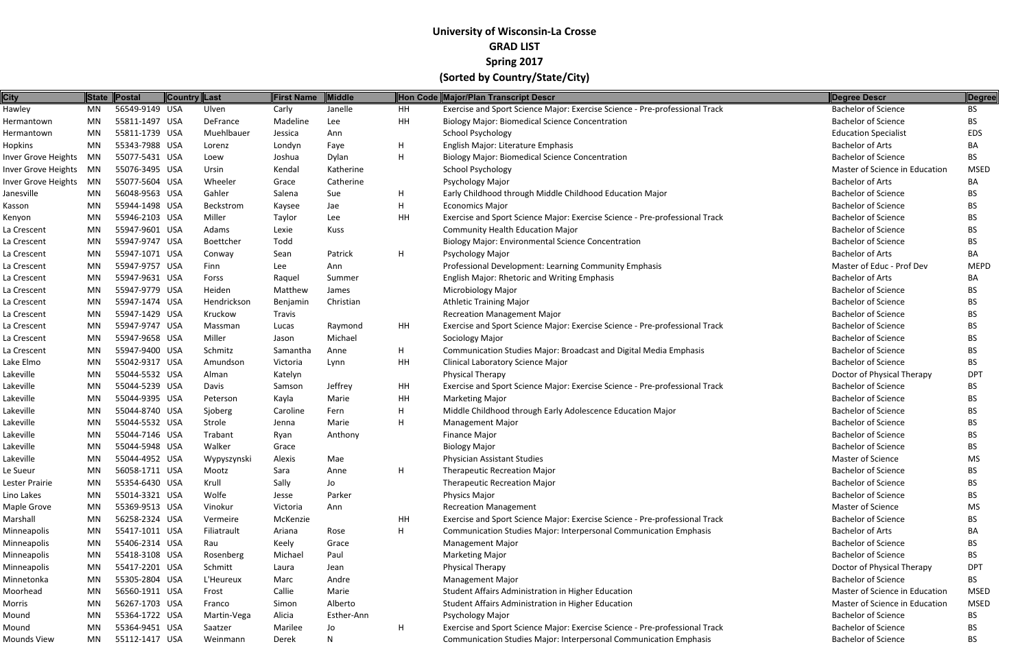| <b>City</b>         |           | State Postal   | <b>Country Last</b> |             | <b>First Name</b> | <b>Middle</b> |    | Hon Code Major/Plan Transcript Descr                                        | Degree Descr                   | Degree      |
|---------------------|-----------|----------------|---------------------|-------------|-------------------|---------------|----|-----------------------------------------------------------------------------|--------------------------------|-------------|
| Hawley              | MN        | 56549-9149 USA |                     | Ulven       | Carly             | Janelle       | HH | Exercise and Sport Science Major: Exercise Science - Pre-professional Track | <b>Bachelor of Science</b>     | <b>BS</b>   |
| Hermantown          | MN        | 55811-1497 USA |                     | DeFrance    | Madeline          | Lee           | HH | <b>Biology Major: Biomedical Science Concentration</b>                      | <b>Bachelor of Science</b>     | <b>BS</b>   |
| Hermantown          | MN        | 55811-1739 USA |                     | Muehlbauer  | Jessica           | Ann           |    | <b>School Psychology</b>                                                    | <b>Education Specialist</b>    | <b>EDS</b>  |
| <b>Hopkins</b>      | MN        | 55343-7988 USA |                     | Lorenz      | Londyn            | Faye          | н  | English Major: Literature Emphasis                                          | <b>Bachelor of Arts</b>        | BA          |
| Inver Grove Heights | MN        | 55077-5431 USA |                     | Loew        | Joshua            | Dylan         | н  | <b>Biology Major: Biomedical Science Concentration</b>                      | <b>Bachelor of Science</b>     | <b>BS</b>   |
| Inver Grove Heights | MN        | 55076-3495 USA |                     | Ursin       | Kendal            | Katherine     |    | <b>School Psychology</b>                                                    | Master of Science in Education | <b>MSED</b> |
| Inver Grove Heights | MN        | 55077-5604 USA |                     | Wheeler     | Grace             | Catherine     |    | Psychology Major                                                            | <b>Bachelor of Arts</b>        | BA          |
| Janesville          | MN        | 56048-9563 USA |                     | Gahler      | Salena            | Sue           | H. | Early Childhood through Middle Childhood Education Major                    | <b>Bachelor of Science</b>     | <b>BS</b>   |
| Kasson              | MN        | 55944-1498 USA |                     | Beckstrom   | Kaysee            | Jae           | Н  | <b>Economics Major</b>                                                      | <b>Bachelor of Science</b>     | <b>BS</b>   |
| Kenyon              | MN        | 55946-2103 USA |                     | Miller      | Taylor            | Lee           | HH | Exercise and Sport Science Major: Exercise Science - Pre-professional Track | <b>Bachelor of Science</b>     | <b>BS</b>   |
| La Crescent         | MN        | 55947-9601 USA |                     | Adams       | Lexie             | Kuss          |    | <b>Community Health Education Major</b>                                     | <b>Bachelor of Science</b>     | <b>BS</b>   |
| La Crescent         | MN        | 55947-9747 USA |                     | Boettcher   | Todd              |               |    | <b>Biology Major: Environmental Science Concentration</b>                   | <b>Bachelor of Science</b>     | <b>BS</b>   |
| La Crescent         | MN        | 55947-1071 USA |                     | Conway      | Sean              | Patrick       | H. | Psychology Major                                                            | <b>Bachelor of Arts</b>        | BA          |
| La Crescent         | <b>MN</b> | 55947-9757 USA |                     | Finn        | Lee               | Ann           |    | Professional Development: Learning Community Emphasis                       | Master of Educ - Prof Dev      | <b>MEPD</b> |
| La Crescent         | MN        | 55947-9631 USA |                     | Forss       | Raquel            | Summer        |    | <b>English Major: Rhetoric and Writing Emphasis</b>                         | <b>Bachelor of Arts</b>        | BA          |
| La Crescent         | MN        | 55947-9779 USA |                     | Heiden      | Matthew           | James         |    | <b>Microbiology Major</b>                                                   | <b>Bachelor of Science</b>     | <b>BS</b>   |
| La Crescent         | MN        | 55947-1474 USA |                     | Hendrickson | Benjamin          | Christian     |    | <b>Athletic Training Major</b>                                              | <b>Bachelor of Science</b>     | <b>BS</b>   |
| La Crescent         | MN        | 55947-1429 USA |                     | Kruckow     | Travis            |               |    | <b>Recreation Management Major</b>                                          | <b>Bachelor of Science</b>     | <b>BS</b>   |
| La Crescent         | <b>MN</b> | 55947-9747 USA |                     | Massman     | Lucas             | Raymond       | HH | Exercise and Sport Science Major: Exercise Science - Pre-professional Track | <b>Bachelor of Science</b>     | <b>BS</b>   |
| La Crescent         | MN        | 55947-9658 USA |                     | Miller      | Jason             | Michael       |    | Sociology Major                                                             | <b>Bachelor of Science</b>     | <b>BS</b>   |
| La Crescent         | <b>MN</b> | 55947-9400 USA |                     | Schmitz     | Samantha          | Anne          | H. | Communication Studies Major: Broadcast and Digital Media Emphasis           | <b>Bachelor of Science</b>     | <b>BS</b>   |
| Lake Elmo           | <b>MN</b> | 55042-9317 USA |                     | Amundson    | Victoria          | Lynn          | HH | Clinical Laboratory Science Major                                           | <b>Bachelor of Science</b>     | <b>BS</b>   |
| Lakeville           | MN        | 55044-5532 USA |                     | Alman       | Katelyn           |               |    | <b>Physical Therapy</b>                                                     | Doctor of Physical Therapy     | <b>DPT</b>  |
| Lakeville           | <b>MN</b> | 55044-5239 USA |                     | Davis       | Samson            | Jeffrey       | HH | Exercise and Sport Science Major: Exercise Science - Pre-professional Track | <b>Bachelor of Science</b>     | BS.         |
| Lakeville           | MN        | 55044-9395 USA |                     | Peterson    | Kayla             | Marie         | HH | <b>Marketing Major</b>                                                      | <b>Bachelor of Science</b>     | <b>BS</b>   |
| Lakeville           | <b>MN</b> | 55044-8740 USA |                     | Sjoberg     | Caroline          | Fern          | H. | Middle Childhood through Early Adolescence Education Major                  | <b>Bachelor of Science</b>     | <b>BS</b>   |
| Lakeville           | <b>MN</b> | 55044-5532 USA |                     | Strole      | Jenna             | Marie         | H  | <b>Management Major</b>                                                     | <b>Bachelor of Science</b>     | <b>BS</b>   |
| Lakeville           | MN        | 55044-7146 USA |                     | Trabant     | Ryan              | Anthony       |    | Finance Major                                                               | <b>Bachelor of Science</b>     | BS.         |
| Lakeville           | MN        | 55044-5948 USA |                     | Walker      | Grace             |               |    | <b>Biology Major</b>                                                        | <b>Bachelor of Science</b>     | <b>BS</b>   |
| Lakeville           | MN        | 55044-4952 USA |                     | Wypyszynski | Alexis            | Mae           |    | <b>Physician Assistant Studies</b>                                          | <b>Master of Science</b>       | MS          |
| Le Sueur            | MN        | 56058-1711 USA |                     | Mootz       | Sara              | Anne          | н  | <b>Therapeutic Recreation Major</b>                                         | <b>Bachelor of Science</b>     | <b>BS</b>   |
| Lester Prairie      | MN        | 55354-6430 USA |                     | Krull       | Sally             | Jo            |    | <b>Therapeutic Recreation Major</b>                                         | <b>Bachelor of Science</b>     | BS.         |
| Lino Lakes          | MN        | 55014-3321 USA |                     | Wolfe       | Jesse             | Parker        |    | <b>Physics Major</b>                                                        | <b>Bachelor of Science</b>     | BS.         |
| Maple Grove         | MN        | 55369-9513 USA |                     | Vinokur     | Victoria          | Ann           |    | <b>Recreation Management</b>                                                | Master of Science              | MS          |
| Marshall            | MN        | 56258-2324 USA |                     | Vermeire    | McKenzie          |               | HH | Exercise and Sport Science Major: Exercise Science - Pre-professional Track | <b>Bachelor of Science</b>     | <b>BS</b>   |
| Minneapolis         | MN        | 55417-1011 USA |                     | Filiatrault | Ariana            | Rose          | H. | <b>Communication Studies Major: Interpersonal Communication Emphasis</b>    | <b>Bachelor of Arts</b>        | BA          |
| Minneapolis         | MN        | 55406-2314 USA |                     | Rau         | Keely             | Grace         |    | <b>Management Major</b>                                                     | <b>Bachelor of Science</b>     | BS.         |
| Minneapolis         | MN        | 55418-3108 USA |                     | Rosenberg   | Michael           | Paul          |    | <b>Marketing Major</b>                                                      | <b>Bachelor of Science</b>     | BS          |
| Minneapolis         | MN        | 55417-2201 USA |                     | Schmitt     | Laura             | Jean          |    | <b>Physical Therapy</b>                                                     | Doctor of Physical Therapy     | <b>DPT</b>  |
| Minnetonka          | MN        | 55305-2804 USA |                     | L'Heureux   | Marc              | Andre         |    | <b>Management Major</b>                                                     | <b>Bachelor of Science</b>     | BS.         |
|                     | <b>MN</b> | 56560-1911 USA |                     | Frost       | Callie            | Marie         |    | Student Affairs Administration in Higher Education                          | Master of Science in Education | <b>MSED</b> |
| Moorhead<br>Morris  | MN        | 56267-1703 USA |                     | Franco      | Simon             | Alberto       |    | Student Affairs Administration in Higher Education                          | Master of Science in Education | <b>MSED</b> |
| Mound               | MN        | 55364-1722 USA |                     | Martin-Vega | Alicia            | Esther-Ann    |    | Psychology Major                                                            | <b>Bachelor of Science</b>     | <b>BS</b>   |
| Mound               | MN        | 55364-9451 USA |                     | Saatzer     | Marilee           | Jo            | Н. | Exercise and Sport Science Major: Exercise Science - Pre-professional Track | <b>Bachelor of Science</b>     | BS.         |
|                     |           |                |                     |             |                   |               |    |                                                                             |                                |             |
| Mounds View         | MN        | 55112-1417 USA |                     | Weinmann    | Derek             | N             |    | Communication Studies Major: Interpersonal Communication Emphasis           | <b>Bachelor of Science</b>     | <b>BS</b>   |

| <b>Degree Descr</b>            | <b>Degree</b> |
|--------------------------------|---------------|
| <b>Bachelor of Science</b>     | <b>BS</b>     |
| <b>Bachelor of Science</b>     | <b>BS</b>     |
| <b>Education Specialist</b>    | <b>EDS</b>    |
| <b>Bachelor of Arts</b>        | BA            |
| <b>Bachelor of Science</b>     | <b>BS</b>     |
| Master of Science in Education | <b>MSED</b>   |
| <b>Bachelor of Arts</b>        | <b>BA</b>     |
| <b>Bachelor of Science</b>     | <b>BS</b>     |
| <b>Bachelor of Science</b>     | <b>BS</b>     |
| <b>Bachelor of Science</b>     | <b>BS</b>     |
| <b>Bachelor of Science</b>     | <b>BS</b>     |
| <b>Bachelor of Science</b>     | <b>BS</b>     |
| <b>Bachelor of Arts</b>        | BА            |
| Master of Educ - Prof Dev      | <b>MEPD</b>   |
| <b>Bachelor of Arts</b>        | BА            |
| <b>Bachelor of Science</b>     | <b>BS</b>     |
| <b>Bachelor of Science</b>     | <b>BS</b>     |
| <b>Bachelor of Science</b>     | <b>BS</b>     |
| <b>Bachelor of Science</b>     | <b>BS</b>     |
| <b>Bachelor of Science</b>     | <b>BS</b>     |
| <b>Bachelor of Science</b>     | <b>BS</b>     |
| <b>Bachelor of Science</b>     | <b>BS</b>     |
| Doctor of Physical Therapy     | <b>DPT</b>    |
| <b>Bachelor of Science</b>     | <b>BS</b>     |
| <b>Bachelor of Science</b>     | <b>BS</b>     |
| <b>Bachelor of Science</b>     | <b>BS</b>     |
| <b>Bachelor of Science</b>     | <b>BS</b>     |
| <b>Bachelor of Science</b>     | <b>BS</b>     |
| <b>Bachelor of Science</b>     | <b>BS</b>     |
| <b>Master of Science</b>       | <b>MS</b>     |
| <b>Bachelor of Science</b>     | BS            |
| <b>Bachelor of Science</b>     | <b>BS</b>     |
| <b>Bachelor of Science</b>     | <b>BS</b>     |
| <b>Master of Science</b>       | <b>MS</b>     |
| <b>Bachelor of Science</b>     | <b>BS</b>     |
| <b>Bachelor of Arts</b>        | BА            |
| <b>Bachelor of Science</b>     | <b>BS</b>     |
| <b>Bachelor of Science</b>     | <b>BS</b>     |
| Doctor of Physical Therapy     | <b>DPT</b>    |
| <b>Bachelor of Science</b>     | <b>BS</b>     |
| Master of Science in Education | <b>MSED</b>   |
| Master of Science in Education | <b>MSED</b>   |
| <b>Bachelor of Science</b>     | <b>BS</b>     |
| <b>Bachelor of Science</b>     | BS            |
| <b>Bachelor of Science</b>     | <b>BS</b>     |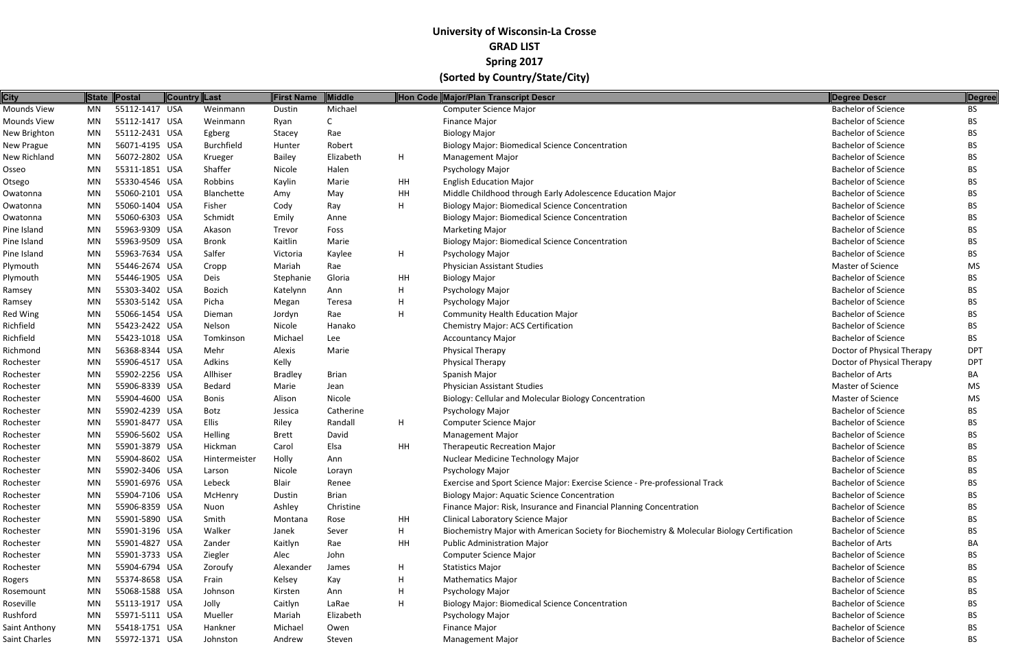| <b>City</b>     |    | State Postal   | Country Last  | <b>First Name</b> | Middle       |    | Hon Code Major/Plan Transcript Descr                                                        | Degree Descr               | <b>Degree</b> |
|-----------------|----|----------------|---------------|-------------------|--------------|----|---------------------------------------------------------------------------------------------|----------------------------|---------------|
| Mounds View     | MN | 55112-1417 USA | Weinmann      | Dustin            | Michael      |    | <b>Computer Science Major</b>                                                               | <b>Bachelor of Science</b> | BS.           |
| Mounds View     | MN | 55112-1417 USA | Weinmann      | Ryan              | C            |    | Finance Major                                                                               | <b>Bachelor of Science</b> | BS            |
| New Brighton    | MN | 55112-2431 USA | Egberg        | Stacey            | Rae          |    | <b>Biology Major</b>                                                                        | <b>Bachelor of Science</b> | BS            |
| New Prague      | MN | 56071-4195 USA | Burchfield    | Hunter            | Robert       |    | <b>Biology Major: Biomedical Science Concentration</b>                                      | <b>Bachelor of Science</b> | ВS            |
| New Richland    | MN | 56072-2802 USA | Krueger       | <b>Bailey</b>     | Elizabeth    | H. | <b>Management Major</b>                                                                     | <b>Bachelor of Science</b> | BS.           |
| Osseo           | MN | 55311-1851 USA | Shaffer       | Nicole            | Halen        |    | <b>Psychology Major</b>                                                                     | <b>Bachelor of Science</b> | ВS            |
| Otsego          | MN | 55330-4546 USA | Robbins       | Kaylin            | Marie        | HH | <b>English Education Major</b>                                                              | <b>Bachelor of Science</b> | BS.           |
| Owatonna        | MN | 55060-2101 USA | Blanchette    | Amy               | May          | HH | Middle Childhood through Early Adolescence Education Major                                  | <b>Bachelor of Science</b> | ВS            |
| Owatonna        | MN | 55060-1404 USA | Fisher        | Cody              | Ray          | н  | <b>Biology Major: Biomedical Science Concentration</b>                                      | <b>Bachelor of Science</b> | <b>BS</b>     |
| Owatonna        | MN | 55060-6303 USA | Schmidt       | Emily             | Anne         |    | <b>Biology Major: Biomedical Science Concentration</b>                                      | <b>Bachelor of Science</b> | BS.           |
| Pine Island     | MN | 55963-9309 USA | Akason        | Trevor            | Foss         |    | <b>Marketing Major</b>                                                                      | <b>Bachelor of Science</b> | BS.           |
| Pine Island     | MN | 55963-9509 USA | <b>Bronk</b>  | Kaitlin           | Marie        |    | <b>Biology Major: Biomedical Science Concentration</b>                                      | <b>Bachelor of Science</b> | ВS            |
| Pine Island     | MN | 55963-7634 USA | Salfer        | Victoria          | Kaylee       | H. | Psychology Major                                                                            | <b>Bachelor of Science</b> | BS            |
| Plymouth        | MN | 55446-2674 USA | Cropp         | Mariah            | Rae          |    | Physician Assistant Studies                                                                 | Master of Science          | <b>MS</b>     |
| Plymouth        | MN | 55446-1905 USA | Deis          | Stephanie         | Gloria       | HH | <b>Biology Major</b>                                                                        | <b>Bachelor of Science</b> | BS.           |
| Ramsey          | MN | 55303-3402 USA | Bozich        | Katelynn          | Ann          | H. | <b>Psychology Major</b>                                                                     | <b>Bachelor of Science</b> | ВS            |
| Ramsey          | MN | 55303-5142 USA | Picha         | Megan             | Teresa       | н  | Psychology Major                                                                            | <b>Bachelor of Science</b> | BS            |
| <b>Red Wing</b> | MN | 55066-1454 USA | Dieman        | Jordyn            | Rae          | н  | <b>Community Health Education Major</b>                                                     | <b>Bachelor of Science</b> | BS            |
| Richfield       | MN | 55423-2422 USA | Nelson        | Nicole            | Hanako       |    | Chemistry Major: ACS Certification                                                          | <b>Bachelor of Science</b> | BS            |
| Richfield       | MN | 55423-1018 USA | Tomkinson     | Michael           | Lee          |    | <b>Accountancy Major</b>                                                                    | <b>Bachelor of Science</b> | BS.           |
| Richmond        | MN | 56368-8344 USA | Mehr          | Alexis            | Marie        |    | <b>Physical Therapy</b>                                                                     | Doctor of Physical Therapy | <b>DPT</b>    |
| Rochester       | MN | 55906-4517 USA | Adkins        | Kelly             |              |    | Physical Therapy                                                                            | Doctor of Physical Therapy | <b>DPT</b>    |
| Rochester       | MN | 55902-2256 USA | Allhiser      | <b>Bradley</b>    | <b>Brian</b> |    | Spanish Major                                                                               | <b>Bachelor of Arts</b>    | ВA            |
| Rochester       | MN | 55906-8339 USA | Bedard        | Marie             | Jean         |    | <b>Physician Assistant Studies</b>                                                          | Master of Science          | MS            |
| Rochester       | MN | 55904-4600 USA | <b>Bonis</b>  | Alison            | Nicole       |    | Biology: Cellular and Molecular Biology Concentration                                       | Master of Science          | MS            |
| Rochester       | MN | 55902-4239 USA | Botz          | Jessica           | Catherine    |    | Psychology Major                                                                            | <b>Bachelor of Science</b> | BS.           |
| Rochester       | MN | 55901-8477 USA | <b>Ellis</b>  | Riley             | Randall      | H. | <b>Computer Science Major</b>                                                               | <b>Bachelor of Science</b> | BS            |
| Rochester       | MN | 55906-5602 USA | Helling       | <b>Brett</b>      | David        |    | <b>Management Major</b>                                                                     | <b>Bachelor of Science</b> | BS            |
| Rochester       | MN | 55901-3879 USA | Hickman       | Carol             | Elsa         | HH | <b>Therapeutic Recreation Major</b>                                                         | <b>Bachelor of Science</b> | ВS            |
| Rochester       | MN | 55904-8602 USA | Hintermeister | Holly             | Ann          |    | Nuclear Medicine Technology Major                                                           | <b>Bachelor of Science</b> | <b>BS</b>     |
| Rochester       | MN | 55902-3406 USA | Larson        | Nicole            | Lorayn       |    | Psychology Major                                                                            | <b>Bachelor of Science</b> | <b>BS</b>     |
| Rochester       | MN | 55901-6976 USA | Lebeck        | Blair             | Renee        |    | Exercise and Sport Science Major: Exercise Science - Pre-professional Track                 | <b>Bachelor of Science</b> | ВS            |
| Rochester       | MN | 55904-7106 USA | McHenry       | Dustin            | Brian        |    | <b>Biology Major: Aquatic Science Concentration</b>                                         | <b>Bachelor of Science</b> | ВS            |
| Rochester       | MN | 55906-8359 USA | Nuon          | Ashley            | Christine    |    | Finance Major: Risk, Insurance and Financial Planning Concentration                         | <b>Bachelor of Science</b> | ВS            |
| Rochester       | MN | 55901-5890 USA | Smith         | Montana           | Rose         | HH | Clinical Laboratory Science Major                                                           | <b>Bachelor of Science</b> | BS            |
| Rochester       | MN | 55901-3196 USA | Walker        | Janek             | Sever        | H. | Biochemistry Major with American Society for Biochemistry & Molecular Biology Certification | <b>Bachelor of Science</b> | BS            |
| Rochester       | MN | 55901-4827 USA | Zander        | Kaitlyn           | Rae          | HH | <b>Public Administration Major</b>                                                          | <b>Bachelor of Arts</b>    | BА            |
| Rochester       | MN | 55901-3733 USA | Ziegler       | Alec              | John         |    | <b>Computer Science Major</b>                                                               | <b>Bachelor of Science</b> | BS.           |
| Rochester       | MN | 55904-6794 USA | Zoroufy       | Alexander         | James        | H  | <b>Statistics Major</b>                                                                     | <b>Bachelor of Science</b> | BS            |
| Rogers          | MN | 55374-8658 USA | Frain         | Kelsey            | Kay          | H  | <b>Mathematics Major</b>                                                                    | <b>Bachelor of Science</b> | BS            |
| Rosemount       | MN | 55068-1588 USA | Johnson       | Kirsten           | Ann          | H  | Psychology Major                                                                            | <b>Bachelor of Science</b> | BS.           |
| Roseville       | MN | 55113-1917 USA | Jolly         | Caitlyn           | LaRae        | н  | <b>Biology Major: Biomedical Science Concentration</b>                                      | <b>Bachelor of Science</b> | ВS            |
| Rushford        | MN | 55971-5111 USA | Mueller       | Mariah            | Elizabeth    |    | Psychology Major                                                                            | <b>Bachelor of Science</b> | BS.           |
| Saint Anthony   | MN | 55418-1751 USA | Hankner       | Michael           | Owen         |    | <b>Finance Major</b>                                                                        | <b>Bachelor of Science</b> | BS            |
| Saint Charles   | MN | 55972-1371 USA | Johnston      | Andrew            | Steven       |    | <b>Management Major</b>                                                                     | <b>Bachelor of Science</b> | <b>BS</b>     |
|                 |    |                |               |                   |              |    |                                                                                             |                            |               |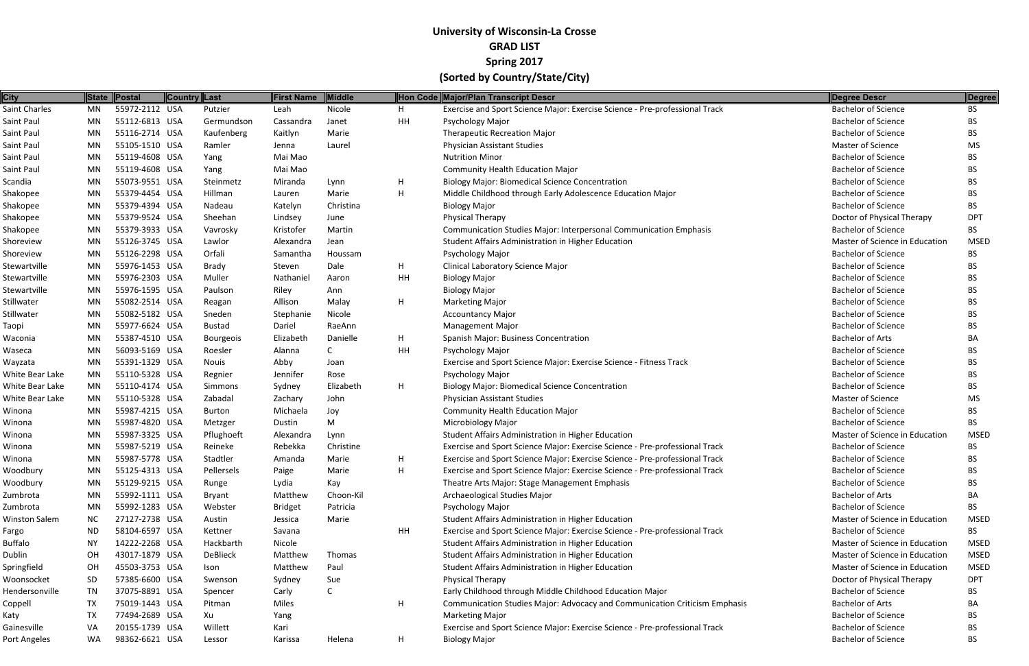| <b>City</b>          |           | State Postal   | <b>Country Last</b> | <b>First Name</b> | <b>Middle</b> |             | Hon Code Major/Plan Transcript Descr                                        | Degree Descr                   | Degree      |
|----------------------|-----------|----------------|---------------------|-------------------|---------------|-------------|-----------------------------------------------------------------------------|--------------------------------|-------------|
| Saint Charles        | MN        | 55972-2112 USA | Putzier             | Leah              | Nicole        | H.          | Exercise and Sport Science Major: Exercise Science - Pre-professional Track | <b>Bachelor of Science</b>     | BS.         |
| Saint Paul           | MN        | 55112-6813 USA | Germundson          | Cassandra         | Janet         | HH          | Psychology Major                                                            | <b>Bachelor of Science</b>     | <b>BS</b>   |
| Saint Paul           | MN        | 55116-2714 USA | Kaufenberg          | Kaitlyn           | Marie         |             | <b>Therapeutic Recreation Major</b>                                         | <b>Bachelor of Science</b>     | BS.         |
| Saint Paul           | MN        | 55105-1510 USA | Ramler              | Jenna             | Laurel        |             | <b>Physician Assistant Studies</b>                                          | <b>Master of Science</b>       | MS          |
| Saint Paul           | MN        | 55119-4608 USA | Yang                | Mai Mao           |               |             | <b>Nutrition Minor</b>                                                      | <b>Bachelor of Science</b>     | BS.         |
| Saint Paul           | MN        | 55119-4608 USA | Yang                | Mai Mao           |               |             | <b>Community Health Education Major</b>                                     | <b>Bachelor of Science</b>     | <b>BS</b>   |
| Scandia              | MN        | 55073-9551 USA | Steinmetz           | Miranda           | Lynn          | н           | <b>Biology Major: Biomedical Science Concentration</b>                      | <b>Bachelor of Science</b>     | BS.         |
| Shakopee             | MN        | 55379-4454 USA | Hillman             | Lauren            | Marie         | н           | Middle Childhood through Early Adolescence Education Major                  | <b>Bachelor of Science</b>     | BS.         |
| Shakopee             | MN        | 55379-4394 USA | Nadeau              | Katelyn           | Christina     |             | <b>Biology Major</b>                                                        | <b>Bachelor of Science</b>     | <b>BS</b>   |
| Shakopee             | MN        | 55379-9524 USA | Sheehan             | Lindsey           | June          |             | <b>Physical Therapy</b>                                                     | Doctor of Physical Therapy     | <b>DPT</b>  |
| Shakopee             | MN        | 55379-3933 USA | Vavrosky            | Kristofer         | Martin        |             | Communication Studies Major: Interpersonal Communication Emphasis           | <b>Bachelor of Science</b>     | BS.         |
| Shoreview            | MN        | 55126-3745 USA | Lawlor              | Alexandra         | Jean          |             | Student Affairs Administration in Higher Education                          | Master of Science in Education | <b>MSED</b> |
| Shoreview            | MN        | 55126-2298 USA | Orfali              | Samantha          | Houssam       |             | Psychology Major                                                            | <b>Bachelor of Science</b>     | <b>BS</b>   |
| Stewartville         | MN        | 55976-1453 USA | Brady               | Steven            | Dale          | H.          | Clinical Laboratory Science Major                                           | <b>Bachelor of Science</b>     | BS.         |
| Stewartville         | MN        | 55976-2303 USA | Muller              | Nathaniel         | Aaron         | HH          | <b>Biology Major</b>                                                        | <b>Bachelor of Science</b>     | BS.         |
| Stewartville         | MN        | 55976-1595 USA | Paulson             | Riley             | Ann           |             | <b>Biology Major</b>                                                        | <b>Bachelor of Science</b>     | BS.         |
| Stillwater           | MN        | 55082-2514 USA | Reagan              | Allison           | Malay         | H.          | <b>Marketing Major</b>                                                      | <b>Bachelor of Science</b>     | <b>BS</b>   |
| Stillwater           | <b>MN</b> | 55082-5182 USA | Sneden              | Stephanie         | Nicole        |             | <b>Accountancy Major</b>                                                    | <b>Bachelor of Science</b>     | BS.         |
| Taopi                | MN        | 55977-6624 USA | <b>Bustad</b>       | Dariel            | RaeAnn        |             | <b>Management Major</b>                                                     | <b>Bachelor of Science</b>     | BS.         |
| Waconia              | MN        | 55387-4510 USA | <b>Bourgeois</b>    | Elizabeth         | Danielle      | Н.          | Spanish Major: Business Concentration                                       | <b>Bachelor of Arts</b>        | BA          |
| Waseca               | MN        | 56093-5169 USA | Roesler             | Alanna            | C             | HH          | Psychology Major                                                            | <b>Bachelor of Science</b>     | <b>BS</b>   |
| Wayzata              | MN        | 55391-1329 USA | <b>Nouis</b>        | Abby              | Joan          |             | Exercise and Sport Science Major: Exercise Science - Fitness Track          | <b>Bachelor of Science</b>     | BS.         |
| White Bear Lake      | MN        | 55110-5328 USA | Regnier             | Jennifer          | Rose          |             | Psychology Major                                                            | <b>Bachelor of Science</b>     | BS.         |
| White Bear Lake      | MN        | 55110-4174 USA | Simmons             | Sydney            | Elizabeth     | н           | <b>Biology Major: Biomedical Science Concentration</b>                      | <b>Bachelor of Science</b>     | BS.         |
| White Bear Lake      | MN        | 55110-5328 USA | Zabadal             | Zachary           | John          |             | <b>Physician Assistant Studies</b>                                          | Master of Science              | MS          |
| Winona               | MN        | 55987-4215 USA | <b>Burton</b>       | Michaela          | Joy           |             | <b>Community Health Education Major</b>                                     | <b>Bachelor of Science</b>     | <b>BS</b>   |
| Winona               | MN        | 55987-4820 USA | Metzger             | Dustin            | M             |             | <b>Microbiology Major</b>                                                   | <b>Bachelor of Science</b>     | BS.         |
| Winona               | MN        | 55987-3325 USA | Pflughoeft          | Alexandra         | Lynn          |             | Student Affairs Administration in Higher Education                          | Master of Science in Education | <b>MSED</b> |
| Winona               | MN        | 55987-5219 USA | Reineke             | Rebekka           | Christine     |             | Exercise and Sport Science Major: Exercise Science - Pre-professional Track | <b>Bachelor of Science</b>     | BS.         |
| Winona               | MN        | 55987-5778 USA | Stadtler            | Amanda            | Marie         | Н.          | Exercise and Sport Science Major: Exercise Science - Pre-professional Track | <b>Bachelor of Science</b>     | BS.         |
| Woodbury             | MN        | 55125-4313 USA | Pellersels          | Paige             | Marie         | H.          | Exercise and Sport Science Major: Exercise Science - Pre-professional Track | <b>Bachelor of Science</b>     | BS.         |
| Woodbury             | MN        | 55129-9215 USA | Runge               | Lydia             | Kay           |             | Theatre Arts Major: Stage Management Emphasis                               | <b>Bachelor of Science</b>     | BS.         |
| Zumbrota             | MN        | 55992-1111 USA | <b>Bryant</b>       | Matthew           | Choon-Kil     |             | Archaeological Studies Major                                                | <b>Bachelor of Arts</b>        | BA          |
| Zumbrota             | MN        | 55992-1283 USA | Webster             | <b>Bridget</b>    | Patricia      |             | Psychology Major                                                            | <b>Bachelor of Science</b>     | BS.         |
| <b>Winston Salem</b> | <b>NC</b> | 27127-2738 USA | Austin              | Jessica           | Marie         |             | Student Affairs Administration in Higher Education                          | Master of Science in Education | <b>MSED</b> |
| Fargo                | <b>ND</b> | 58104-6597 USA | Kettner             | Savana            |               | HH          | Exercise and Sport Science Major: Exercise Science - Pre-professional Track | <b>Bachelor of Science</b>     | BS.         |
| <b>Buffalo</b>       | <b>NY</b> | 14222-2268 USA | Hackbarth           | Nicole            |               |             | Student Affairs Administration in Higher Education                          | Master of Science in Education | <b>MSED</b> |
| Dublin               | OH        | 43017-1879 USA | DeBlieck            | Matthew           | Thomas        |             | Student Affairs Administration in Higher Education                          | Master of Science in Education | <b>MSED</b> |
| Springfield          | OH        | 45503-3753 USA | Ison                | Matthew           | Paul          |             | Student Affairs Administration in Higher Education                          | Master of Science in Education | <b>MSED</b> |
| Woonsocket           | SD        | 57385-6600 USA | Swenson             | Sydney            | Sue           |             | Physical Therapy                                                            | Doctor of Physical Therapy     | <b>DPT</b>  |
| Hendersonville       | TN        | 37075-8891 USA | Spencer             | Carly             | C             |             | Early Childhood through Middle Childhood Education Major                    | <b>Bachelor of Science</b>     | BS          |
| Coppell              | TX        | 75019-1443 USA | Pitman              | Miles             |               | Н.          | Communication Studies Major: Advocacy and Communication Criticism Emphasis  | <b>Bachelor of Arts</b>        | BA          |
| Katy                 | <b>TX</b> | 77494-2689 USA | Xu                  | Yang              |               |             | <b>Marketing Major</b>                                                      | <b>Bachelor of Science</b>     | BS.         |
| Gainesville          | VA        | 20155-1739 USA | Willett             | Kari              |               |             | Exercise and Sport Science Major: Exercise Science - Pre-professional Track | <b>Bachelor of Science</b>     | BS.         |
| Port Angeles         | WA        | 98362-6621 USA | Lessor              | Karissa           | Helena        | $H_{\perp}$ | <b>Biology Major</b>                                                        | <b>Bachelor of Science</b>     | <b>BS</b>   |
|                      |           |                |                     |                   |               |             |                                                                             |                                |             |

| <b>Degree Descr</b>                                      | <b>Degree</b> |
|----------------------------------------------------------|---------------|
| <b>Bachelor of Science</b>                               | BS            |
| <b>Bachelor of Science</b>                               | <b>BS</b>     |
| <b>Bachelor of Science</b>                               | <b>BS</b>     |
| Master of Science                                        | MS            |
| <b>Bachelor of Science</b>                               | <b>BS</b>     |
| <b>Bachelor of Science</b>                               | <b>BS</b>     |
| <b>Bachelor of Science</b>                               | <b>BS</b>     |
| Bachelor of Science                                      | <b>BS</b>     |
| <b>Bachelor of Science</b>                               | <b>BS</b>     |
| Doctor of Physical Therapy                               | <b>DPT</b>    |
| <b>Bachelor of Science</b>                               | BS            |
| Master of Science in Education                           | <b>MSED</b>   |
| <b>Bachelor of Science</b>                               | <b>BS</b>     |
| <b>Bachelor of Science</b>                               | <b>BS</b>     |
| <b>Bachelor of Science</b>                               | <b>BS</b>     |
| <b>Bachelor of Science</b>                               | <b>BS</b>     |
| Bachelor of Science                                      | <b>BS</b>     |
| <b>Bachelor of Science</b>                               | <b>BS</b>     |
| <b>Bachelor of Science</b>                               | <b>BS</b>     |
| <b>Bachelor of Arts</b>                                  | <b>BA</b>     |
| <b>Bachelor of Science</b>                               | <b>BS</b>     |
| <b>Bachelor of Science</b>                               | <b>BS</b>     |
| <b>Bachelor of Science</b>                               | <b>BS</b>     |
| <b>Bachelor of Science</b>                               | <b>BS</b>     |
| <b>Master of Science</b>                                 | <b>MS</b>     |
| <b>Bachelor of Science</b>                               | <b>BS</b>     |
| <b>Bachelor of Science</b>                               | <b>BS</b>     |
| Master of Science in Education                           | MSED          |
| <b>Bachelor of Science</b>                               | BS            |
| <b>Bachelor of Science</b>                               | BS            |
| <b>Bachelor of Science</b>                               | ВS            |
| <b>Bachelor of Science</b>                               | <b>BS</b>     |
| <b>Bachelor of Arts</b>                                  | BA            |
| <b>Bachelor of Science</b>                               | <b>BS</b>     |
| Master of Science in Education                           | <b>MSED</b>   |
| <b>Bachelor of Science</b>                               | BS            |
| Master of Science in Education                           | <b>MSED</b>   |
| Master of Science in Education                           | <b>MSED</b>   |
| Master of Science in Education                           | <b>MSED</b>   |
|                                                          | <b>DPT</b>    |
| Doctor of Physical Therapy<br><b>Bachelor of Science</b> | <b>BS</b>     |
| <b>Bachelor of Arts</b>                                  | BA            |
| <b>Bachelor of Science</b>                               | <b>BS</b>     |
| <b>Bachelor of Science</b>                               | <b>BS</b>     |
| Bachelor of Science                                      | <b>RS</b>     |
|                                                          |               |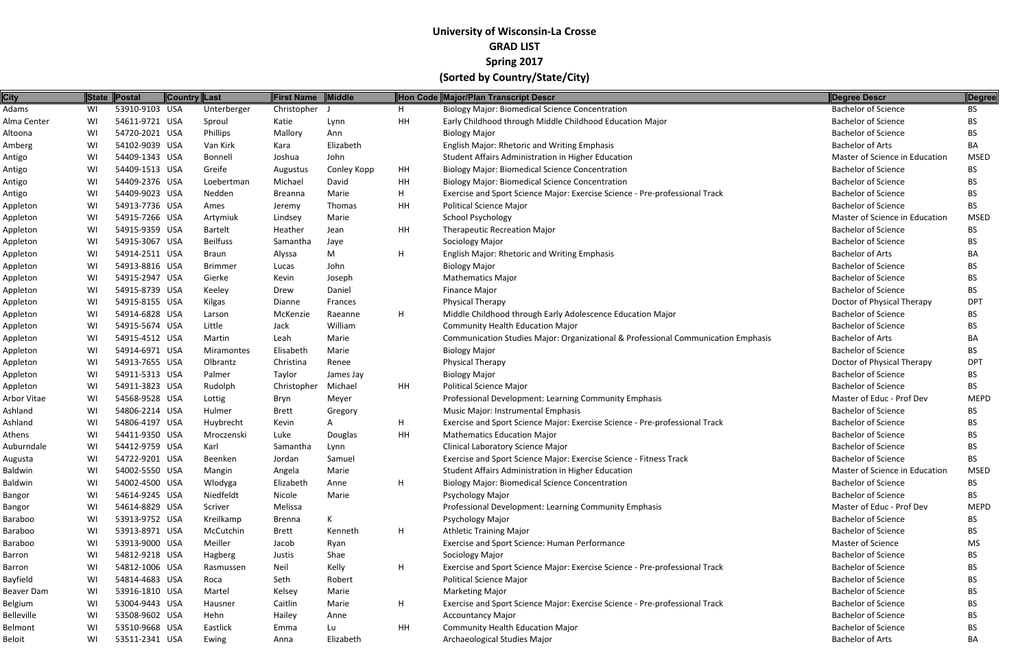| 53910-9103 USA<br>Christopher<br><b>Biology Major: Biomedical Science Concentration</b><br><b>Bachelor of Science</b><br>Unterberger<br>BS.<br>WI<br>н.<br>54611-9721 USA<br>HH<br>Early Childhood through Middle Childhood Education Major<br><b>Bachelor of Science</b><br>WI<br>Sproul<br>Katie<br>Lynn<br>BS.<br>54720-2021 USA<br>Phillips<br><b>Bachelor of Science</b><br>Mallory<br><b>Biology Major</b><br>WI<br>Ann<br>BS.<br>54102-9039 USA<br><b>Bachelor of Arts</b><br>WI<br>Elizabeth<br>English Major: Rhetoric and Writing Emphasis<br>Van Kirk<br>BA<br>Kara<br>John<br>54409-1343 USA<br>Student Affairs Administration in Higher Education<br>Master of Science in Education<br>WI<br>Bonnell<br>Joshua<br>MSED<br>54409-1513 USA<br><b>Bachelor of Science</b><br>Greife<br><b>Biology Major: Biomedical Science Concentration</b><br>WI<br>Conley Kopp<br>HH<br>BS.<br>Augustus<br>54409-2376 USA<br><b>Bachelor of Science</b><br>Michael<br>David<br>HH<br><b>Biology Major: Biomedical Science Concentration</b><br>WI<br>Loebertman<br>BS.<br>54409-9023 USA<br><b>Bachelor of Science</b><br>WI<br>Marie<br>H.<br>Exercise and Sport Science Major: Exercise Science - Pre-professional Track<br>Nedden<br>Breanna<br>BS.<br>54913-7736 USA<br><b>Bachelor of Science</b><br>Thomas<br>HH<br><b>Political Science Major</b><br>WI<br>Ames<br>BS.<br>Jeremy<br>54915-7266 USA<br><b>School Psychology</b><br>Master of Science in Education<br><b>MSED</b><br>WI<br>Artymiuk<br>Lindsey<br>Marie<br>54915-9359 USA<br><b>Bachelor of Science</b><br>HH<br><b>Therapeutic Recreation Major</b><br>WI<br><b>Bartelt</b><br>Heather<br>Jean<br>BS.<br>54915-3067 USA<br><b>Bachelor of Science</b><br><b>Beilfuss</b><br>Sociology Major<br>WI<br>Samantha<br>Jaye<br>BS.<br>54914-2511 USA<br>M<br><b>Bachelor of Arts</b><br>H<br>English Major: Rhetoric and Writing Emphasis<br>WI<br>Braun<br>Alyssa<br>BA<br><b>Bachelor of Science</b><br>54913-8816 USA<br>WI<br><b>Brimmer</b><br>John<br><b>Biology Major</b><br>Lucas<br>BS.<br>54915-2947 USA<br><b>Bachelor of Science</b><br>WI<br>Gierke<br>Kevin<br>Joseph<br><b>Mathematics Major</b><br>BS.<br>54915-8739 USA<br><b>Bachelor of Science</b><br>Daniel<br><b>Finance Major</b><br>WI<br>Drew<br>BS.<br>Keeley<br>Doctor of Physical Therapy<br>54915-8155 USA<br><b>Physical Therapy</b><br>WI<br>Kilgas<br>Frances<br><b>DPT</b><br>Dianne<br>54914-6828 USA<br>McKenzie<br>H.<br>Middle Childhood through Early Adolescence Education Major<br><b>Bachelor of Science</b><br>WI<br>Raeanne<br>Larson<br>BS.<br>54915-5674 USA<br>William<br><b>Community Health Education Major</b><br><b>Bachelor of Science</b><br>Little<br>Jack<br>WI<br>BS.<br>54915-4512 USA<br>Communication Studies Major: Organizational & Professional Communication Emphasis<br><b>Bachelor of Arts</b><br>WI<br>Martin<br>Marie<br>Leah<br>BA<br>54914-6971 USA<br><b>Bachelor of Science</b><br>Elisabeth<br>Marie<br><b>Biology Major</b><br>WI<br>Miramontes<br>BS.<br>54913-7655 USA<br>Doctor of Physical Therapy<br>WI<br>Renee<br>Physical Therapy<br><b>DPT</b><br>Olbrantz<br>Christina<br>54911-5313 USA<br><b>Bachelor of Science</b><br><b>Biology Major</b><br>WI<br>Palmer<br>Taylor<br>James Jay<br>BS.<br>54911-3823 USA<br><b>Political Science Major</b><br><b>Bachelor of Science</b><br>Michael<br>HH<br>WI<br>Rudolph<br>Christopher<br>BS.<br>54568-9528 USA<br>Professional Development: Learning Community Emphasis<br>Master of Educ - Prof Dev<br><b>MEPD</b><br>WI<br>Lottig<br>Meyer<br>Bryn<br>54806-2214 USA<br><b>Bachelor of Science</b><br>WI<br>Hulmer<br>Music Major: Instrumental Emphasis<br>BS.<br><b>Brett</b><br>Gregory<br>54806-4197 USA<br><b>Bachelor of Science</b><br>H.<br>Exercise and Sport Science Major: Exercise Science - Pre-professional Track<br>WI<br>Huybrecht<br>Kevin<br>BS.<br>54411-9350 USA<br>HH<br>Luke<br><b>Mathematics Education Major</b><br><b>Bachelor of Science</b><br>WI<br>Mroczenski<br>Douglas<br>BS.<br><b>Clinical Laboratory Science Major</b><br><b>Bachelor of Science</b><br>54412-9759 USA<br>WI<br>Karl<br>Lynn<br>Samantha<br>BS.<br>54722-9201 USA<br>Exercise and Sport Science Major: Exercise Science - Fitness Track<br><b>Bachelor of Science</b><br><b>BS</b><br>WI<br>Beenken<br>Jordan<br>Samuel<br>Student Affairs Administration in Higher Education<br>Master of Science in Education<br>WI<br>54002-5550 USA<br>Marie<br><b>MSED</b><br>Mangin<br>Angela<br>54002-4500 USA<br><b>Biology Major: Biomedical Science Concentration</b><br><b>Bachelor of Science</b><br>WI<br>Wlodyga<br>Elizabeth<br>Anne<br>H.<br>BS.<br>Niedfeldt<br><b>Bachelor of Science</b><br>WI<br>54614-9245 USA<br>Nicole<br>Marie<br>Psychology Major<br>BS.<br>54614-8829 USA<br>Professional Development: Learning Community Emphasis<br>Master of Educ - Prof Dev<br>WI<br>Scriver<br>Melissa<br><b>MEPD</b><br>53913-9752 USA<br>$\mathsf{K}$<br><b>Bachelor of Science</b><br>WI<br>Kreilkamp<br>Psychology Major<br>BS.<br>Brenna<br>WI<br>53913-8971 USA<br>H<br><b>Athletic Training Major</b><br><b>Bachelor of Science</b><br>McCutchin<br><b>Brett</b><br>Kenneth<br>BS.<br>Master of Science<br>53913-9000 USA<br>Meiller<br>Exercise and Sport Science: Human Performance<br>WI<br>Jacob<br>Ryan<br>MS<br>54812-9218 USA<br><b>Bachelor of Science</b><br>WI<br>Shae<br>Sociology Major<br>Hagberg<br>Justis<br>BS.<br>54812-1006 USA<br>Exercise and Sport Science Major: Exercise Science - Pre-professional Track<br><b>Bachelor of Science</b><br>Kelly<br>H.<br>WI<br>Rasmussen<br>Neil<br>BS.<br>WI<br>54814-4683 USA<br><b>Political Science Major</b><br><b>Bachelor of Science</b><br>Robert<br><b>BS</b><br>Roca<br>Seth<br>53916-1810 USA<br><b>Bachelor of Science</b><br>WI<br>Martel<br>Kelsey<br>Marie<br><b>Marketing Major</b><br>BS.<br>53004-9443 USA<br>Exercise and Sport Science Major: Exercise Science - Pre-professional Track<br><b>Bachelor of Science</b><br>WI<br>Caitlin<br>H.<br>Hausner<br>Marie<br>BS.<br><b>Bachelor of Science</b><br>53508-9602 USA<br>Hehn<br>WI<br>Hailey<br>Anne<br><b>Accountancy Major</b><br>BS.<br>WI<br>53510-9668 USA<br>HH<br><b>Bachelor of Science</b><br>Eastlick<br><b>Community Health Education Major</b><br>Lu<br>BS.<br>Emma<br>53511-2341 USA<br>Archaeological Studies Major<br><b>Bachelor of Arts</b><br>WI<br>Elizabeth<br>BA<br>Ewing<br>Anna | <b>City</b>    | State Postal | Country Last | <b>First Name</b> | <b>Middle</b> | Hon Code Major/Plan Transcript Descr | Degree Descr | Degree |
|-------------------------------------------------------------------------------------------------------------------------------------------------------------------------------------------------------------------------------------------------------------------------------------------------------------------------------------------------------------------------------------------------------------------------------------------------------------------------------------------------------------------------------------------------------------------------------------------------------------------------------------------------------------------------------------------------------------------------------------------------------------------------------------------------------------------------------------------------------------------------------------------------------------------------------------------------------------------------------------------------------------------------------------------------------------------------------------------------------------------------------------------------------------------------------------------------------------------------------------------------------------------------------------------------------------------------------------------------------------------------------------------------------------------------------------------------------------------------------------------------------------------------------------------------------------------------------------------------------------------------------------------------------------------------------------------------------------------------------------------------------------------------------------------------------------------------------------------------------------------------------------------------------------------------------------------------------------------------------------------------------------------------------------------------------------------------------------------------------------------------------------------------------------------------------------------------------------------------------------------------------------------------------------------------------------------------------------------------------------------------------------------------------------------------------------------------------------------------------------------------------------------------------------------------------------------------------------------------------------------------------------------------------------------------------------------------------------------------------------------------------------------------------------------------------------------------------------------------------------------------------------------------------------------------------------------------------------------------------------------------------------------------------------------------------------------------------------------------------------------------------------------------------------------------------------------------------------------------------------------------------------------------------------------------------------------------------------------------------------------------------------------------------------------------------------------------------------------------------------------------------------------------------------------------------------------------------------------------------------------------------------------------------------------------------------------------------------------------------------------------------------------------------------------------------------------------------------------------------------------------------------------------------------------------------------------------------------------------------------------------------------------------------------------------------------------------------------------------------------------------------------------------------------------------------------------------------------------------------------------------------------------------------------------------------------------------------------------------------------------------------------------------------------------------------------------------------------------------------------------------------------------------------------------------------------------------------------------------------------------------------------------------------------------------------------------------------------------------------------------------------------------------------------------------------------------------------------------------------------------------------------------------------------------------------------------------------------------------------------------------------------------------------------------------------------------------------------------------------------------------------------------------------------------------------------------------------------------------------------------------------------------------------------------------------------------------------------------------------------------------------------------------------------------------------------------------------------------------------------------------------------------------------------------------------------------------------------------------------------------------------------------------------------------------------------------------------------------------------------------------------------------------------------------------------------------------------------------------------------------------------------------------------------------------------------------------------------------------------------------------------------------------------------------------------------------------------------------------------------------------------------------------------------------------------------------------------------------------------------------------------------------------------------------------------------------------------------------------------------------------------------------------------------------------------------------------------------------------------------------|----------------|--------------|--------------|-------------------|---------------|--------------------------------------|--------------|--------|
|                                                                                                                                                                                                                                                                                                                                                                                                                                                                                                                                                                                                                                                                                                                                                                                                                                                                                                                                                                                                                                                                                                                                                                                                                                                                                                                                                                                                                                                                                                                                                                                                                                                                                                                                                                                                                                                                                                                                                                                                                                                                                                                                                                                                                                                                                                                                                                                                                                                                                                                                                                                                                                                                                                                                                                                                                                                                                                                                                                                                                                                                                                                                                                                                                                                                                                                                                                                                                                                                                                                                                                                                                                                                                                                                                                                                                                                                                                                                                                                                                                                                                                                                                                                                                                                                                                                                                                                                                                                                                                                                                                                                                                                                                                                                                                                                                                                                                                                                                                                                                                                                                                                                                                                                                                                                                                                                                                                                                                                                                                                                                                                                                                                                                                                                                                                                                                                                                                                                                                                                                                                                                                                                                                                                                                                                                                                                                                                                                                                                                           | Adams          |              |              |                   |               |                                      |              |        |
|                                                                                                                                                                                                                                                                                                                                                                                                                                                                                                                                                                                                                                                                                                                                                                                                                                                                                                                                                                                                                                                                                                                                                                                                                                                                                                                                                                                                                                                                                                                                                                                                                                                                                                                                                                                                                                                                                                                                                                                                                                                                                                                                                                                                                                                                                                                                                                                                                                                                                                                                                                                                                                                                                                                                                                                                                                                                                                                                                                                                                                                                                                                                                                                                                                                                                                                                                                                                                                                                                                                                                                                                                                                                                                                                                                                                                                                                                                                                                                                                                                                                                                                                                                                                                                                                                                                                                                                                                                                                                                                                                                                                                                                                                                                                                                                                                                                                                                                                                                                                                                                                                                                                                                                                                                                                                                                                                                                                                                                                                                                                                                                                                                                                                                                                                                                                                                                                                                                                                                                                                                                                                                                                                                                                                                                                                                                                                                                                                                                                                           | Alma Center    |              |              |                   |               |                                      |              |        |
|                                                                                                                                                                                                                                                                                                                                                                                                                                                                                                                                                                                                                                                                                                                                                                                                                                                                                                                                                                                                                                                                                                                                                                                                                                                                                                                                                                                                                                                                                                                                                                                                                                                                                                                                                                                                                                                                                                                                                                                                                                                                                                                                                                                                                                                                                                                                                                                                                                                                                                                                                                                                                                                                                                                                                                                                                                                                                                                                                                                                                                                                                                                                                                                                                                                                                                                                                                                                                                                                                                                                                                                                                                                                                                                                                                                                                                                                                                                                                                                                                                                                                                                                                                                                                                                                                                                                                                                                                                                                                                                                                                                                                                                                                                                                                                                                                                                                                                                                                                                                                                                                                                                                                                                                                                                                                                                                                                                                                                                                                                                                                                                                                                                                                                                                                                                                                                                                                                                                                                                                                                                                                                                                                                                                                                                                                                                                                                                                                                                                                           | Altoona        |              |              |                   |               |                                      |              |        |
|                                                                                                                                                                                                                                                                                                                                                                                                                                                                                                                                                                                                                                                                                                                                                                                                                                                                                                                                                                                                                                                                                                                                                                                                                                                                                                                                                                                                                                                                                                                                                                                                                                                                                                                                                                                                                                                                                                                                                                                                                                                                                                                                                                                                                                                                                                                                                                                                                                                                                                                                                                                                                                                                                                                                                                                                                                                                                                                                                                                                                                                                                                                                                                                                                                                                                                                                                                                                                                                                                                                                                                                                                                                                                                                                                                                                                                                                                                                                                                                                                                                                                                                                                                                                                                                                                                                                                                                                                                                                                                                                                                                                                                                                                                                                                                                                                                                                                                                                                                                                                                                                                                                                                                                                                                                                                                                                                                                                                                                                                                                                                                                                                                                                                                                                                                                                                                                                                                                                                                                                                                                                                                                                                                                                                                                                                                                                                                                                                                                                                           | Amberg         |              |              |                   |               |                                      |              |        |
|                                                                                                                                                                                                                                                                                                                                                                                                                                                                                                                                                                                                                                                                                                                                                                                                                                                                                                                                                                                                                                                                                                                                                                                                                                                                                                                                                                                                                                                                                                                                                                                                                                                                                                                                                                                                                                                                                                                                                                                                                                                                                                                                                                                                                                                                                                                                                                                                                                                                                                                                                                                                                                                                                                                                                                                                                                                                                                                                                                                                                                                                                                                                                                                                                                                                                                                                                                                                                                                                                                                                                                                                                                                                                                                                                                                                                                                                                                                                                                                                                                                                                                                                                                                                                                                                                                                                                                                                                                                                                                                                                                                                                                                                                                                                                                                                                                                                                                                                                                                                                                                                                                                                                                                                                                                                                                                                                                                                                                                                                                                                                                                                                                                                                                                                                                                                                                                                                                                                                                                                                                                                                                                                                                                                                                                                                                                                                                                                                                                                                           | Antigo         |              |              |                   |               |                                      |              |        |
|                                                                                                                                                                                                                                                                                                                                                                                                                                                                                                                                                                                                                                                                                                                                                                                                                                                                                                                                                                                                                                                                                                                                                                                                                                                                                                                                                                                                                                                                                                                                                                                                                                                                                                                                                                                                                                                                                                                                                                                                                                                                                                                                                                                                                                                                                                                                                                                                                                                                                                                                                                                                                                                                                                                                                                                                                                                                                                                                                                                                                                                                                                                                                                                                                                                                                                                                                                                                                                                                                                                                                                                                                                                                                                                                                                                                                                                                                                                                                                                                                                                                                                                                                                                                                                                                                                                                                                                                                                                                                                                                                                                                                                                                                                                                                                                                                                                                                                                                                                                                                                                                                                                                                                                                                                                                                                                                                                                                                                                                                                                                                                                                                                                                                                                                                                                                                                                                                                                                                                                                                                                                                                                                                                                                                                                                                                                                                                                                                                                                                           | Antigo         |              |              |                   |               |                                      |              |        |
|                                                                                                                                                                                                                                                                                                                                                                                                                                                                                                                                                                                                                                                                                                                                                                                                                                                                                                                                                                                                                                                                                                                                                                                                                                                                                                                                                                                                                                                                                                                                                                                                                                                                                                                                                                                                                                                                                                                                                                                                                                                                                                                                                                                                                                                                                                                                                                                                                                                                                                                                                                                                                                                                                                                                                                                                                                                                                                                                                                                                                                                                                                                                                                                                                                                                                                                                                                                                                                                                                                                                                                                                                                                                                                                                                                                                                                                                                                                                                                                                                                                                                                                                                                                                                                                                                                                                                                                                                                                                                                                                                                                                                                                                                                                                                                                                                                                                                                                                                                                                                                                                                                                                                                                                                                                                                                                                                                                                                                                                                                                                                                                                                                                                                                                                                                                                                                                                                                                                                                                                                                                                                                                                                                                                                                                                                                                                                                                                                                                                                           | Antigo         |              |              |                   |               |                                      |              |        |
|                                                                                                                                                                                                                                                                                                                                                                                                                                                                                                                                                                                                                                                                                                                                                                                                                                                                                                                                                                                                                                                                                                                                                                                                                                                                                                                                                                                                                                                                                                                                                                                                                                                                                                                                                                                                                                                                                                                                                                                                                                                                                                                                                                                                                                                                                                                                                                                                                                                                                                                                                                                                                                                                                                                                                                                                                                                                                                                                                                                                                                                                                                                                                                                                                                                                                                                                                                                                                                                                                                                                                                                                                                                                                                                                                                                                                                                                                                                                                                                                                                                                                                                                                                                                                                                                                                                                                                                                                                                                                                                                                                                                                                                                                                                                                                                                                                                                                                                                                                                                                                                                                                                                                                                                                                                                                                                                                                                                                                                                                                                                                                                                                                                                                                                                                                                                                                                                                                                                                                                                                                                                                                                                                                                                                                                                                                                                                                                                                                                                                           | Antigo         |              |              |                   |               |                                      |              |        |
|                                                                                                                                                                                                                                                                                                                                                                                                                                                                                                                                                                                                                                                                                                                                                                                                                                                                                                                                                                                                                                                                                                                                                                                                                                                                                                                                                                                                                                                                                                                                                                                                                                                                                                                                                                                                                                                                                                                                                                                                                                                                                                                                                                                                                                                                                                                                                                                                                                                                                                                                                                                                                                                                                                                                                                                                                                                                                                                                                                                                                                                                                                                                                                                                                                                                                                                                                                                                                                                                                                                                                                                                                                                                                                                                                                                                                                                                                                                                                                                                                                                                                                                                                                                                                                                                                                                                                                                                                                                                                                                                                                                                                                                                                                                                                                                                                                                                                                                                                                                                                                                                                                                                                                                                                                                                                                                                                                                                                                                                                                                                                                                                                                                                                                                                                                                                                                                                                                                                                                                                                                                                                                                                                                                                                                                                                                                                                                                                                                                                                           | Appleton       |              |              |                   |               |                                      |              |        |
|                                                                                                                                                                                                                                                                                                                                                                                                                                                                                                                                                                                                                                                                                                                                                                                                                                                                                                                                                                                                                                                                                                                                                                                                                                                                                                                                                                                                                                                                                                                                                                                                                                                                                                                                                                                                                                                                                                                                                                                                                                                                                                                                                                                                                                                                                                                                                                                                                                                                                                                                                                                                                                                                                                                                                                                                                                                                                                                                                                                                                                                                                                                                                                                                                                                                                                                                                                                                                                                                                                                                                                                                                                                                                                                                                                                                                                                                                                                                                                                                                                                                                                                                                                                                                                                                                                                                                                                                                                                                                                                                                                                                                                                                                                                                                                                                                                                                                                                                                                                                                                                                                                                                                                                                                                                                                                                                                                                                                                                                                                                                                                                                                                                                                                                                                                                                                                                                                                                                                                                                                                                                                                                                                                                                                                                                                                                                                                                                                                                                                           | Appleton       |              |              |                   |               |                                      |              |        |
|                                                                                                                                                                                                                                                                                                                                                                                                                                                                                                                                                                                                                                                                                                                                                                                                                                                                                                                                                                                                                                                                                                                                                                                                                                                                                                                                                                                                                                                                                                                                                                                                                                                                                                                                                                                                                                                                                                                                                                                                                                                                                                                                                                                                                                                                                                                                                                                                                                                                                                                                                                                                                                                                                                                                                                                                                                                                                                                                                                                                                                                                                                                                                                                                                                                                                                                                                                                                                                                                                                                                                                                                                                                                                                                                                                                                                                                                                                                                                                                                                                                                                                                                                                                                                                                                                                                                                                                                                                                                                                                                                                                                                                                                                                                                                                                                                                                                                                                                                                                                                                                                                                                                                                                                                                                                                                                                                                                                                                                                                                                                                                                                                                                                                                                                                                                                                                                                                                                                                                                                                                                                                                                                                                                                                                                                                                                                                                                                                                                                                           | Appleton       |              |              |                   |               |                                      |              |        |
|                                                                                                                                                                                                                                                                                                                                                                                                                                                                                                                                                                                                                                                                                                                                                                                                                                                                                                                                                                                                                                                                                                                                                                                                                                                                                                                                                                                                                                                                                                                                                                                                                                                                                                                                                                                                                                                                                                                                                                                                                                                                                                                                                                                                                                                                                                                                                                                                                                                                                                                                                                                                                                                                                                                                                                                                                                                                                                                                                                                                                                                                                                                                                                                                                                                                                                                                                                                                                                                                                                                                                                                                                                                                                                                                                                                                                                                                                                                                                                                                                                                                                                                                                                                                                                                                                                                                                                                                                                                                                                                                                                                                                                                                                                                                                                                                                                                                                                                                                                                                                                                                                                                                                                                                                                                                                                                                                                                                                                                                                                                                                                                                                                                                                                                                                                                                                                                                                                                                                                                                                                                                                                                                                                                                                                                                                                                                                                                                                                                                                           | Appleton       |              |              |                   |               |                                      |              |        |
|                                                                                                                                                                                                                                                                                                                                                                                                                                                                                                                                                                                                                                                                                                                                                                                                                                                                                                                                                                                                                                                                                                                                                                                                                                                                                                                                                                                                                                                                                                                                                                                                                                                                                                                                                                                                                                                                                                                                                                                                                                                                                                                                                                                                                                                                                                                                                                                                                                                                                                                                                                                                                                                                                                                                                                                                                                                                                                                                                                                                                                                                                                                                                                                                                                                                                                                                                                                                                                                                                                                                                                                                                                                                                                                                                                                                                                                                                                                                                                                                                                                                                                                                                                                                                                                                                                                                                                                                                                                                                                                                                                                                                                                                                                                                                                                                                                                                                                                                                                                                                                                                                                                                                                                                                                                                                                                                                                                                                                                                                                                                                                                                                                                                                                                                                                                                                                                                                                                                                                                                                                                                                                                                                                                                                                                                                                                                                                                                                                                                                           | Appleton       |              |              |                   |               |                                      |              |        |
|                                                                                                                                                                                                                                                                                                                                                                                                                                                                                                                                                                                                                                                                                                                                                                                                                                                                                                                                                                                                                                                                                                                                                                                                                                                                                                                                                                                                                                                                                                                                                                                                                                                                                                                                                                                                                                                                                                                                                                                                                                                                                                                                                                                                                                                                                                                                                                                                                                                                                                                                                                                                                                                                                                                                                                                                                                                                                                                                                                                                                                                                                                                                                                                                                                                                                                                                                                                                                                                                                                                                                                                                                                                                                                                                                                                                                                                                                                                                                                                                                                                                                                                                                                                                                                                                                                                                                                                                                                                                                                                                                                                                                                                                                                                                                                                                                                                                                                                                                                                                                                                                                                                                                                                                                                                                                                                                                                                                                                                                                                                                                                                                                                                                                                                                                                                                                                                                                                                                                                                                                                                                                                                                                                                                                                                                                                                                                                                                                                                                                           | Appleton       |              |              |                   |               |                                      |              |        |
|                                                                                                                                                                                                                                                                                                                                                                                                                                                                                                                                                                                                                                                                                                                                                                                                                                                                                                                                                                                                                                                                                                                                                                                                                                                                                                                                                                                                                                                                                                                                                                                                                                                                                                                                                                                                                                                                                                                                                                                                                                                                                                                                                                                                                                                                                                                                                                                                                                                                                                                                                                                                                                                                                                                                                                                                                                                                                                                                                                                                                                                                                                                                                                                                                                                                                                                                                                                                                                                                                                                                                                                                                                                                                                                                                                                                                                                                                                                                                                                                                                                                                                                                                                                                                                                                                                                                                                                                                                                                                                                                                                                                                                                                                                                                                                                                                                                                                                                                                                                                                                                                                                                                                                                                                                                                                                                                                                                                                                                                                                                                                                                                                                                                                                                                                                                                                                                                                                                                                                                                                                                                                                                                                                                                                                                                                                                                                                                                                                                                                           | Appleton       |              |              |                   |               |                                      |              |        |
|                                                                                                                                                                                                                                                                                                                                                                                                                                                                                                                                                                                                                                                                                                                                                                                                                                                                                                                                                                                                                                                                                                                                                                                                                                                                                                                                                                                                                                                                                                                                                                                                                                                                                                                                                                                                                                                                                                                                                                                                                                                                                                                                                                                                                                                                                                                                                                                                                                                                                                                                                                                                                                                                                                                                                                                                                                                                                                                                                                                                                                                                                                                                                                                                                                                                                                                                                                                                                                                                                                                                                                                                                                                                                                                                                                                                                                                                                                                                                                                                                                                                                                                                                                                                                                                                                                                                                                                                                                                                                                                                                                                                                                                                                                                                                                                                                                                                                                                                                                                                                                                                                                                                                                                                                                                                                                                                                                                                                                                                                                                                                                                                                                                                                                                                                                                                                                                                                                                                                                                                                                                                                                                                                                                                                                                                                                                                                                                                                                                                                           | Appleton       |              |              |                   |               |                                      |              |        |
|                                                                                                                                                                                                                                                                                                                                                                                                                                                                                                                                                                                                                                                                                                                                                                                                                                                                                                                                                                                                                                                                                                                                                                                                                                                                                                                                                                                                                                                                                                                                                                                                                                                                                                                                                                                                                                                                                                                                                                                                                                                                                                                                                                                                                                                                                                                                                                                                                                                                                                                                                                                                                                                                                                                                                                                                                                                                                                                                                                                                                                                                                                                                                                                                                                                                                                                                                                                                                                                                                                                                                                                                                                                                                                                                                                                                                                                                                                                                                                                                                                                                                                                                                                                                                                                                                                                                                                                                                                                                                                                                                                                                                                                                                                                                                                                                                                                                                                                                                                                                                                                                                                                                                                                                                                                                                                                                                                                                                                                                                                                                                                                                                                                                                                                                                                                                                                                                                                                                                                                                                                                                                                                                                                                                                                                                                                                                                                                                                                                                                           | Appleton       |              |              |                   |               |                                      |              |        |
|                                                                                                                                                                                                                                                                                                                                                                                                                                                                                                                                                                                                                                                                                                                                                                                                                                                                                                                                                                                                                                                                                                                                                                                                                                                                                                                                                                                                                                                                                                                                                                                                                                                                                                                                                                                                                                                                                                                                                                                                                                                                                                                                                                                                                                                                                                                                                                                                                                                                                                                                                                                                                                                                                                                                                                                                                                                                                                                                                                                                                                                                                                                                                                                                                                                                                                                                                                                                                                                                                                                                                                                                                                                                                                                                                                                                                                                                                                                                                                                                                                                                                                                                                                                                                                                                                                                                                                                                                                                                                                                                                                                                                                                                                                                                                                                                                                                                                                                                                                                                                                                                                                                                                                                                                                                                                                                                                                                                                                                                                                                                                                                                                                                                                                                                                                                                                                                                                                                                                                                                                                                                                                                                                                                                                                                                                                                                                                                                                                                                                           | Appleton       |              |              |                   |               |                                      |              |        |
|                                                                                                                                                                                                                                                                                                                                                                                                                                                                                                                                                                                                                                                                                                                                                                                                                                                                                                                                                                                                                                                                                                                                                                                                                                                                                                                                                                                                                                                                                                                                                                                                                                                                                                                                                                                                                                                                                                                                                                                                                                                                                                                                                                                                                                                                                                                                                                                                                                                                                                                                                                                                                                                                                                                                                                                                                                                                                                                                                                                                                                                                                                                                                                                                                                                                                                                                                                                                                                                                                                                                                                                                                                                                                                                                                                                                                                                                                                                                                                                                                                                                                                                                                                                                                                                                                                                                                                                                                                                                                                                                                                                                                                                                                                                                                                                                                                                                                                                                                                                                                                                                                                                                                                                                                                                                                                                                                                                                                                                                                                                                                                                                                                                                                                                                                                                                                                                                                                                                                                                                                                                                                                                                                                                                                                                                                                                                                                                                                                                                                           | Appleton       |              |              |                   |               |                                      |              |        |
|                                                                                                                                                                                                                                                                                                                                                                                                                                                                                                                                                                                                                                                                                                                                                                                                                                                                                                                                                                                                                                                                                                                                                                                                                                                                                                                                                                                                                                                                                                                                                                                                                                                                                                                                                                                                                                                                                                                                                                                                                                                                                                                                                                                                                                                                                                                                                                                                                                                                                                                                                                                                                                                                                                                                                                                                                                                                                                                                                                                                                                                                                                                                                                                                                                                                                                                                                                                                                                                                                                                                                                                                                                                                                                                                                                                                                                                                                                                                                                                                                                                                                                                                                                                                                                                                                                                                                                                                                                                                                                                                                                                                                                                                                                                                                                                                                                                                                                                                                                                                                                                                                                                                                                                                                                                                                                                                                                                                                                                                                                                                                                                                                                                                                                                                                                                                                                                                                                                                                                                                                                                                                                                                                                                                                                                                                                                                                                                                                                                                                           | Appleton       |              |              |                   |               |                                      |              |        |
|                                                                                                                                                                                                                                                                                                                                                                                                                                                                                                                                                                                                                                                                                                                                                                                                                                                                                                                                                                                                                                                                                                                                                                                                                                                                                                                                                                                                                                                                                                                                                                                                                                                                                                                                                                                                                                                                                                                                                                                                                                                                                                                                                                                                                                                                                                                                                                                                                                                                                                                                                                                                                                                                                                                                                                                                                                                                                                                                                                                                                                                                                                                                                                                                                                                                                                                                                                                                                                                                                                                                                                                                                                                                                                                                                                                                                                                                                                                                                                                                                                                                                                                                                                                                                                                                                                                                                                                                                                                                                                                                                                                                                                                                                                                                                                                                                                                                                                                                                                                                                                                                                                                                                                                                                                                                                                                                                                                                                                                                                                                                                                                                                                                                                                                                                                                                                                                                                                                                                                                                                                                                                                                                                                                                                                                                                                                                                                                                                                                                                           | Appleton       |              |              |                   |               |                                      |              |        |
|                                                                                                                                                                                                                                                                                                                                                                                                                                                                                                                                                                                                                                                                                                                                                                                                                                                                                                                                                                                                                                                                                                                                                                                                                                                                                                                                                                                                                                                                                                                                                                                                                                                                                                                                                                                                                                                                                                                                                                                                                                                                                                                                                                                                                                                                                                                                                                                                                                                                                                                                                                                                                                                                                                                                                                                                                                                                                                                                                                                                                                                                                                                                                                                                                                                                                                                                                                                                                                                                                                                                                                                                                                                                                                                                                                                                                                                                                                                                                                                                                                                                                                                                                                                                                                                                                                                                                                                                                                                                                                                                                                                                                                                                                                                                                                                                                                                                                                                                                                                                                                                                                                                                                                                                                                                                                                                                                                                                                                                                                                                                                                                                                                                                                                                                                                                                                                                                                                                                                                                                                                                                                                                                                                                                                                                                                                                                                                                                                                                                                           | Appleton       |              |              |                   |               |                                      |              |        |
|                                                                                                                                                                                                                                                                                                                                                                                                                                                                                                                                                                                                                                                                                                                                                                                                                                                                                                                                                                                                                                                                                                                                                                                                                                                                                                                                                                                                                                                                                                                                                                                                                                                                                                                                                                                                                                                                                                                                                                                                                                                                                                                                                                                                                                                                                                                                                                                                                                                                                                                                                                                                                                                                                                                                                                                                                                                                                                                                                                                                                                                                                                                                                                                                                                                                                                                                                                                                                                                                                                                                                                                                                                                                                                                                                                                                                                                                                                                                                                                                                                                                                                                                                                                                                                                                                                                                                                                                                                                                                                                                                                                                                                                                                                                                                                                                                                                                                                                                                                                                                                                                                                                                                                                                                                                                                                                                                                                                                                                                                                                                                                                                                                                                                                                                                                                                                                                                                                                                                                                                                                                                                                                                                                                                                                                                                                                                                                                                                                                                                           | Appleton       |              |              |                   |               |                                      |              |        |
|                                                                                                                                                                                                                                                                                                                                                                                                                                                                                                                                                                                                                                                                                                                                                                                                                                                                                                                                                                                                                                                                                                                                                                                                                                                                                                                                                                                                                                                                                                                                                                                                                                                                                                                                                                                                                                                                                                                                                                                                                                                                                                                                                                                                                                                                                                                                                                                                                                                                                                                                                                                                                                                                                                                                                                                                                                                                                                                                                                                                                                                                                                                                                                                                                                                                                                                                                                                                                                                                                                                                                                                                                                                                                                                                                                                                                                                                                                                                                                                                                                                                                                                                                                                                                                                                                                                                                                                                                                                                                                                                                                                                                                                                                                                                                                                                                                                                                                                                                                                                                                                                                                                                                                                                                                                                                                                                                                                                                                                                                                                                                                                                                                                                                                                                                                                                                                                                                                                                                                                                                                                                                                                                                                                                                                                                                                                                                                                                                                                                                           | Appleton       |              |              |                   |               |                                      |              |        |
|                                                                                                                                                                                                                                                                                                                                                                                                                                                                                                                                                                                                                                                                                                                                                                                                                                                                                                                                                                                                                                                                                                                                                                                                                                                                                                                                                                                                                                                                                                                                                                                                                                                                                                                                                                                                                                                                                                                                                                                                                                                                                                                                                                                                                                                                                                                                                                                                                                                                                                                                                                                                                                                                                                                                                                                                                                                                                                                                                                                                                                                                                                                                                                                                                                                                                                                                                                                                                                                                                                                                                                                                                                                                                                                                                                                                                                                                                                                                                                                                                                                                                                                                                                                                                                                                                                                                                                                                                                                                                                                                                                                                                                                                                                                                                                                                                                                                                                                                                                                                                                                                                                                                                                                                                                                                                                                                                                                                                                                                                                                                                                                                                                                                                                                                                                                                                                                                                                                                                                                                                                                                                                                                                                                                                                                                                                                                                                                                                                                                                           | Arbor Vitae    |              |              |                   |               |                                      |              |        |
|                                                                                                                                                                                                                                                                                                                                                                                                                                                                                                                                                                                                                                                                                                                                                                                                                                                                                                                                                                                                                                                                                                                                                                                                                                                                                                                                                                                                                                                                                                                                                                                                                                                                                                                                                                                                                                                                                                                                                                                                                                                                                                                                                                                                                                                                                                                                                                                                                                                                                                                                                                                                                                                                                                                                                                                                                                                                                                                                                                                                                                                                                                                                                                                                                                                                                                                                                                                                                                                                                                                                                                                                                                                                                                                                                                                                                                                                                                                                                                                                                                                                                                                                                                                                                                                                                                                                                                                                                                                                                                                                                                                                                                                                                                                                                                                                                                                                                                                                                                                                                                                                                                                                                                                                                                                                                                                                                                                                                                                                                                                                                                                                                                                                                                                                                                                                                                                                                                                                                                                                                                                                                                                                                                                                                                                                                                                                                                                                                                                                                           | Ashland        |              |              |                   |               |                                      |              |        |
|                                                                                                                                                                                                                                                                                                                                                                                                                                                                                                                                                                                                                                                                                                                                                                                                                                                                                                                                                                                                                                                                                                                                                                                                                                                                                                                                                                                                                                                                                                                                                                                                                                                                                                                                                                                                                                                                                                                                                                                                                                                                                                                                                                                                                                                                                                                                                                                                                                                                                                                                                                                                                                                                                                                                                                                                                                                                                                                                                                                                                                                                                                                                                                                                                                                                                                                                                                                                                                                                                                                                                                                                                                                                                                                                                                                                                                                                                                                                                                                                                                                                                                                                                                                                                                                                                                                                                                                                                                                                                                                                                                                                                                                                                                                                                                                                                                                                                                                                                                                                                                                                                                                                                                                                                                                                                                                                                                                                                                                                                                                                                                                                                                                                                                                                                                                                                                                                                                                                                                                                                                                                                                                                                                                                                                                                                                                                                                                                                                                                                           | Ashland        |              |              |                   |               |                                      |              |        |
|                                                                                                                                                                                                                                                                                                                                                                                                                                                                                                                                                                                                                                                                                                                                                                                                                                                                                                                                                                                                                                                                                                                                                                                                                                                                                                                                                                                                                                                                                                                                                                                                                                                                                                                                                                                                                                                                                                                                                                                                                                                                                                                                                                                                                                                                                                                                                                                                                                                                                                                                                                                                                                                                                                                                                                                                                                                                                                                                                                                                                                                                                                                                                                                                                                                                                                                                                                                                                                                                                                                                                                                                                                                                                                                                                                                                                                                                                                                                                                                                                                                                                                                                                                                                                                                                                                                                                                                                                                                                                                                                                                                                                                                                                                                                                                                                                                                                                                                                                                                                                                                                                                                                                                                                                                                                                                                                                                                                                                                                                                                                                                                                                                                                                                                                                                                                                                                                                                                                                                                                                                                                                                                                                                                                                                                                                                                                                                                                                                                                                           | Athens         |              |              |                   |               |                                      |              |        |
|                                                                                                                                                                                                                                                                                                                                                                                                                                                                                                                                                                                                                                                                                                                                                                                                                                                                                                                                                                                                                                                                                                                                                                                                                                                                                                                                                                                                                                                                                                                                                                                                                                                                                                                                                                                                                                                                                                                                                                                                                                                                                                                                                                                                                                                                                                                                                                                                                                                                                                                                                                                                                                                                                                                                                                                                                                                                                                                                                                                                                                                                                                                                                                                                                                                                                                                                                                                                                                                                                                                                                                                                                                                                                                                                                                                                                                                                                                                                                                                                                                                                                                                                                                                                                                                                                                                                                                                                                                                                                                                                                                                                                                                                                                                                                                                                                                                                                                                                                                                                                                                                                                                                                                                                                                                                                                                                                                                                                                                                                                                                                                                                                                                                                                                                                                                                                                                                                                                                                                                                                                                                                                                                                                                                                                                                                                                                                                                                                                                                                           | Auburndale     |              |              |                   |               |                                      |              |        |
|                                                                                                                                                                                                                                                                                                                                                                                                                                                                                                                                                                                                                                                                                                                                                                                                                                                                                                                                                                                                                                                                                                                                                                                                                                                                                                                                                                                                                                                                                                                                                                                                                                                                                                                                                                                                                                                                                                                                                                                                                                                                                                                                                                                                                                                                                                                                                                                                                                                                                                                                                                                                                                                                                                                                                                                                                                                                                                                                                                                                                                                                                                                                                                                                                                                                                                                                                                                                                                                                                                                                                                                                                                                                                                                                                                                                                                                                                                                                                                                                                                                                                                                                                                                                                                                                                                                                                                                                                                                                                                                                                                                                                                                                                                                                                                                                                                                                                                                                                                                                                                                                                                                                                                                                                                                                                                                                                                                                                                                                                                                                                                                                                                                                                                                                                                                                                                                                                                                                                                                                                                                                                                                                                                                                                                                                                                                                                                                                                                                                                           | Augusta        |              |              |                   |               |                                      |              |        |
|                                                                                                                                                                                                                                                                                                                                                                                                                                                                                                                                                                                                                                                                                                                                                                                                                                                                                                                                                                                                                                                                                                                                                                                                                                                                                                                                                                                                                                                                                                                                                                                                                                                                                                                                                                                                                                                                                                                                                                                                                                                                                                                                                                                                                                                                                                                                                                                                                                                                                                                                                                                                                                                                                                                                                                                                                                                                                                                                                                                                                                                                                                                                                                                                                                                                                                                                                                                                                                                                                                                                                                                                                                                                                                                                                                                                                                                                                                                                                                                                                                                                                                                                                                                                                                                                                                                                                                                                                                                                                                                                                                                                                                                                                                                                                                                                                                                                                                                                                                                                                                                                                                                                                                                                                                                                                                                                                                                                                                                                                                                                                                                                                                                                                                                                                                                                                                                                                                                                                                                                                                                                                                                                                                                                                                                                                                                                                                                                                                                                                           | <b>Baldwin</b> |              |              |                   |               |                                      |              |        |
|                                                                                                                                                                                                                                                                                                                                                                                                                                                                                                                                                                                                                                                                                                                                                                                                                                                                                                                                                                                                                                                                                                                                                                                                                                                                                                                                                                                                                                                                                                                                                                                                                                                                                                                                                                                                                                                                                                                                                                                                                                                                                                                                                                                                                                                                                                                                                                                                                                                                                                                                                                                                                                                                                                                                                                                                                                                                                                                                                                                                                                                                                                                                                                                                                                                                                                                                                                                                                                                                                                                                                                                                                                                                                                                                                                                                                                                                                                                                                                                                                                                                                                                                                                                                                                                                                                                                                                                                                                                                                                                                                                                                                                                                                                                                                                                                                                                                                                                                                                                                                                                                                                                                                                                                                                                                                                                                                                                                                                                                                                                                                                                                                                                                                                                                                                                                                                                                                                                                                                                                                                                                                                                                                                                                                                                                                                                                                                                                                                                                                           | Baldwin        |              |              |                   |               |                                      |              |        |
|                                                                                                                                                                                                                                                                                                                                                                                                                                                                                                                                                                                                                                                                                                                                                                                                                                                                                                                                                                                                                                                                                                                                                                                                                                                                                                                                                                                                                                                                                                                                                                                                                                                                                                                                                                                                                                                                                                                                                                                                                                                                                                                                                                                                                                                                                                                                                                                                                                                                                                                                                                                                                                                                                                                                                                                                                                                                                                                                                                                                                                                                                                                                                                                                                                                                                                                                                                                                                                                                                                                                                                                                                                                                                                                                                                                                                                                                                                                                                                                                                                                                                                                                                                                                                                                                                                                                                                                                                                                                                                                                                                                                                                                                                                                                                                                                                                                                                                                                                                                                                                                                                                                                                                                                                                                                                                                                                                                                                                                                                                                                                                                                                                                                                                                                                                                                                                                                                                                                                                                                                                                                                                                                                                                                                                                                                                                                                                                                                                                                                           | Bangor         |              |              |                   |               |                                      |              |        |
|                                                                                                                                                                                                                                                                                                                                                                                                                                                                                                                                                                                                                                                                                                                                                                                                                                                                                                                                                                                                                                                                                                                                                                                                                                                                                                                                                                                                                                                                                                                                                                                                                                                                                                                                                                                                                                                                                                                                                                                                                                                                                                                                                                                                                                                                                                                                                                                                                                                                                                                                                                                                                                                                                                                                                                                                                                                                                                                                                                                                                                                                                                                                                                                                                                                                                                                                                                                                                                                                                                                                                                                                                                                                                                                                                                                                                                                                                                                                                                                                                                                                                                                                                                                                                                                                                                                                                                                                                                                                                                                                                                                                                                                                                                                                                                                                                                                                                                                                                                                                                                                                                                                                                                                                                                                                                                                                                                                                                                                                                                                                                                                                                                                                                                                                                                                                                                                                                                                                                                                                                                                                                                                                                                                                                                                                                                                                                                                                                                                                                           | Bangor         |              |              |                   |               |                                      |              |        |
|                                                                                                                                                                                                                                                                                                                                                                                                                                                                                                                                                                                                                                                                                                                                                                                                                                                                                                                                                                                                                                                                                                                                                                                                                                                                                                                                                                                                                                                                                                                                                                                                                                                                                                                                                                                                                                                                                                                                                                                                                                                                                                                                                                                                                                                                                                                                                                                                                                                                                                                                                                                                                                                                                                                                                                                                                                                                                                                                                                                                                                                                                                                                                                                                                                                                                                                                                                                                                                                                                                                                                                                                                                                                                                                                                                                                                                                                                                                                                                                                                                                                                                                                                                                                                                                                                                                                                                                                                                                                                                                                                                                                                                                                                                                                                                                                                                                                                                                                                                                                                                                                                                                                                                                                                                                                                                                                                                                                                                                                                                                                                                                                                                                                                                                                                                                                                                                                                                                                                                                                                                                                                                                                                                                                                                                                                                                                                                                                                                                                                           | Baraboo        |              |              |                   |               |                                      |              |        |
|                                                                                                                                                                                                                                                                                                                                                                                                                                                                                                                                                                                                                                                                                                                                                                                                                                                                                                                                                                                                                                                                                                                                                                                                                                                                                                                                                                                                                                                                                                                                                                                                                                                                                                                                                                                                                                                                                                                                                                                                                                                                                                                                                                                                                                                                                                                                                                                                                                                                                                                                                                                                                                                                                                                                                                                                                                                                                                                                                                                                                                                                                                                                                                                                                                                                                                                                                                                                                                                                                                                                                                                                                                                                                                                                                                                                                                                                                                                                                                                                                                                                                                                                                                                                                                                                                                                                                                                                                                                                                                                                                                                                                                                                                                                                                                                                                                                                                                                                                                                                                                                                                                                                                                                                                                                                                                                                                                                                                                                                                                                                                                                                                                                                                                                                                                                                                                                                                                                                                                                                                                                                                                                                                                                                                                                                                                                                                                                                                                                                                           | Baraboo        |              |              |                   |               |                                      |              |        |
|                                                                                                                                                                                                                                                                                                                                                                                                                                                                                                                                                                                                                                                                                                                                                                                                                                                                                                                                                                                                                                                                                                                                                                                                                                                                                                                                                                                                                                                                                                                                                                                                                                                                                                                                                                                                                                                                                                                                                                                                                                                                                                                                                                                                                                                                                                                                                                                                                                                                                                                                                                                                                                                                                                                                                                                                                                                                                                                                                                                                                                                                                                                                                                                                                                                                                                                                                                                                                                                                                                                                                                                                                                                                                                                                                                                                                                                                                                                                                                                                                                                                                                                                                                                                                                                                                                                                                                                                                                                                                                                                                                                                                                                                                                                                                                                                                                                                                                                                                                                                                                                                                                                                                                                                                                                                                                                                                                                                                                                                                                                                                                                                                                                                                                                                                                                                                                                                                                                                                                                                                                                                                                                                                                                                                                                                                                                                                                                                                                                                                           | Baraboo        |              |              |                   |               |                                      |              |        |
|                                                                                                                                                                                                                                                                                                                                                                                                                                                                                                                                                                                                                                                                                                                                                                                                                                                                                                                                                                                                                                                                                                                                                                                                                                                                                                                                                                                                                                                                                                                                                                                                                                                                                                                                                                                                                                                                                                                                                                                                                                                                                                                                                                                                                                                                                                                                                                                                                                                                                                                                                                                                                                                                                                                                                                                                                                                                                                                                                                                                                                                                                                                                                                                                                                                                                                                                                                                                                                                                                                                                                                                                                                                                                                                                                                                                                                                                                                                                                                                                                                                                                                                                                                                                                                                                                                                                                                                                                                                                                                                                                                                                                                                                                                                                                                                                                                                                                                                                                                                                                                                                                                                                                                                                                                                                                                                                                                                                                                                                                                                                                                                                                                                                                                                                                                                                                                                                                                                                                                                                                                                                                                                                                                                                                                                                                                                                                                                                                                                                                           | Barron         |              |              |                   |               |                                      |              |        |
|                                                                                                                                                                                                                                                                                                                                                                                                                                                                                                                                                                                                                                                                                                                                                                                                                                                                                                                                                                                                                                                                                                                                                                                                                                                                                                                                                                                                                                                                                                                                                                                                                                                                                                                                                                                                                                                                                                                                                                                                                                                                                                                                                                                                                                                                                                                                                                                                                                                                                                                                                                                                                                                                                                                                                                                                                                                                                                                                                                                                                                                                                                                                                                                                                                                                                                                                                                                                                                                                                                                                                                                                                                                                                                                                                                                                                                                                                                                                                                                                                                                                                                                                                                                                                                                                                                                                                                                                                                                                                                                                                                                                                                                                                                                                                                                                                                                                                                                                                                                                                                                                                                                                                                                                                                                                                                                                                                                                                                                                                                                                                                                                                                                                                                                                                                                                                                                                                                                                                                                                                                                                                                                                                                                                                                                                                                                                                                                                                                                                                           | Barron         |              |              |                   |               |                                      |              |        |
|                                                                                                                                                                                                                                                                                                                                                                                                                                                                                                                                                                                                                                                                                                                                                                                                                                                                                                                                                                                                                                                                                                                                                                                                                                                                                                                                                                                                                                                                                                                                                                                                                                                                                                                                                                                                                                                                                                                                                                                                                                                                                                                                                                                                                                                                                                                                                                                                                                                                                                                                                                                                                                                                                                                                                                                                                                                                                                                                                                                                                                                                                                                                                                                                                                                                                                                                                                                                                                                                                                                                                                                                                                                                                                                                                                                                                                                                                                                                                                                                                                                                                                                                                                                                                                                                                                                                                                                                                                                                                                                                                                                                                                                                                                                                                                                                                                                                                                                                                                                                                                                                                                                                                                                                                                                                                                                                                                                                                                                                                                                                                                                                                                                                                                                                                                                                                                                                                                                                                                                                                                                                                                                                                                                                                                                                                                                                                                                                                                                                                           | Bayfield       |              |              |                   |               |                                      |              |        |
|                                                                                                                                                                                                                                                                                                                                                                                                                                                                                                                                                                                                                                                                                                                                                                                                                                                                                                                                                                                                                                                                                                                                                                                                                                                                                                                                                                                                                                                                                                                                                                                                                                                                                                                                                                                                                                                                                                                                                                                                                                                                                                                                                                                                                                                                                                                                                                                                                                                                                                                                                                                                                                                                                                                                                                                                                                                                                                                                                                                                                                                                                                                                                                                                                                                                                                                                                                                                                                                                                                                                                                                                                                                                                                                                                                                                                                                                                                                                                                                                                                                                                                                                                                                                                                                                                                                                                                                                                                                                                                                                                                                                                                                                                                                                                                                                                                                                                                                                                                                                                                                                                                                                                                                                                                                                                                                                                                                                                                                                                                                                                                                                                                                                                                                                                                                                                                                                                                                                                                                                                                                                                                                                                                                                                                                                                                                                                                                                                                                                                           | Beaver Dam     |              |              |                   |               |                                      |              |        |
|                                                                                                                                                                                                                                                                                                                                                                                                                                                                                                                                                                                                                                                                                                                                                                                                                                                                                                                                                                                                                                                                                                                                                                                                                                                                                                                                                                                                                                                                                                                                                                                                                                                                                                                                                                                                                                                                                                                                                                                                                                                                                                                                                                                                                                                                                                                                                                                                                                                                                                                                                                                                                                                                                                                                                                                                                                                                                                                                                                                                                                                                                                                                                                                                                                                                                                                                                                                                                                                                                                                                                                                                                                                                                                                                                                                                                                                                                                                                                                                                                                                                                                                                                                                                                                                                                                                                                                                                                                                                                                                                                                                                                                                                                                                                                                                                                                                                                                                                                                                                                                                                                                                                                                                                                                                                                                                                                                                                                                                                                                                                                                                                                                                                                                                                                                                                                                                                                                                                                                                                                                                                                                                                                                                                                                                                                                                                                                                                                                                                                           | Belgium        |              |              |                   |               |                                      |              |        |
|                                                                                                                                                                                                                                                                                                                                                                                                                                                                                                                                                                                                                                                                                                                                                                                                                                                                                                                                                                                                                                                                                                                                                                                                                                                                                                                                                                                                                                                                                                                                                                                                                                                                                                                                                                                                                                                                                                                                                                                                                                                                                                                                                                                                                                                                                                                                                                                                                                                                                                                                                                                                                                                                                                                                                                                                                                                                                                                                                                                                                                                                                                                                                                                                                                                                                                                                                                                                                                                                                                                                                                                                                                                                                                                                                                                                                                                                                                                                                                                                                                                                                                                                                                                                                                                                                                                                                                                                                                                                                                                                                                                                                                                                                                                                                                                                                                                                                                                                                                                                                                                                                                                                                                                                                                                                                                                                                                                                                                                                                                                                                                                                                                                                                                                                                                                                                                                                                                                                                                                                                                                                                                                                                                                                                                                                                                                                                                                                                                                                                           | Belleville     |              |              |                   |               |                                      |              |        |
|                                                                                                                                                                                                                                                                                                                                                                                                                                                                                                                                                                                                                                                                                                                                                                                                                                                                                                                                                                                                                                                                                                                                                                                                                                                                                                                                                                                                                                                                                                                                                                                                                                                                                                                                                                                                                                                                                                                                                                                                                                                                                                                                                                                                                                                                                                                                                                                                                                                                                                                                                                                                                                                                                                                                                                                                                                                                                                                                                                                                                                                                                                                                                                                                                                                                                                                                                                                                                                                                                                                                                                                                                                                                                                                                                                                                                                                                                                                                                                                                                                                                                                                                                                                                                                                                                                                                                                                                                                                                                                                                                                                                                                                                                                                                                                                                                                                                                                                                                                                                                                                                                                                                                                                                                                                                                                                                                                                                                                                                                                                                                                                                                                                                                                                                                                                                                                                                                                                                                                                                                                                                                                                                                                                                                                                                                                                                                                                                                                                                                           | Belmont        |              |              |                   |               |                                      |              |        |
|                                                                                                                                                                                                                                                                                                                                                                                                                                                                                                                                                                                                                                                                                                                                                                                                                                                                                                                                                                                                                                                                                                                                                                                                                                                                                                                                                                                                                                                                                                                                                                                                                                                                                                                                                                                                                                                                                                                                                                                                                                                                                                                                                                                                                                                                                                                                                                                                                                                                                                                                                                                                                                                                                                                                                                                                                                                                                                                                                                                                                                                                                                                                                                                                                                                                                                                                                                                                                                                                                                                                                                                                                                                                                                                                                                                                                                                                                                                                                                                                                                                                                                                                                                                                                                                                                                                                                                                                                                                                                                                                                                                                                                                                                                                                                                                                                                                                                                                                                                                                                                                                                                                                                                                                                                                                                                                                                                                                                                                                                                                                                                                                                                                                                                                                                                                                                                                                                                                                                                                                                                                                                                                                                                                                                                                                                                                                                                                                                                                                                           | Beloit         |              |              |                   |               |                                      |              |        |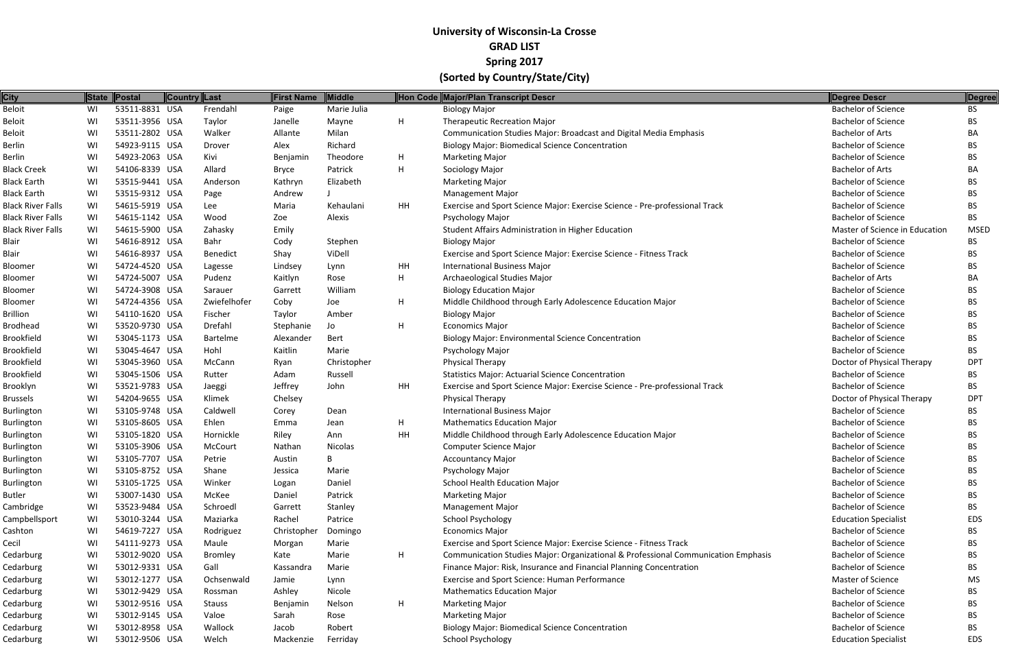| <b>City</b>              |    | State Postal   | Country Last |                 | <b>First Name</b> | Middle      |           | Hon Code Major/Plan Transcript Descr                                              | Degree Descr                   | Degree      |
|--------------------------|----|----------------|--------------|-----------------|-------------------|-------------|-----------|-----------------------------------------------------------------------------------|--------------------------------|-------------|
| <b>Beloit</b>            | WI | 53511-8831 USA |              | Frendahl        | Paige             | Marie Julia |           | <b>Biology Major</b>                                                              | <b>Bachelor of Science</b>     | <b>BS</b>   |
| Beloit                   | WI | 53511-3956 USA |              | Taylor          | Janelle           | Mayne       | H         | <b>Therapeutic Recreation Major</b>                                               | <b>Bachelor of Science</b>     | BS.         |
| Beloit                   | WI | 53511-2802 USA |              | Walker          | Allante           | Milan       |           | Communication Studies Major: Broadcast and Digital Media Emphasis                 | <b>Bachelor of Arts</b>        | BA          |
| Berlin                   | WI | 54923-9115 USA |              | Drover          | Alex              | Richard     |           | <b>Biology Major: Biomedical Science Concentration</b>                            | <b>Bachelor of Science</b>     | BS.         |
| Berlin                   | WI | 54923-2063 USA |              | Kivi            | Benjamin          | Theodore    | H         | <b>Marketing Major</b>                                                            | <b>Bachelor of Science</b>     | BS.         |
| <b>Black Creek</b>       | WI | 54106-8339 USA |              | Allard          | Bryce             | Patrick     | H         | Sociology Major                                                                   | <b>Bachelor of Arts</b>        | BA          |
| <b>Black Earth</b>       | WI | 53515-9441 USA |              | Anderson        | Kathryn           | Elizabeth   |           | <b>Marketing Major</b>                                                            | <b>Bachelor of Science</b>     | BS.         |
| <b>Black Earth</b>       | WI | 53515-9312 USA |              | Page            | Andrew            |             |           | <b>Management Major</b>                                                           | <b>Bachelor of Science</b>     | BS.         |
| <b>Black River Falls</b> | WI | 54615-5919 USA |              | Lee             | Maria             | Kehaulani   | <b>HH</b> | Exercise and Sport Science Major: Exercise Science - Pre-professional Track       | <b>Bachelor of Science</b>     | BS.         |
| Black River Falls        | WI | 54615-1142 USA |              | Wood            | Zoe               | Alexis      |           | Psychology Major                                                                  | <b>Bachelor of Science</b>     | <b>BS</b>   |
| Black River Falls        | WI | 54615-5900 USA |              | Zahasky         | Emily             |             |           | Student Affairs Administration in Higher Education                                | Master of Science in Education | <b>MSED</b> |
| Blair                    | WI | 54616-8912 USA |              | Bahr            | Cody              | Stephen     |           | <b>Biology Major</b>                                                              | <b>Bachelor of Science</b>     | BS.         |
| Blair                    | WI | 54616-8937 USA |              | <b>Benedict</b> | Shay              | ViDell      |           | Exercise and Sport Science Major: Exercise Science - Fitness Track                | <b>Bachelor of Science</b>     | BS.         |
| Bloomer                  | WI | 54724-4520 USA |              | Lagesse         | Lindsey           | Lynn        | HH        | <b>International Business Major</b>                                               | <b>Bachelor of Science</b>     | BS.         |
| Bloomer                  | WI | 54724-5007 USA |              | Pudenz          | Kaitlyn           | Rose        | H         | Archaeological Studies Major                                                      | <b>Bachelor of Arts</b>        | BA          |
| Bloomer                  | WI | 54724-3908 USA |              | Sarauer         | Garrett           | William     |           | <b>Biology Education Major</b>                                                    | <b>Bachelor of Science</b>     | BS.         |
| Bloomer                  | WI | 54724-4356 USA |              | Zwiefelhofer    | Coby              | Joe         | H         | Middle Childhood through Early Adolescence Education Major                        | <b>Bachelor of Science</b>     | BS.         |
| Brillion                 | WI | 54110-1620 USA |              | Fischer         | Taylor            | Amber       |           | <b>Biology Major</b>                                                              | <b>Bachelor of Science</b>     | BS.         |
| Brodhead                 | WI | 53520-9730 USA |              | Drefahl         | Stephanie         | Jo          | H         | <b>Economics Major</b>                                                            | <b>Bachelor of Science</b>     | BS.         |
| Brookfield               | WI | 53045-1173 USA |              | Bartelme        | Alexander         | Bert        |           | <b>Biology Major: Environmental Science Concentration</b>                         | <b>Bachelor of Science</b>     | BS.         |
| Brookfield               | WI | 53045-4647 USA |              | Hohl            | Kaitlin           | Marie       |           | Psychology Major                                                                  | <b>Bachelor of Science</b>     | BS.         |
| Brookfield               | WI | 53045-3960 USA |              | McCann          | Ryan              | Christopher |           | Physical Therapy                                                                  | Doctor of Physical Therapy     | <b>DPT</b>  |
| Brookfield               | WI | 53045-1506 USA |              | Rutter          | Adam              | Russell     |           | <b>Statistics Major: Actuarial Science Concentration</b>                          | <b>Bachelor of Science</b>     | BS.         |
| Brooklyn                 | WI | 53521-9783 USA |              | Jaeggi          | Jeffrey           | John        | HH        | Exercise and Sport Science Major: Exercise Science - Pre-professional Track       | <b>Bachelor of Science</b>     | BS.         |
| Brussels                 | WI | 54204-9655 USA |              | Klimek          | Chelsey           |             |           | <b>Physical Therapy</b>                                                           | Doctor of Physical Therapy     | <b>DPT</b>  |
| Burlington               | WI | 53105-9748 USA |              | Caldwell        | Corey             | Dean        |           | <b>International Business Major</b>                                               | <b>Bachelor of Science</b>     | BS.         |
| Burlington               | WI | 53105-8605 USA |              | Ehlen           | Emma              | Jean        | H         | <b>Mathematics Education Major</b>                                                | <b>Bachelor of Science</b>     | BS.         |
| Burlington               | WI | 53105-1820 USA |              | Hornickle       | Riley             | Ann         | HH        | Middle Childhood through Early Adolescence Education Major                        | <b>Bachelor of Science</b>     | BS.         |
| <b>Burlington</b>        | WI | 53105-3906 USA |              | McCourt         | Nathan            | Nicolas     |           | <b>Computer Science Major</b>                                                     | <b>Bachelor of Science</b>     | BS.         |
| Burlington               | WI | 53105-7707 USA |              | Petrie          | Austin            |             |           | <b>Accountancy Major</b>                                                          | <b>Bachelor of Science</b>     | <b>BS</b>   |
| <b>Burlington</b>        | WI | 53105-8752 USA |              | Shane           | Jessica           | Marie       |           | Psychology Major                                                                  | <b>Bachelor of Science</b>     | BS.         |
| <b>Burlington</b>        | WI | 53105-1725 USA |              | Winker          | Logan             | Daniel      |           | <b>School Health Education Major</b>                                              | <b>Bachelor of Science</b>     | BS.         |
| Butler                   | WI | 53007-1430 USA |              | McKee           | Daniel            | Patrick     |           | <b>Marketing Major</b>                                                            | <b>Bachelor of Science</b>     | BS.         |
| Cambridge                | WI | 53523-9484 USA |              | Schroedl        | Garrett           | Stanley     |           | <b>Management Major</b>                                                           | <b>Bachelor of Science</b>     | BS.         |
| Campbellsport            | WI | 53010-3244 USA |              | Maziarka        | Rachel            | Patrice     |           | School Psychology                                                                 | <b>Education Specialist</b>    | <b>EDS</b>  |
| Cashton                  | WI | 54619-7227 USA |              | Rodriguez       | Christopher       | Domingo     |           | <b>Economics Major</b>                                                            | <b>Bachelor of Science</b>     | BS.         |
| Cecil                    | WI | 54111-9273 USA |              | Maule           | Morgan            | Marie       |           | Exercise and Sport Science Major: Exercise Science - Fitness Track                | <b>Bachelor of Science</b>     | BS.         |
| Cedarburg                | WI | 53012-9020 USA |              | Bromley         | Kate              | Marie       | H         | Communication Studies Major: Organizational & Professional Communication Emphasis | <b>Bachelor of Science</b>     | BS.         |
| Cedarburg                | WI | 53012-9331 USA |              | Gall            | Kassandra         | Marie       |           | Finance Major: Risk, Insurance and Financial Planning Concentration               | <b>Bachelor of Science</b>     | BS.         |
| Cedarburg                | WI | 53012-1277 USA |              | Ochsenwald      | Jamie             | Lynn        |           | Exercise and Sport Science: Human Performance                                     | Master of Science              | MS          |
| Cedarburg                | WI | 53012-9429 USA |              | Rossman         | Ashley            | Nicole      |           | <b>Mathematics Education Major</b>                                                | <b>Bachelor of Science</b>     | BS.         |
| Cedarburg                | WI | 53012-9516 USA |              | Stauss          | Benjamin          | Nelson      | H         | <b>Marketing Major</b>                                                            | <b>Bachelor of Science</b>     | BS.         |
| Cedarburg                | WI | 53012-9145 USA |              | Valoe           | Sarah             | Rose        |           | <b>Marketing Major</b>                                                            | <b>Bachelor of Science</b>     | BS          |
| Cedarburg                | WI | 53012-8958 USA |              | Wallock         | Jacob             | Robert      |           | <b>Biology Major: Biomedical Science Concentration</b>                            | <b>Bachelor of Science</b>     | <b>BS</b>   |
| Cedarburg                | WI | 53012-9506 USA |              | Welch           | Mackenzie         | Ferriday    |           | School Psychology                                                                 | <b>Education Specialist</b>    | <b>EDS</b>  |
|                          |    |                |              |                 |                   |             |           |                                                                                   |                                |             |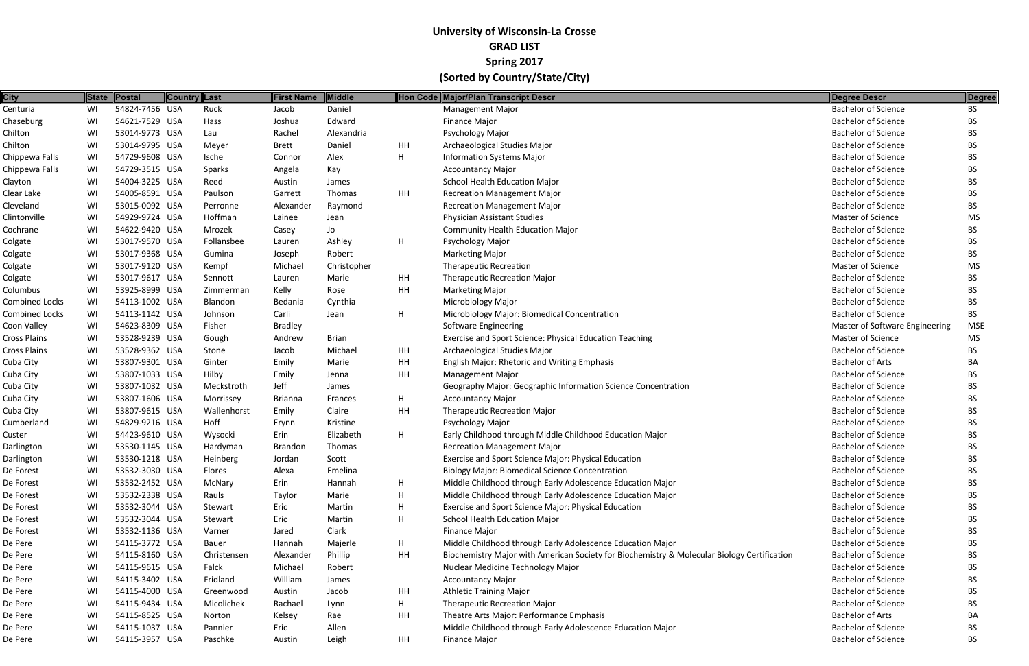| <b>City</b>           |    | State Postal   | Country Last | First Name     | <b>Middle</b> |           | Hon Code Major/Plan Transcript Descr                                                        | Degree Descr                   | <b>Degree</b> |
|-----------------------|----|----------------|--------------|----------------|---------------|-----------|---------------------------------------------------------------------------------------------|--------------------------------|---------------|
| Centuria              | WI | 54824-7456 USA | Ruck         | Jacob          | Daniel        |           | <b>Management Major</b>                                                                     | <b>Bachelor of Science</b>     | <b>BS</b>     |
| Chaseburg             | WI | 54621-7529 USA | Hass         | Joshua         | Edward        |           | <b>Finance Major</b>                                                                        | <b>Bachelor of Science</b>     | BS            |
| Chilton               | WI | 53014-9773 USA | Lau          | Rachel         | Alexandria    |           | Psychology Major                                                                            | <b>Bachelor of Science</b>     | BS.           |
| Chilton               | WI | 53014-9795 USA | Meyer        | <b>Brett</b>   | Daniel        | HH        | Archaeological Studies Major                                                                | <b>Bachelor of Science</b>     | BS            |
| Chippewa Falls        | WI | 54729-9608 USA | Ische        | Connor         | Alex          | H         | <b>Information Systems Major</b>                                                            | <b>Bachelor of Science</b>     | BS.           |
| Chippewa Falls        | WI | 54729-3515 USA | Sparks       | Angela         | Kay           |           | <b>Accountancy Major</b>                                                                    | <b>Bachelor of Science</b>     | BS.           |
| Clayton               | WI | 54004-3225 USA | Reed         | Austin         | James         |           | School Health Education Major                                                               | <b>Bachelor of Science</b>     | BS.           |
| Clear Lake            | WI | 54005-8591 USA | Paulson      | Garrett        | Thomas        | HH        | <b>Recreation Management Major</b>                                                          | <b>Bachelor of Science</b>     | BS.           |
| Cleveland             | WI | 53015-0092 USA | Perronne     | Alexander      | Raymond       |           | <b>Recreation Management Major</b>                                                          | <b>Bachelor of Science</b>     | BS.           |
| Clintonville          | WI | 54929-9724 USA | Hoffman      | Lainee         | Jean          |           | <b>Physician Assistant Studies</b>                                                          | <b>Master of Science</b>       | MS            |
| Cochrane              | WI | 54622-9420 USA | Mrozek       | Casey          | Jo            |           | <b>Community Health Education Major</b>                                                     | <b>Bachelor of Science</b>     | BS.           |
| Colgate               | WI | 53017-9570 USA | Follansbee   | Lauren         | Ashley        | H         | Psychology Major                                                                            | <b>Bachelor of Science</b>     | BS            |
| Colgate               | WI | 53017-9368 USA | Gumina       | Joseph         | Robert        |           | <b>Marketing Major</b>                                                                      | <b>Bachelor of Science</b>     | BS.           |
| Colgate               | WI | 53017-9120 USA | Kempf        | Michael        | Christopher   |           | <b>Therapeutic Recreation</b>                                                               | Master of Science              | MS            |
| Colgate               | WI | 53017-9617 USA | Sennott      | Lauren         | Marie         | HH        | Therapeutic Recreation Major                                                                | <b>Bachelor of Science</b>     | BS.           |
| Columbus              | WI | 53925-8999 USA | Zimmerman    | Kelly          | Rose          | HH        | <b>Marketing Major</b>                                                                      | <b>Bachelor of Science</b>     | BS.           |
| <b>Combined Locks</b> | WI | 54113-1002 USA | Blandon      | Bedania        | Cynthia       |           | Microbiology Major                                                                          | <b>Bachelor of Science</b>     | BS            |
| <b>Combined Locks</b> | WI | 54113-1142 USA | Johnson      | Carli          | Jean          | Н.        | Microbiology Major: Biomedical Concentration                                                | <b>Bachelor of Science</b>     | <b>BS</b>     |
| Coon Valley           | WI | 54623-8309 USA | Fisher       | <b>Bradley</b> |               |           | <b>Software Engineering</b>                                                                 | Master of Software Engineering | <b>MSE</b>    |
| Cross Plains          | WI | 53528-9239 USA | Gough        | Andrew         | <b>Brian</b>  |           | Exercise and Sport Science: Physical Education Teaching                                     | Master of Science              | MS            |
| Cross Plains          | WI | 53528-9362 USA | Stone        | Jacob          | Michael       | HH        | Archaeological Studies Major                                                                | <b>Bachelor of Science</b>     | BS.           |
| Cuba City             | WI | 53807-9301 USA | Ginter       | Emily          | Marie         | HH        | English Major: Rhetoric and Writing Emphasis                                                | <b>Bachelor of Arts</b>        | ΒA            |
| Cuba City             | WI | 53807-1033 USA | Hilby        | Emily          | Jenna         | <b>HH</b> | <b>Management Major</b>                                                                     | <b>Bachelor of Science</b>     | BS.           |
| Cuba City             | WI | 53807-1032 USA | Meckstroth   | Jeff           | James         |           | Geography Major: Geographic Information Science Concentration                               | <b>Bachelor of Science</b>     | BS.           |
| Cuba City             | WI | 53807-1606 USA | Morrissey    | <b>Brianna</b> | Frances       | Н.        | <b>Accountancy Major</b>                                                                    | <b>Bachelor of Science</b>     | BS            |
| Cuba City             | WI | 53807-9615 USA | Wallenhorst  | Emily          | Claire        | HH        | <b>Therapeutic Recreation Major</b>                                                         | <b>Bachelor of Science</b>     | BS.           |
| Cumberland            | WI | 54829-9216 USA | Hoff         | Erynn          | Kristine      |           | Psychology Major                                                                            | <b>Bachelor of Science</b>     | BS.           |
| Custer                | WI | 54423-9610 USA | Wysocki      | Erin           | Elizabeth     | H         | Early Childhood through Middle Childhood Education Major                                    | <b>Bachelor of Science</b>     | BS.           |
| Darlington            | WI | 53530-1145 USA | Hardyman     | <b>Brandon</b> | Thomas        |           | <b>Recreation Management Major</b>                                                          | <b>Bachelor of Science</b>     | BS.           |
| Darlington            | WI | 53530-1218 USA | Heinberg     | Jordan         | Scott         |           | Exercise and Sport Science Major: Physical Education                                        | <b>Bachelor of Science</b>     | BS            |
| De Forest             | WI | 53532-3030 USA | Flores       | Alexa          | Emelina       |           | <b>Biology Major: Biomedical Science Concentration</b>                                      | <b>Bachelor of Science</b>     | BS.           |
| De Forest             | WI | 53532-2452 USA | McNary       | Erin           | Hannah        | H         | Middle Childhood through Early Adolescence Education Major                                  | <b>Bachelor of Science</b>     | ВS            |
| De Forest             | WI | 53532-2338 USA | Rauls        | Taylor         | Marie         | H         | Middle Childhood through Early Adolescence Education Major                                  | <b>Bachelor of Science</b>     | BS.           |
| De Forest             | WI | 53532-3044 USA | Stewart      | Eric           | Martin        | H         | Exercise and Sport Science Major: Physical Education                                        | <b>Bachelor of Science</b>     | BS.           |
| De Forest             | WI | 53532-3044 USA | Stewart      | Eric           | Martin        | H         | School Health Education Major                                                               | <b>Bachelor of Science</b>     | BS            |
| De Forest             | WI | 53532-1136 USA | Varner       | Jared          | Clark         |           | <b>Finance Major</b>                                                                        | <b>Bachelor of Science</b>     | BS.           |
| De Pere               | WI | 54115-3772 USA | Bauer        | Hannah         | Majerle       | Н.        | Middle Childhood through Early Adolescence Education Major                                  | <b>Bachelor of Science</b>     | ВS            |
| De Pere               | WI | 54115-8160 USA | Christensen  | Alexander      | Phillip       | HH        | Biochemistry Major with American Society for Biochemistry & Molecular Biology Certification | <b>Bachelor of Science</b>     | BS.           |
| De Pere               | WI | 54115-9615 USA | Falck        | Michael        | Robert        |           | Nuclear Medicine Technology Major                                                           | <b>Bachelor of Science</b>     | BS.           |
| De Pere               | WI | 54115-3402 USA | Fridland     | William        | James         |           | <b>Accountancy Major</b>                                                                    | <b>Bachelor of Science</b>     | BS            |
| De Pere               | WI | 54115-4000 USA | Greenwood    | Austin         | Jacob         | HH        | <b>Athletic Training Major</b>                                                              | <b>Bachelor of Science</b>     | BS.           |
| De Pere               | WI | 54115-9434 USA | Micolichek   | Rachael        | Lynn          | Н.        | <b>Therapeutic Recreation Major</b>                                                         | <b>Bachelor of Science</b>     | BS.           |
| De Pere               | WI | 54115-8525 USA | Norton       | Kelsey         | Rae           | HH        | Theatre Arts Major: Performance Emphasis                                                    | <b>Bachelor of Arts</b>        | BA            |
| De Pere               | WI | 54115-1037 USA | Pannier      | Eric           | Allen         |           | Middle Childhood through Early Adolescence Education Major                                  | <b>Bachelor of Science</b>     | BS.           |
| De Pere               | WI | 54115-3957 USA | Paschke      | Austin         | Leigh         | HH        | <b>Finance Major</b>                                                                        | <b>Bachelor of Science</b>     | <b>BS</b>     |
|                       |    |                |              |                |               |           |                                                                                             |                                |               |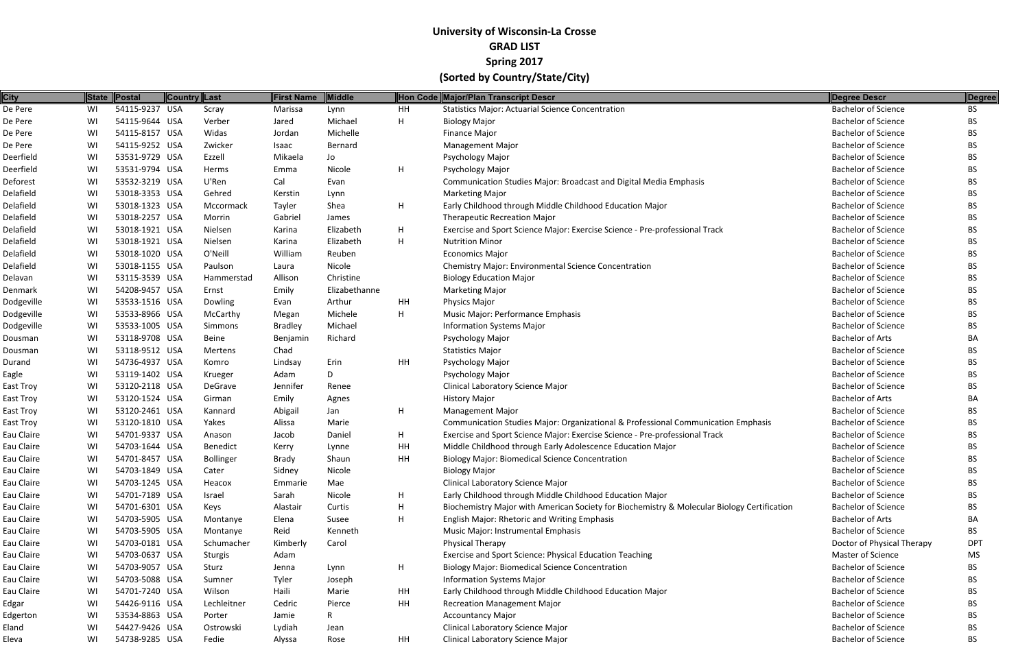| <b>City</b> |    | State Postal   | Country Last     | First Name     | Middle        |    | Hon Code Major/Plan Transcript Descr                                                        | Degree Descr               | <b>Degree</b> |
|-------------|----|----------------|------------------|----------------|---------------|----|---------------------------------------------------------------------------------------------|----------------------------|---------------|
| De Pere     | WI | 54115-9237 USA | Scray            | Marissa        | Lynn          | HH | <b>Statistics Major: Actuarial Science Concentration</b>                                    | <b>Bachelor of Science</b> | BS.           |
| De Pere     | WI | 54115-9644 USA | Verber           | Jared          | Michael       | H  | <b>Biology Major</b>                                                                        | <b>Bachelor of Science</b> | BS            |
| De Pere     | WI | 54115-8157 USA | Widas            | Jordan         | Michelle      |    | <b>Finance Major</b>                                                                        | <b>Bachelor of Science</b> | BS.           |
| De Pere     | WI | 54115-9252 USA | Zwicker          | Isaac          | Bernard       |    | <b>Management Major</b>                                                                     | <b>Bachelor of Science</b> |               |
| Deerfield   | WI | 53531-9729 USA | Ezzell           | Mikaela        | Jo            |    | Psychology Major                                                                            | <b>Bachelor of Science</b> | BS.           |
| Deerfield   | WI | 53531-9794 USA | Herms            | Emma           | Nicole        | H  | Psychology Major                                                                            | <b>Bachelor of Science</b> | BS.           |
| Deforest    | WI | 53532-3219 USA | U'Ren            | Cal            | Evan          |    | Communication Studies Major: Broadcast and Digital Media Emphasis                           | <b>Bachelor of Science</b> | BS.           |
| Delafield   | WI | 53018-3353 USA | Gehred           | Kerstin        | Lynn          |    | <b>Marketing Major</b>                                                                      | <b>Bachelor of Science</b> | BS.           |
| Delafield   | WI | 53018-1323 USA | Mccormack        | Tayler         | Shea          | H  | Early Childhood through Middle Childhood Education Major                                    | <b>Bachelor of Science</b> | BS.           |
| Delafield   | WI | 53018-2257 USA | Morrin           | Gabriel        | James         |    | <b>Therapeutic Recreation Major</b>                                                         | <b>Bachelor of Science</b> | BS.           |
| Delafield   | WI | 53018-1921 USA | Nielsen          | Karina         | Elizabeth     | H  | Exercise and Sport Science Major: Exercise Science - Pre-professional Track                 | <b>Bachelor of Science</b> | BS.           |
| Delafield   | WI | 53018-1921 USA | Nielsen          | Karina         | Elizabeth     | H  | <b>Nutrition Minor</b>                                                                      | <b>Bachelor of Science</b> |               |
| Delafield   | WI | 53018-1020 USA | O'Neill          | William        | Reuben        |    | <b>Economics Major</b>                                                                      | <b>Bachelor of Science</b> | BS.           |
| Delafield   | WI | 53018-1155 USA | Paulson          | Laura          | Nicole        |    | <b>Chemistry Major: Environmental Science Concentration</b>                                 | <b>Bachelor of Science</b> | BS.           |
| Delavan     | WI | 53115-3539 USA | Hammerstad       | Allison        | Christine     |    | <b>Biology Education Major</b>                                                              | <b>Bachelor of Science</b> | BS.           |
| Denmark     | WI | 54208-9457 USA | Ernst            | Emily          | Elizabethanne |    | <b>Marketing Major</b>                                                                      | <b>Bachelor of Science</b> | BS.           |
| Dodgeville  | WI | 53533-1516 USA | Dowling          | Evan           | Arthur        | HH | Physics Major                                                                               | <b>Bachelor of Science</b> | BS.           |
| Dodgeville  | WI | 53533-8966 USA | McCarthy         | Megan          | Michele       | H  | Music Major: Performance Emphasis                                                           | <b>Bachelor of Science</b> | BS.           |
| Dodgeville  | WI | 53533-1005 USA | Simmons          | <b>Bradley</b> | Michael       |    | <b>Information Systems Major</b>                                                            | <b>Bachelor of Science</b> | BS.           |
| Dousman     | WI | 53118-9708 USA | Beine            | Benjamin       | Richard       |    | Psychology Major                                                                            | <b>Bachelor of Arts</b>    | BА            |
| Dousman     | WI | 53118-9512 USA | Mertens          | Chad           |               |    | <b>Statistics Major</b>                                                                     | <b>Bachelor of Science</b> | BS.           |
| Durand      | WI | 54736-4937 USA | Komro            | Lindsay        | Erin          | HH | Psychology Major                                                                            | <b>Bachelor of Science</b> |               |
| Eagle       | WI | 53119-1402 USA | Krueger          | Adam           | D             |    | Psychology Major                                                                            | <b>Bachelor of Science</b> | BS.           |
| East Troy   | WI | 53120-2118 USA | DeGrave          | Jennifer       | Renee         |    | Clinical Laboratory Science Major                                                           | <b>Bachelor of Science</b> | BS.           |
| East Troy   | WI | 53120-1524 USA | Girman           | Emily          | Agnes         |    | <b>History Major</b>                                                                        | <b>Bachelor of Arts</b>    | BА            |
| East Troy   | WI | 53120-2461 USA | Kannard          | Abigail        | Jan           | H  | <b>Management Major</b>                                                                     | <b>Bachelor of Science</b> | BS.           |
| East Troy   | WI | 53120-1810 USA | Yakes            | Alissa         | Marie         |    | Communication Studies Major: Organizational & Professional Communication Emphasis           | <b>Bachelor of Science</b> | BS.           |
| Eau Claire  | WI | 54701-9337 USA | Anason           | Jacob          | Daniel        | H  | Exercise and Sport Science Major: Exercise Science - Pre-professional Track                 | <b>Bachelor of Science</b> | BS.           |
| Eau Claire  | WI | 54703-1644 USA | <b>Benedict</b>  | Kerry          | Lynne         | HH | Middle Childhood through Early Adolescence Education Major                                  | <b>Bachelor of Science</b> | BS.           |
| Eau Claire  | WI | 54701-8457 USA | <b>Bollinger</b> | Brady          | Shaun         | HH | <b>Biology Major: Biomedical Science Concentration</b>                                      | <b>Bachelor of Science</b> | ВS            |
| Eau Claire  | WI | 54703-1849 USA | Cater            | Sidney         | Nicole        |    | <b>Biology Major</b>                                                                        | <b>Bachelor of Science</b> | BS.           |
| Eau Claire  | WI | 54703-1245 USA | Heacox           | Emmarie        | Mae           |    | Clinical Laboratory Science Major                                                           | <b>Bachelor of Science</b> | BS.           |
| Eau Claire  | WI | 54701-7189 USA | Israel           | Sarah          | Nicole        | H  | Early Childhood through Middle Childhood Education Major                                    | <b>Bachelor of Science</b> | BS.           |
| Eau Claire  | WI | 54701-6301 USA | Keys             | Alastair       | Curtis        | H  | Biochemistry Major with American Society for Biochemistry & Molecular Biology Certification | <b>Bachelor of Science</b> | BS.           |
| Eau Claire  | WI | 54703-5905 USA | Montanye         | Elena          | Susee         | H  | English Major: Rhetoric and Writing Emphasis                                                | <b>Bachelor of Arts</b>    | BА            |
| Eau Claire  | WI | 54703-5905 USA | Montanye         | Reid           | Kenneth       |    | Music Major: Instrumental Emphasis                                                          | <b>Bachelor of Science</b> | BS            |
| Eau Claire  | WI | 54703-0181 USA | Schumacher       | Kimberly       | Carol         |    | Physical Therapy                                                                            | Doctor of Physical Therapy | <b>DPT</b>    |
| Eau Claire  | WI | 54703-0637 USA | Sturgis          | Adam           |               |    | Exercise and Sport Science: Physical Education Teaching                                     | Master of Science          | MS            |
| Eau Claire  | WI | 54703-9057 USA | Sturz            | Jenna          | Lynn          | H  | <b>Biology Major: Biomedical Science Concentration</b>                                      | <b>Bachelor of Science</b> | BS.           |
| Eau Claire  | WI | 54703-5088 USA | Sumner           | Tyler          | Joseph        |    | <b>Information Systems Major</b>                                                            | <b>Bachelor of Science</b> | ВS            |
| Eau Claire  | WI | 54701-7240 USA | Wilson           | Haili          | Marie         | HH | Early Childhood through Middle Childhood Education Major                                    | <b>Bachelor of Science</b> | BS.           |
| Edgar       | WI | 54426-9116 USA | Lechleitner      | Cedric         | Pierce        | HH | <b>Recreation Management Major</b>                                                          | <b>Bachelor of Science</b> | BS.           |
| Edgerton    | WI | 53534-8863 USA | Porter           | Jamie          | R             |    | <b>Accountancy Major</b>                                                                    | <b>Bachelor of Science</b> | ВS            |
| Eland       | WI | 54427-9426 USA | Ostrowski        | Lydiah         | Jean          |    | Clinical Laboratory Science Major                                                           | <b>Bachelor of Science</b> | BS.           |
| Eleva       | WI | 54738-9285 USA | Fedie            | Alyssa         | Rose          | HH | <b>Clinical Laboratory Science Major</b>                                                    | <b>Bachelor of Science</b> | <b>BS</b>     |
|             |    |                |                  |                |               |    |                                                                                             |                            |               |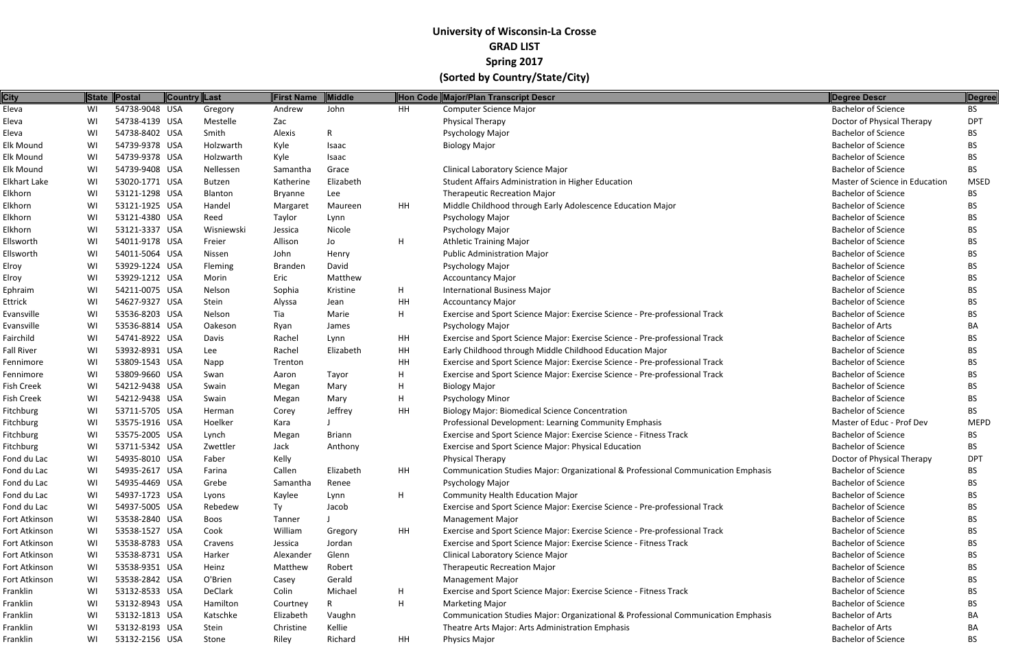| <b>City</b>      |    | State Postal   | Country Last |            | <b>First Name</b> | Middle        |    | Hon Code Major/Plan Transcript Descr                                              | Degree Descr                   | <b>Degree</b> |
|------------------|----|----------------|--------------|------------|-------------------|---------------|----|-----------------------------------------------------------------------------------|--------------------------------|---------------|
| Eleva            | WI | 54738-9048 USA |              | Gregory    | Andrew            | John          | HH | <b>Computer Science Major</b>                                                     | <b>Bachelor of Science</b>     | <b>BS</b>     |
| Eleva            | WI | 54738-4139 USA |              | Mestelle   | Zac               |               |    | <b>Physical Therapy</b>                                                           | Doctor of Physical Therapy     | <b>DPT</b>    |
| Eleva            | WI | 54738-8402 USA |              | Smith      | Alexis            | R             |    | <b>Psychology Major</b>                                                           | <b>Bachelor of Science</b>     | BS.           |
| Elk Mound        | WI | 54739-9378 USA |              | Holzwarth  | Kyle              | Isaac         |    | <b>Biology Major</b>                                                              | <b>Bachelor of Science</b>     | BS            |
| Elk Mound        | WI | 54739-9378 USA |              | Holzwarth  | Kyle              | Isaac         |    |                                                                                   | <b>Bachelor of Science</b>     | BS.           |
| <b>Elk Mound</b> | WI | 54739-9408 USA |              | Nellessen  | Samantha          | Grace         |    | <b>Clinical Laboratory Science Major</b>                                          | <b>Bachelor of Science</b>     | BS.           |
| Elkhart Lake     | WI | 53020-1771 USA |              | Butzen     | Katherine         | Elizabeth     |    | Student Affairs Administration in Higher Education                                | Master of Science in Education | <b>MSED</b>   |
| Elkhorn          | WI | 53121-1298 USA |              | Blanton    | <b>Bryanne</b>    | Lee           |    | <b>Therapeutic Recreation Major</b>                                               | <b>Bachelor of Science</b>     | BS.           |
| Elkhorn          | WI | 53121-1925 USA |              | Handel     | Margaret          | Maureen       | HH | Middle Childhood through Early Adolescence Education Major                        | <b>Bachelor of Science</b>     | BS            |
| Elkhorn          | WI | 53121-4380 USA |              | Reed       | Taylor            | Lynn          |    | Psychology Major                                                                  | <b>Bachelor of Science</b>     | BS.           |
| Elkhorn          | WI | 53121-3337 USA |              | Wisniewski | Jessica           | Nicole        |    | Psychology Major                                                                  | <b>Bachelor of Science</b>     | BS.           |
| Ellsworth        | WI | 54011-9178 USA |              | Freier     | Allison           | Jo            | H  | <b>Athletic Training Major</b>                                                    | <b>Bachelor of Science</b>     | BS            |
| Ellsworth        | WI | 54011-5064 USA |              | Nissen     | John              | Henry         |    | <b>Public Administration Major</b>                                                | <b>Bachelor of Science</b>     | BS.           |
| Elroy            | WI | 53929-1224 USA |              | Fleming    | <b>Branden</b>    | David         |    | Psychology Major                                                                  | <b>Bachelor of Science</b>     | BS            |
| Elroy            | WI | 53929-1212 USA |              | Morin      | Eric              | Matthew       |    | <b>Accountancy Major</b>                                                          | <b>Bachelor of Science</b>     | BS.           |
| Ephraim          | WI | 54211-0075 USA |              | Nelson     | Sophia            | Kristine      | H. | <b>International Business Major</b>                                               | <b>Bachelor of Science</b>     | BS.           |
| Ettrick          | WI | 54627-9327 USA |              | Stein      | Alyssa            | Jean          | HH | <b>Accountancy Major</b>                                                          | <b>Bachelor of Science</b>     | BS            |
| Evansville       | WI | 53536-8203 USA |              | Nelson     | Tia               | Marie         | H  | Exercise and Sport Science Major: Exercise Science - Pre-professional Track       | <b>Bachelor of Science</b>     | BS.           |
| Evansville       | WI | 53536-8814 USA |              | Oakeson    | Ryan              | James         |    | Psychology Major                                                                  | <b>Bachelor of Arts</b>        | BA            |
| Fairchild        | WI | 54741-8922 USA |              | Davis      | Rachel            | Lynn          | HH | Exercise and Sport Science Major: Exercise Science - Pre-professional Track       | <b>Bachelor of Science</b>     | BS.           |
| Fall River       | WI | 53932-8931 USA |              | Lee        | Rachel            | Elizabeth     | HH | Early Childhood through Middle Childhood Education Major                          | <b>Bachelor of Science</b>     | BS.           |
| Fennimore        | WI | 53809-1543 USA |              | Napp       | Trenton           |               | HH | Exercise and Sport Science Major: Exercise Science - Pre-professional Track       | <b>Bachelor of Science</b>     | BS            |
| Fennimore        | WI | 53809-9660 USA |              | Swan       | Aaron             | Tayor         | H  | Exercise and Sport Science Major: Exercise Science - Pre-professional Track       | <b>Bachelor of Science</b>     | BS.           |
| Fish Creek       | WI | 54212-9438 USA |              | Swain      | Megan             | Mary          | H  | <b>Biology Major</b>                                                              | <b>Bachelor of Science</b>     | BS.           |
| Fish Creek       | WI | 54212-9438 USA |              | Swain      | Megan             | Mary          | H  | <b>Psychology Minor</b>                                                           | <b>Bachelor of Science</b>     | BS.           |
| Fitchburg        | WI | 53711-5705 USA |              | Herman     | Corey             | Jeffrey       | HH | <b>Biology Major: Biomedical Science Concentration</b>                            | <b>Bachelor of Science</b>     | BS.           |
| Fitchburg        | WI | 53575-1916 USA |              | Hoelker    | Kara              |               |    | Professional Development: Learning Community Emphasis                             | Master of Educ - Prof Dev      | <b>MEPD</b>   |
| Fitchburg        | WI | 53575-2005 USA |              | Lynch      | Megan             | <b>Briann</b> |    | Exercise and Sport Science Major: Exercise Science - Fitness Track                | <b>Bachelor of Science</b>     | BS.           |
| Fitchburg        | WI | 53711-5342 USA |              | Zwettler   | Jack              | Anthony       |    | Exercise and Sport Science Major: Physical Education                              | <b>Bachelor of Science</b>     | BS.           |
| Fond du Lac      | WI | 54935-8010 USA |              | Faber      | Kelly             |               |    | <b>Physical Therapy</b>                                                           | Doctor of Physical Therapy     | <b>DPT</b>    |
| Fond du Lac      | WI | 54935-2617 USA |              | Farina     | Callen            | Elizabeth     | HH | Communication Studies Major: Organizational & Professional Communication Emphasis | <b>Bachelor of Science</b>     | BS.           |
| Fond du Lac      | WI | 54935-4469 USA |              | Grebe      | Samantha          | Renee         |    | Psychology Major                                                                  | <b>Bachelor of Science</b>     | BS            |
| Fond du Lac      | WI | 54937-1723 USA |              | Lyons      | Kaylee            | Lynn          | H. | <b>Community Health Education Major</b>                                           | <b>Bachelor of Science</b>     | BS.           |
| Fond du Lac      | WI | 54937-5005 USA |              | Rebedew    | Ty                | Jacob         |    | Exercise and Sport Science Major: Exercise Science - Pre-professional Track       | <b>Bachelor of Science</b>     | BS.           |
| Fort Atkinson    | WI | 53538-2840 USA |              | Boos       | Tanner            |               |    | <b>Management Major</b>                                                           | <b>Bachelor of Science</b>     | BS            |
| Fort Atkinson    | WI | 53538-1527 USA |              | Cook       | William           | Gregory       | HH | Exercise and Sport Science Major: Exercise Science - Pre-professional Track       | <b>Bachelor of Science</b>     | BS.           |
| Fort Atkinson    | WI | 53538-8783 USA |              | Cravens    | Jessica           | Jordan        |    | Exercise and Sport Science Major: Exercise Science - Fitness Track                | <b>Bachelor of Science</b>     | BS            |
| Fort Atkinson    | WI | 53538-8731 USA |              | Harker     | Alexander         | Glenn         |    | Clinical Laboratory Science Major                                                 | <b>Bachelor of Science</b>     | BS.           |
| Fort Atkinson    | WI | 53538-9351 USA |              | Heinz      | Matthew           | Robert        |    | <b>Therapeutic Recreation Major</b>                                               | <b>Bachelor of Science</b>     | BS.           |
| Fort Atkinson    | WI | 53538-2842 USA |              | O'Brien    | Casey             | Gerald        |    | <b>Management Major</b>                                                           | <b>Bachelor of Science</b>     | BS            |
| Franklin         | WI | 53132-8533 USA |              | DeClark    | Colin             | Michael       | H. | Exercise and Sport Science Major: Exercise Science - Fitness Track                | <b>Bachelor of Science</b>     | BS.           |
| Franklin         | WI | 53132-8943 USA |              | Hamilton   | Courtney          | R             | H  | <b>Marketing Major</b>                                                            | <b>Bachelor of Science</b>     | BS            |
| Franklin         | WI | 53132-1813 USA |              | Katschke   | Elizabeth         | Vaughn        |    | Communication Studies Major: Organizational & Professional Communication Emphasis | <b>Bachelor of Arts</b>        | ВA            |
| Franklin         | WI | 53132-8193 USA |              | Stein      | Christine         | Kellie        |    | Theatre Arts Major: Arts Administration Emphasis                                  | <b>Bachelor of Arts</b>        | ВA            |
| Franklin         | WI | 53132-2156 USA |              | Stone      | Riley             | Richard       | HH | <b>Physics Major</b>                                                              | <b>Bachelor of Science</b>     | BS.           |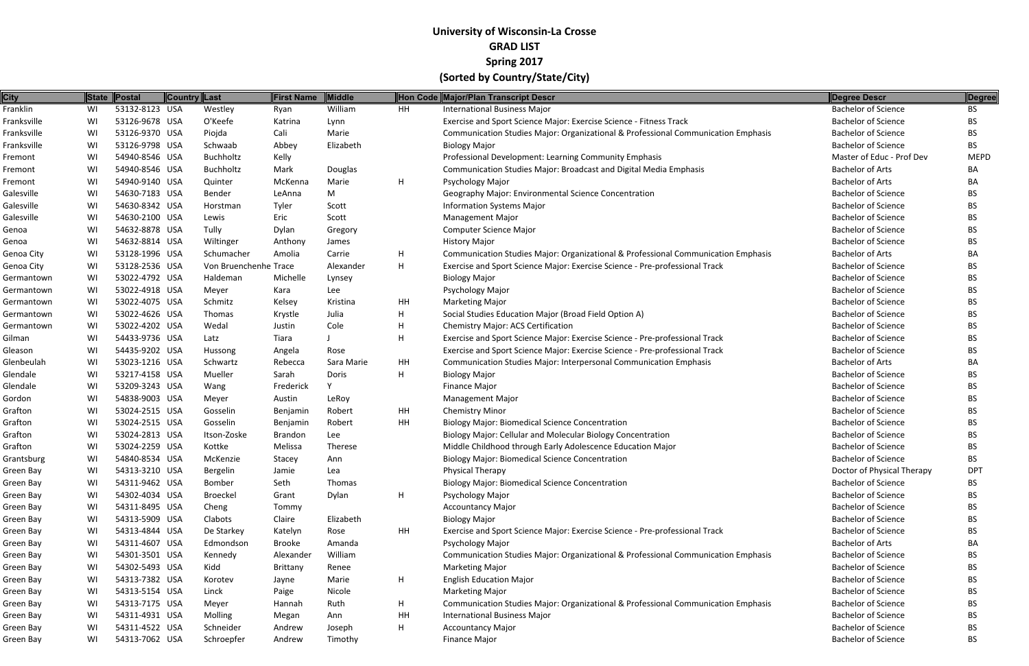| <b>City</b> |    | State Postal   | Country Last |                       | <b>First Name</b> | Middle     |    | Hon Code Major/Plan Transcript Descr                                              | Degree Descr               | <b>Degree</b> |
|-------------|----|----------------|--------------|-----------------------|-------------------|------------|----|-----------------------------------------------------------------------------------|----------------------------|---------------|
| Franklin    | WI | 53132-8123 USA |              | Westley               | Ryan              | William    | HH | <b>International Business Major</b>                                               | <b>Bachelor of Science</b> | <b>BS</b>     |
| Franksville | WI | 53126-9678 USA |              | O'Keefe               | Katrina           | Lynn       |    | Exercise and Sport Science Major: Exercise Science - Fitness Track                | <b>Bachelor of Science</b> | <b>BS</b>     |
| Franksville | WI | 53126-9370 USA |              | Piojda                | Cali              | Marie      |    | Communication Studies Major: Organizational & Professional Communication Emphasis | <b>Bachelor of Science</b> | <b>BS</b>     |
| Franksville | WI | 53126-9798 USA |              | Schwaab               | Abbey             | Elizabeth  |    | <b>Biology Major</b>                                                              | <b>Bachelor of Science</b> | <b>BS</b>     |
| Fremont     | WI | 54940-8546 USA |              | Buchholtz             | Kelly             |            |    | Professional Development: Learning Community Emphasis                             | Master of Educ - Prof Dev  | <b>MEPD</b>   |
| Fremont     | WI | 54940-8546 USA |              | Buchholtz             | Mark              | Douglas    |    | <b>Communication Studies Major: Broadcast and Digital Media Emphasis</b>          | <b>Bachelor of Arts</b>    | BA            |
| Fremont     | WI | 54940-9140 USA |              | Quinter               | McKenna           | Marie      | H  | Psychology Major                                                                  | <b>Bachelor of Arts</b>    | BA            |
| Galesville  | WI | 54630-7183 USA |              | Bender                | LeAnna            | M          |    | Geography Major: Environmental Science Concentration                              | <b>Bachelor of Science</b> | BS.           |
| Galesville  | WI | 54630-8342 USA |              | Horstman              | Tyler             | Scott      |    | <b>Information Systems Major</b>                                                  | <b>Bachelor of Science</b> | BS.           |
| Galesville  | WI | 54630-2100 USA |              | Lewis                 | Eric              | Scott      |    | <b>Management Major</b>                                                           | <b>Bachelor of Science</b> | <b>BS</b>     |
| Genoa       | WI | 54632-8878 USA |              | Tully                 | Dylan             | Gregory    |    | <b>Computer Science Major</b>                                                     | <b>Bachelor of Science</b> | BS.           |
| Genoa       | WI | 54632-8814 USA |              | Wiltinger             | Anthony           | James      |    | <b>History Major</b>                                                              | <b>Bachelor of Science</b> | <b>BS</b>     |
| Genoa City  | WI | 53128-1996 USA |              | Schumacher            | Amolia            | Carrie     | H  | Communication Studies Major: Organizational & Professional Communication Emphasis | <b>Bachelor of Arts</b>    | BA            |
| Genoa City  | WI | 53128-2536 USA |              | Von Bruenchenhe Trace |                   | Alexander  | H  | Exercise and Sport Science Major: Exercise Science - Pre-professional Track       | <b>Bachelor of Science</b> | BS.           |
| Germantown  | WI | 53022-4792 USA |              | Haldeman              | Michelle          | Lynsey     |    | <b>Biology Major</b>                                                              | <b>Bachelor of Science</b> | BS.           |
| Germantown  | WI | 53022-4918 USA |              | Meyer                 | Kara              | Lee        |    | Psychology Major                                                                  | <b>Bachelor of Science</b> | <b>BS</b>     |
| Germantown  | WI | 53022-4075 USA |              | Schmitz               | Kelsey            | Kristina   | HH | <b>Marketing Major</b>                                                            | <b>Bachelor of Science</b> | <b>BS</b>     |
| Germantown  | WI | 53022-4626 USA |              | Thomas                | Krystle           | Julia      | H  | Social Studies Education Major (Broad Field Option A)                             | <b>Bachelor of Science</b> | BS.           |
| Germantown  | WI | 53022-4202 USA |              | Wedal                 | Justin            | Cole       | H  | <b>Chemistry Major: ACS Certification</b>                                         | <b>Bachelor of Science</b> | <b>BS</b>     |
| Gilman      | WI | 54433-9736 USA |              | Latz                  | Tiara             |            | H  | Exercise and Sport Science Major: Exercise Science - Pre-professional Track       | <b>Bachelor of Science</b> | <b>BS</b>     |
| Gleason     | WI | 54435-9202 USA |              | Hussong               | Angela            | Rose       |    | Exercise and Sport Science Major: Exercise Science - Pre-professional Track       | <b>Bachelor of Science</b> | BS.           |
| Glenbeulah  | WI | 53023-1216 USA |              | Schwartz              | Rebecca           | Sara Marie | HH | Communication Studies Major: Interpersonal Communication Emphasis                 | <b>Bachelor of Arts</b>    | BA            |
| Glendale    | WI | 53217-4158 USA |              | Mueller               | Sarah             | Doris      | H  | <b>Biology Major</b>                                                              | <b>Bachelor of Science</b> | BS.           |
| Glendale    | WI | 53209-3243 USA |              | Wang                  | Frederick         |            |    | Finance Major                                                                     | <b>Bachelor of Science</b> | <b>BS</b>     |
| Gordon      | WI | 54838-9003 USA |              | Meyer                 | Austin            | LeRoy      |    | <b>Management Major</b>                                                           | <b>Bachelor of Science</b> | BS.           |
| Grafton     | WI | 53024-2515 USA |              | Gosselin              | Benjamin          | Robert     | HH | <b>Chemistry Minor</b>                                                            | <b>Bachelor of Science</b> | BS.           |
| Grafton     | WI | 53024-2515 USA |              | Gosselin              | Benjamin          | Robert     | HH | <b>Biology Major: Biomedical Science Concentration</b>                            | <b>Bachelor of Science</b> | BS.           |
| Grafton     | WI | 53024-2813 USA |              | Itson-Zoske           | <b>Brandon</b>    | Lee        |    | Biology Major: Cellular and Molecular Biology Concentration                       | <b>Bachelor of Science</b> | BS.           |
| Grafton     | WI | 53024-2259 USA |              | Kottke                | Melissa           | Therese    |    | Middle Childhood through Early Adolescence Education Major                        | <b>Bachelor of Science</b> | BS.           |
| Grantsburg  | WI | 54840-8534 USA |              | McKenzie              | Stacey            | Ann        |    | <b>Biology Major: Biomedical Science Concentration</b>                            | <b>Bachelor of Science</b> | <b>BS</b>     |
| Green Bay   | WI | 54313-3210 USA |              | Bergelin              | Jamie             | Lea        |    | Physical Therapy                                                                  | Doctor of Physical Therapy | <b>DPT</b>    |
| Green Bay   | WI | 54311-9462 USA |              | Bomber                | Seth              | Thomas     |    | <b>Biology Major: Biomedical Science Concentration</b>                            | <b>Bachelor of Science</b> | BS            |
| Green Bay   | WI | 54302-4034 USA |              | Broeckel              | Grant             | Dylan      | H  | Psychology Major                                                                  | <b>Bachelor of Science</b> | BS.           |
| Green Bay   | WI | 54311-8495 USA |              | Cheng                 | Tommy             |            |    | <b>Accountancy Major</b>                                                          | <b>Bachelor of Science</b> | BS.           |
| Green Bay   | WI | 54313-5909 USA |              | Clabots               | Claire            | Elizabeth  |    | <b>Biology Major</b>                                                              | <b>Bachelor of Science</b> | BS            |
| Green Bay   | WI | 54313-4844 USA |              | De Starkey            | Katelyn           | Rose       | HH | Exercise and Sport Science Major: Exercise Science - Pre-professional Track       | <b>Bachelor of Science</b> | BS.           |
| Green Bay   | WI | 54311-4607 USA |              | Edmondson             | <b>Brooke</b>     | Amanda     |    | <b>Psychology Major</b>                                                           | <b>Bachelor of Arts</b>    | BA            |
| Green Bay   | WI | 54301-3501 USA |              | Kennedy               | Alexander         | William    |    | Communication Studies Major: Organizational & Professional Communication Emphasis | <b>Bachelor of Science</b> | BS.           |
| Green Bay   | WI | 54302-5493 USA |              | Kidd                  | Brittany          | Renee      |    | <b>Marketing Major</b>                                                            | <b>Bachelor of Science</b> | BS.           |
| Green Bay   | WI | 54313-7382 USA |              | Korotev               | Jayne             | Marie      | H  | <b>English Education Major</b>                                                    | <b>Bachelor of Science</b> | BS            |
| Green Bay   | WI | 54313-5154 USA |              | Linck                 | Paige             | Nicole     |    | <b>Marketing Major</b>                                                            | <b>Bachelor of Science</b> | BS.           |
| Green Bay   | WI | 54313-7175 USA |              | Meyer                 | Hannah            | Ruth       | H  | Communication Studies Major: Organizational & Professional Communication Emphasis | <b>Bachelor of Science</b> | BS.           |
| Green Bay   | WI | 54311-4931 USA |              | Molling               | Megan             | Ann        | HH | <b>International Business Major</b>                                               | <b>Bachelor of Science</b> | <b>BS</b>     |
| Green Bay   | WI | 54311-4522 USA |              | Schneider             | Andrew            | Joseph     | H  | <b>Accountancy Major</b>                                                          | <b>Bachelor of Science</b> | BS.           |
| Green Bay   | WI | 54313-7062 USA |              | Schroepfer            | Andrew            | Timothy    |    | Finance Major                                                                     | <b>Bachelor of Science</b> | <b>BS</b>     |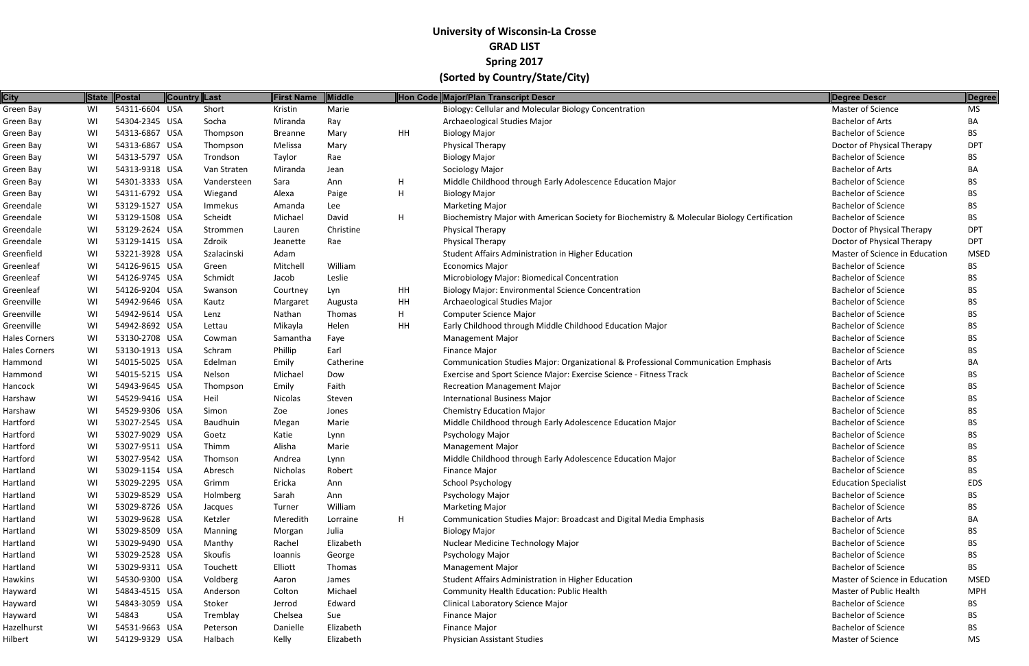| <b>City</b>   |    | State Postal   | Country Last |             | First Name     | Middle    |    | Hon Code Major/Plan Transcript Descr                                                        | Degree Descr                   | Degree      |
|---------------|----|----------------|--------------|-------------|----------------|-----------|----|---------------------------------------------------------------------------------------------|--------------------------------|-------------|
| Green Bay     | WI | 54311-6604 USA |              | Short       | Kristin        | Marie     |    | Biology: Cellular and Molecular Biology Concentration                                       | Master of Science              | <b>MS</b>   |
| Green Bay     | WI | 54304-2345 USA |              | Socha       | Miranda        | Ray       |    | Archaeological Studies Major                                                                | <b>Bachelor of Arts</b>        | BA          |
| Green Bay     | WI | 54313-6867 USA |              | Thompson    | <b>Breanne</b> | Mary      | HH | <b>Biology Major</b>                                                                        | <b>Bachelor of Science</b>     | BS.         |
| Green Bay     | WI | 54313-6867 USA |              | Thompson    | Melissa        | Mary      |    | <b>Physical Therapy</b>                                                                     | Doctor of Physical Therapy     | <b>DPT</b>  |
| Green Bay     | WI | 54313-5797 USA |              | Trondson    | Taylor         | Rae       |    | <b>Biology Major</b>                                                                        | <b>Bachelor of Science</b>     | BS.         |
| Green Bay     | WI | 54313-9318 USA |              | Van Straten | Miranda        | Jean      |    | Sociology Major                                                                             | <b>Bachelor of Arts</b>        | BA          |
| Green Bay     | WI | 54301-3333 USA |              | Vandersteen | Sara           | Ann       | H  | Middle Childhood through Early Adolescence Education Major                                  | <b>Bachelor of Science</b>     | BS.         |
| Green Bay     | WI | 54311-6792 USA |              | Wiegand     | Alexa          | Paige     | H  | <b>Biology Major</b>                                                                        | <b>Bachelor of Science</b>     | BS.         |
| Greendale     | WI | 53129-1527 USA |              | Immekus     | Amanda         | Lee       |    | <b>Marketing Major</b>                                                                      | <b>Bachelor of Science</b>     | BS.         |
| Greendale     | WI | 53129-1508 USA |              | Scheidt     | Michael        | David     | H. | Biochemistry Major with American Society for Biochemistry & Molecular Biology Certification | <b>Bachelor of Science</b>     | BS.         |
| Greendale     | WI | 53129-2624 USA |              | Strommen    | Lauren         | Christine |    | Physical Therapy                                                                            | Doctor of Physical Therapy     | <b>DPT</b>  |
| Greendale     | WI | 53129-1415 USA |              | Zdroik      | Jeanette       | Rae       |    | Physical Therapy                                                                            | Doctor of Physical Therapy     | <b>DPT</b>  |
| Greenfield    | WI | 53221-3928 USA |              | Szalacinski | Adam           |           |    | Student Affairs Administration in Higher Education                                          | Master of Science in Education | <b>MSED</b> |
| Greenleaf     | WI | 54126-9615 USA |              | Green       | Mitchell       | William   |    | <b>Economics Major</b>                                                                      | <b>Bachelor of Science</b>     | BS.         |
| Greenleaf     | WI | 54126-9745 USA |              | Schmidt     | Jacob          | Leslie    |    | Microbiology Major: Biomedical Concentration                                                | <b>Bachelor of Science</b>     | BS.         |
| Greenleaf     | WI | 54126-9204 USA |              | Swanson     | Courtney       | Lyn       | HH | <b>Biology Major: Environmental Science Concentration</b>                                   | <b>Bachelor of Science</b>     | BS.         |
| Greenville    | WI | 54942-9646 USA |              | Kautz       | Margaret       | Augusta   | HH | Archaeological Studies Major                                                                | <b>Bachelor of Science</b>     | BS          |
| Greenville    | WI | 54942-9614 USA |              | Lenz        | Nathan         | Thomas    | H. | <b>Computer Science Major</b>                                                               | <b>Bachelor of Science</b>     | BS.         |
| Greenville    | WI | 54942-8692 USA |              | Lettau      | Mikayla        | Helen     | HH | Early Childhood through Middle Childhood Education Major                                    | <b>Bachelor of Science</b>     | BS.         |
| Hales Corners | WI | 53130-2708 USA |              | Cowman      | Samantha       | Faye      |    | <b>Management Major</b>                                                                     | <b>Bachelor of Science</b>     | BS.         |
| Hales Corners | WI | 53130-1913 USA |              | Schram      | Phillip        | Earl      |    | <b>Finance Major</b>                                                                        | <b>Bachelor of Science</b>     | BS.         |
| Hammond       | WI | 54015-5025 USA |              | Edelman     | Emily          | Catherine |    | Communication Studies Major: Organizational & Professional Communication Emphasis           | <b>Bachelor of Arts</b>        | BA          |
| Hammond       | WI | 54015-5215 USA |              | Nelson      | Michael        | Dow       |    | Exercise and Sport Science Major: Exercise Science - Fitness Track                          | <b>Bachelor of Science</b>     | BS.         |
| Hancock       | WI | 54943-9645 USA |              | Thompson    | Emily          | Faith     |    | <b>Recreation Management Major</b>                                                          | <b>Bachelor of Science</b>     | BS.         |
| Harshaw       | WI | 54529-9416 USA |              | Heil        | Nicolas        | Steven    |    | <b>International Business Major</b>                                                         | <b>Bachelor of Science</b>     | <b>BS</b>   |
| Harshaw       | WI | 54529-9306 USA |              | Simon       | Zoe            | Jones     |    | <b>Chemistry Education Major</b>                                                            | <b>Bachelor of Science</b>     | BS.         |
| Hartford      | WI | 53027-2545 USA |              | Baudhuin    | Megan          | Marie     |    | Middle Childhood through Early Adolescence Education Major                                  | <b>Bachelor of Science</b>     | <b>BS</b>   |
| Hartford      | WI | 53027-9029 USA |              | Goetz       | Katie          | Lynn      |    | Psychology Major                                                                            | <b>Bachelor of Science</b>     | BS.         |
| Hartford      | WI | 53027-9511 USA |              | Thimm       | Alisha         | Marie     |    | <b>Management Major</b>                                                                     | <b>Bachelor of Science</b>     | BS          |
| Hartford      | WI | 53027-9542 USA |              | Thomson     | Andrea         | Lynn      |    | Middle Childhood through Early Adolescence Education Major                                  | <b>Bachelor of Science</b>     | <b>BS</b>   |
| Hartland      | WI | 53029-1154 USA |              | Abresch     | Nicholas       | Robert    |    | <b>Finance Major</b>                                                                        | <b>Bachelor of Science</b>     | <b>BS</b>   |
| Hartland      | WI | 53029-2295 USA |              | Grimm       | Ericka         | Ann       |    | <b>School Psychology</b>                                                                    | <b>Education Specialist</b>    | EDS         |
| Hartland      | WI | 53029-8529 USA |              | Holmberg    | Sarah          | Ann       |    | Psychology Major                                                                            | <b>Bachelor of Science</b>     | BS.         |
| Hartland      | WI | 53029-8726 USA |              | Jacques     | Turner         | William   |    | <b>Marketing Major</b>                                                                      | <b>Bachelor of Science</b>     | BS.         |
| Hartland      | WI | 53029-9628 USA |              | Ketzler     | Meredith       | Lorraine  | H  | Communication Studies Major: Broadcast and Digital Media Emphasis                           | <b>Bachelor of Arts</b>        | BA          |
| Hartland      | WI | 53029-8509 USA |              | Manning     | Morgan         | Julia     |    | <b>Biology Major</b>                                                                        | <b>Bachelor of Science</b>     | BS.         |
| Hartland      | WI | 53029-9490 USA |              | Manthy      | Rachel         | Elizabeth |    | Nuclear Medicine Technology Major                                                           | <b>Bachelor of Science</b>     | BS.         |
| Hartland      | WI | 53029-2528 USA |              | Skoufis     | Ioannis        | George    |    | Psychology Major                                                                            | <b>Bachelor of Science</b>     | BS.         |
| Hartland      | WI | 53029-9311 USA |              | Touchett    | Elliott        | Thomas    |    | <b>Management Major</b>                                                                     | <b>Bachelor of Science</b>     | BS.         |
| Hawkins       | WI | 54530-9300 USA |              | Voldberg    | Aaron          | James     |    | Student Affairs Administration in Higher Education                                          | Master of Science in Education | <b>MSED</b> |
| Hayward       | WI | 54843-4515 USA |              | Anderson    | Colton         | Michael   |    | Community Health Education: Public Health                                                   | Master of Public Health        | <b>MPH</b>  |
| Hayward       | WI | 54843-3059 USA |              | Stoker      | Jerrod         | Edward    |    | Clinical Laboratory Science Major                                                           | <b>Bachelor of Science</b>     | BS.         |
| Hayward       | WI | 54843          | <b>USA</b>   | Tremblay    | Chelsea        | Sue       |    | <b>Finance Major</b>                                                                        | <b>Bachelor of Science</b>     | BS.         |
| Hazelhurst    | WI | 54531-9663 USA |              | Peterson    | Danielle       | Elizabeth |    | <b>Finance Major</b>                                                                        | <b>Bachelor of Science</b>     | BS.         |
| Hilbert       | WI | 54129-9329 USA |              | Halbach     | Kelly          | Elizabeth |    | Physician Assistant Studies                                                                 | Master of Science              | <b>MS</b>   |
|               |    |                |              |             |                |           |    |                                                                                             |                                |             |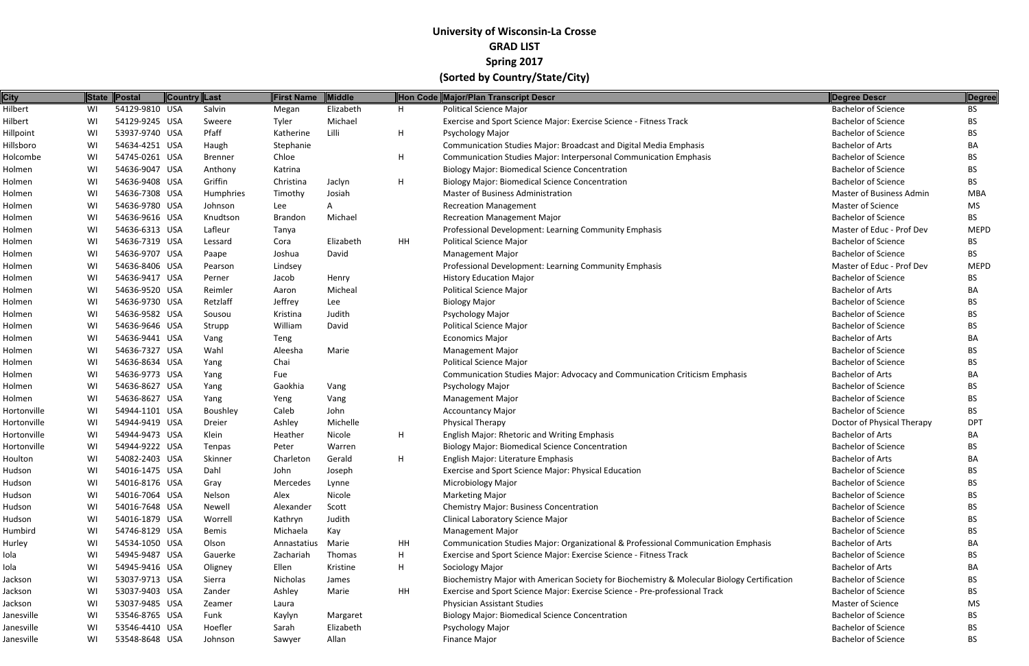| <b>City</b> | <b>State</b> | Postal         | <b>Country Last</b> | <b>First Name</b> | Middle    | Hon Code | Major/Plan Transcript Descr                                                                 | <b>Degree Descr</b>             | Degree      |
|-------------|--------------|----------------|---------------------|-------------------|-----------|----------|---------------------------------------------------------------------------------------------|---------------------------------|-------------|
| Hilbert     | WI           | 54129-9810 USA | Salvin              | Megan             | Elizabeth | H        | <b>Political Science Major</b>                                                              | <b>Bachelor of Science</b>      | <b>BS</b>   |
| Hilbert     | WI           | 54129-9245 USA | Sweere              | Tyler             | Michael   |          | Exercise and Sport Science Major: Exercise Science - Fitness Track                          | <b>Bachelor of Science</b>      | ВS          |
| Hillpoint   | WI           | 53937-9740 USA | Pfaff               | Katherine         | Lilli     | H        | Psychology Major                                                                            | <b>Bachelor of Science</b>      | BS.         |
| Hillsboro   | WI           | 54634-4251 USA | Haugh               | Stephanie         |           |          | Communication Studies Major: Broadcast and Digital Media Emphasis                           | <b>Bachelor of Arts</b>         | BA          |
| Holcombe    | WI           | 54745-0261 USA | <b>Brenner</b>      | Chloe             |           | H        | <b>Communication Studies Major: Interpersonal Communication Emphasis</b>                    | <b>Bachelor of Science</b>      | BS.         |
| Holmen      | WI           | 54636-9047 USA | Anthony             | Katrina           |           |          | <b>Biology Major: Biomedical Science Concentration</b>                                      | <b>Bachelor of Science</b>      | BS.         |
| Holmen      | WI           | 54636-9408 USA | Griffin             | Christina         | Jaclyn    | H        | <b>Biology Major: Biomedical Science Concentration</b>                                      | <b>Bachelor of Science</b>      | BS.         |
| Holmen      | WI           | 54636-7308 USA | Humphries           | Timothy           | Josiah    |          | <b>Master of Business Administration</b>                                                    | <b>Master of Business Admin</b> | <b>MBA</b>  |
| Holmen      | WI           | 54636-9780 USA | Johnson             | Lee               |           |          | <b>Recreation Management</b>                                                                | Master of Science               | MS          |
| Holmen      | WI           | 54636-9616 USA | Knudtson            | <b>Brandon</b>    | Michael   |          | <b>Recreation Management Major</b>                                                          | <b>Bachelor of Science</b>      | BS.         |
| Holmen      | WI           | 54636-6313 USA | Lafleur             | Tanya             |           |          | Professional Development: Learning Community Emphasis                                       | Master of Educ - Prof Dev       | <b>MEPD</b> |
| Holmen      | WI           | 54636-7319 USA | Lessard             | Cora              | Elizabeth | HH       | <b>Political Science Major</b>                                                              | <b>Bachelor of Science</b>      | BS          |
| Holmen      | WI           | 54636-9707 USA | Paape               | Joshua            | David     |          | <b>Management Major</b>                                                                     | <b>Bachelor of Science</b>      | BS.         |
| Holmen      | WI           | 54636-8406 USA | Pearson             | Lindsey           |           |          | Professional Development: Learning Community Emphasis                                       | Master of Educ - Prof Dev       | <b>MEPD</b> |
| Holmen      | WI           | 54636-9417 USA | Perner              | Jacob             | Henry     |          | <b>History Education Major</b>                                                              | <b>Bachelor of Science</b>      | BS          |
| Holmen      | WI           | 54636-9520 USA | Reimler             | Aaron             | Micheal   |          | <b>Political Science Major</b>                                                              | <b>Bachelor of Arts</b>         | BА          |
| Holmen      | WI           | 54636-9730 USA | Retzlaff            | Jeffrey           | Lee       |          | <b>Biology Major</b>                                                                        | <b>Bachelor of Science</b>      | BS.         |
| Holmen      | WI           | 54636-9582 USA | Sousou              | Kristina          | Judith    |          | Psychology Major                                                                            | <b>Bachelor of Science</b>      | BS.         |
| Holmen      | WI           | 54636-9646 USA | Strupp              | William           | David     |          | <b>Political Science Major</b>                                                              | <b>Bachelor of Science</b>      | BS.         |
| Holmen      | WI           | 54636-9441 USA | Vang                | Teng              |           |          | <b>Economics Major</b>                                                                      | <b>Bachelor of Arts</b>         | ВA          |
| Holmen      | WI           | 54636-7327 USA | Wahl                | Aleesha           | Marie     |          | <b>Management Major</b>                                                                     | <b>Bachelor of Science</b>      | BS.         |
| Holmen      | WI           | 54636-8634 USA | Yang                | Chai              |           |          | <b>Political Science Major</b>                                                              | <b>Bachelor of Science</b>      | BS.         |
| Holmen      | WI           | 54636-9773 USA | Yang                | Fue               |           |          | Communication Studies Major: Advocacy and Communication Criticism Emphasis                  | <b>Bachelor of Arts</b>         | BА          |
| Holmen      | WI           | 54636-8627 USA | Yang                | Gaokhia           | Vang      |          | Psychology Major                                                                            | <b>Bachelor of Science</b>      | BS.         |
| Holmen      | WI           | 54636-8627 USA | Yang                | Yeng              | Vang      |          | <b>Management Major</b>                                                                     | <b>Bachelor of Science</b>      | ВS          |
| Hortonville | WI           | 54944-1101 USA | Boushley            | Caleb             | John      |          | <b>Accountancy Major</b>                                                                    | <b>Bachelor of Science</b>      | BS.         |
| Hortonville | WI           | 54944-9419 USA | Dreier              | Ashley            | Michelle  |          | Physical Therapy                                                                            | Doctor of Physical Therapy      | <b>DPT</b>  |
| Hortonville | WI           | 54944-9473 USA | Klein               | Heather           | Nicole    | H        | English Major: Rhetoric and Writing Emphasis                                                | <b>Bachelor of Arts</b>         | BА          |
| Hortonville | WI           | 54944-9222 USA | Tenpas              | Peter             | Warren    |          | <b>Biology Major: Biomedical Science Concentration</b>                                      | <b>Bachelor of Science</b>      | BS.         |
| Houlton     | WI           | 54082-2403 USA | Skinner             | Charleton         | Gerald    | H        | English Major: Literature Emphasis                                                          | <b>Bachelor of Arts</b>         | BA          |
| Hudson      | WI           | 54016-1475 USA | Dahl                | John              | Joseph    |          | <b>Exercise and Sport Science Major: Physical Education</b>                                 | <b>Bachelor of Science</b>      | <b>BS</b>   |
| Hudson      | WI           | 54016-8176 USA | Gray                | Mercedes          | Lynne     |          | <b>Microbiology Major</b>                                                                   | <b>Bachelor of Science</b>      | BS.         |
| Hudson      | WI           | 54016-7064 USA | Nelson              | Alex              | Nicole    |          | <b>Marketing Major</b>                                                                      | <b>Bachelor of Science</b>      | BS.         |
| Hudson      | WI           | 54016-7648 USA | Newell              | Alexander         | Scott     |          | <b>Chemistry Major: Business Concentration</b>                                              | <b>Bachelor of Science</b>      | BS.         |
| Hudson      | WI           | 54016-1879 USA | Worrell             | Kathryn           | Judith    |          | Clinical Laboratory Science Major                                                           | <b>Bachelor of Science</b>      | BS          |
| Humbird     | WI           | 54746-8129 USA | Bemis               | Michaela          | Kay       |          | <b>Management Major</b>                                                                     | <b>Bachelor of Science</b>      | BS.         |
| Hurley      | WI           | 54534-1050 USA | Olson               | Annastatius       | Marie     | HH       | Communication Studies Major: Organizational & Professional Communication Emphasis           | <b>Bachelor of Arts</b>         | BА          |
| Iola        | WI           | 54945-9487 USA | Gauerke             | Zachariah         | Thomas    | H        | Exercise and Sport Science Major: Exercise Science - Fitness Track                          | <b>Bachelor of Science</b>      | ВS          |
| Iola        | WI           | 54945-9416 USA | Oligney             | Ellen             | Kristine  | H        | Sociology Major                                                                             | <b>Bachelor of Arts</b>         | BА          |
| Jackson     | WI           | 53037-9713 USA | Sierra              | Nicholas          | James     |          | Biochemistry Major with American Society for Biochemistry & Molecular Biology Certification | <b>Bachelor of Science</b>      | BS.         |
| Jackson     | WI           | 53037-9403 USA | Zander              | Ashley            | Marie     | HH       | Exercise and Sport Science Major: Exercise Science - Pre-professional Track                 | <b>Bachelor of Science</b>      | BS.         |
| Jackson     | WI           | 53037-9485 USA | Zeamer              | Laura             |           |          | Physician Assistant Studies                                                                 | <b>Master of Science</b>        | MS.         |
| Janesville  | WI           | 53546-8765 USA | Funk                | Kaylyn            | Margaret  |          | <b>Biology Major: Biomedical Science Concentration</b>                                      | <b>Bachelor of Science</b>      | ВS          |
| Janesville  | WI           | 53546-4410 USA | Hoefler             | Sarah             | Elizabeth |          | <b>Psychology Major</b>                                                                     | <b>Bachelor of Science</b>      | BS.         |
| Janesville  | WI           | 53548-8648 USA | Johnson             | Sawyer            | Allan     |          | <b>Finance Major</b>                                                                        | <b>Bachelor of Science</b>      | <b>BS</b>   |
|             |              |                |                     |                   |           |          |                                                                                             |                                 |             |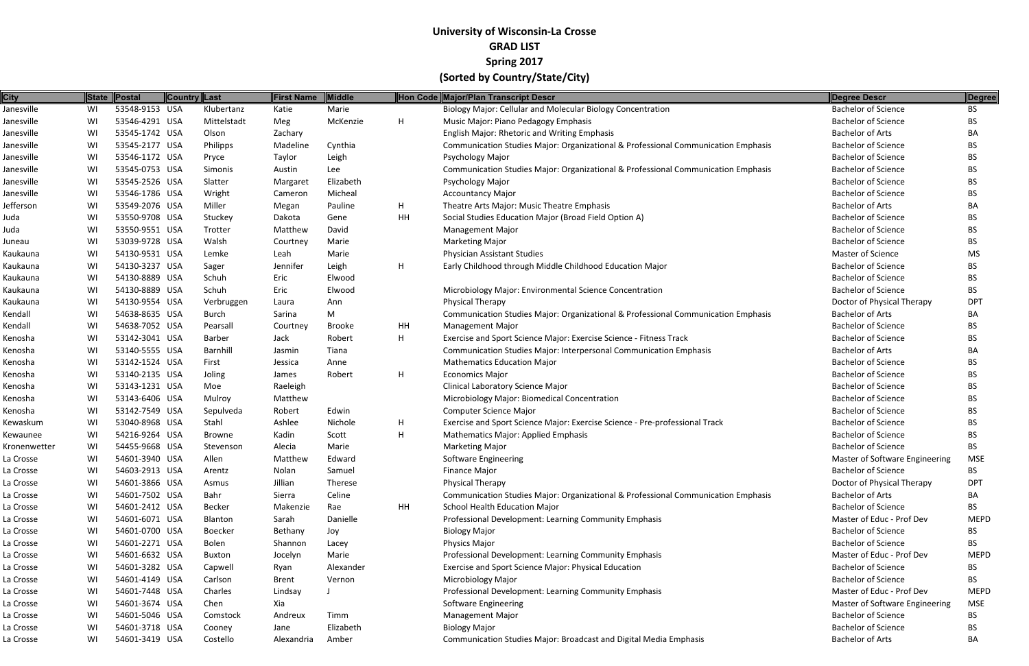| <b>City</b>  |     | State   Postal | Country Last   | <b>First Name</b> | <b>Middle</b> |    | Hon Code Major/Plan Transcript Descr                                              | Degree Descr                          | Degree      |
|--------------|-----|----------------|----------------|-------------------|---------------|----|-----------------------------------------------------------------------------------|---------------------------------------|-------------|
| Janesville   | WI  | 53548-9153 USA | Klubertanz     | Katie             | Marie         |    | Biology Major: Cellular and Molecular Biology Concentration                       | <b>Bachelor of Science</b>            | <b>BS</b>   |
| Janesville   | WI  | 53546-4291 USA | Mittelstadt    | Meg               | McKenzie      | H. | Music Major: Piano Pedagogy Emphasis                                              | <b>Bachelor of Science</b>            | BS.         |
| Janesville   | WI  | 53545-1742 USA | Olson          | Zachary           |               |    | English Major: Rhetoric and Writing Emphasis                                      | <b>Bachelor of Arts</b>               | BA          |
| Janesville   | WI  | 53545-2177 USA | Philipps       | Madeline          | Cynthia       |    | Communication Studies Major: Organizational & Professional Communication Emphasis | <b>Bachelor of Science</b>            | BS.         |
| Janesville   | WI  | 53546-1172 USA | Pryce          | Taylor            | Leigh         |    | Psychology Major                                                                  | <b>Bachelor of Science</b>            | BS.         |
| Janesville   | WI  | 53545-0753 USA | Simonis        | Austin            | Lee           |    | Communication Studies Major: Organizational & Professional Communication Emphasis | <b>Bachelor of Science</b>            | <b>BS</b>   |
| Janesville   | WI  | 53545-2526 USA | Slatter        | Margaret          | Elizabeth     |    | Psychology Major                                                                  | <b>Bachelor of Science</b>            | BS.         |
| Janesville   | WI  | 53546-1786 USA | Wright         | Cameron           | Micheal       |    | <b>Accountancy Major</b>                                                          | <b>Bachelor of Science</b>            | BS.         |
| Jefferson    | WI  | 53549-2076 USA | Miller         | Megan             | Pauline       | H. | Theatre Arts Major: Music Theatre Emphasis                                        | <b>Bachelor of Arts</b>               | BA          |
| Juda         | WI  | 53550-9708 USA | Stuckey        | Dakota            | Gene          | HH | Social Studies Education Major (Broad Field Option A)                             | <b>Bachelor of Science</b>            | BS.         |
| Juda         | WI  | 53550-9551 USA | Trotter        | Matthew           | David         |    | <b>Management Major</b>                                                           | <b>Bachelor of Science</b>            | <b>BS</b>   |
| Juneau       | WI  | 53039-9728 USA | Walsh          | Courtney          | Marie         |    | <b>Marketing Major</b>                                                            | <b>Bachelor of Science</b>            | BS.         |
| Kaukauna     | WI  | 54130-9531 USA | Lemke          | Leah              | Marie         |    | <b>Physician Assistant Studies</b>                                                | <b>Master of Science</b>              | MS.         |
| Kaukauna     | WI  | 54130-3237 USA | Sager          | Jennifer          | Leigh         | H  | Early Childhood through Middle Childhood Education Major                          | <b>Bachelor of Science</b>            | BS.         |
| Kaukauna     | WI  | 54130-8889 USA | Schuh          | Eric              | Elwood        |    |                                                                                   | <b>Bachelor of Science</b>            | BS.         |
| Kaukauna     | WI  | 54130-8889 USA | Schuh          | Eric              | Elwood        |    | Microbiology Major: Environmental Science Concentration                           | <b>Bachelor of Science</b>            | <b>BS</b>   |
| Kaukauna     | WI  | 54130-9554 USA | Verbruggen     | Laura             | Ann           |    | <b>Physical Therapy</b>                                                           | Doctor of Physical Therapy            | DP1         |
| Kendall      | WI  | 54638-8635 USA | Burch          | Sarina            | M             |    | Communication Studies Major: Organizational & Professional Communication Emphasis | Bachelor of Arts                      | ВA          |
| Kendall      | WI  | 54638-7052 USA | Pearsall       | Courtney          | Brooke        | HH | <b>Management Major</b>                                                           | <b>Bachelor of Science</b>            | BS.         |
| Kenosha      | WI  | 53142-3041 USA | Barber         | Jack              | Robert        | H  | Exercise and Sport Science Major: Exercise Science - Fitness Track                | <b>Bachelor of Science</b>            | BS.         |
| Kenosha      | WI  | 53140-5555 USA | Barnhill       | Jasmin            | Tiana         |    | <b>Communication Studies Major: Interpersonal Communication Emphasis</b>          | <b>Bachelor of Arts</b>               | BA          |
| Kenosha      | WI  | 53142-1524 USA | First          | Jessica           | Anne          |    | <b>Mathematics Education Major</b>                                                | <b>Bachelor of Science</b>            | BS.         |
| Kenosha      | WI  | 53140-2135 USA | Joling         | James             | Robert        | H  | <b>Economics Major</b>                                                            | <b>Bachelor of Science</b>            | BS.         |
| Kenosha      | WI  | 53143-1231 USA | Moe            | Raeleigh          |               |    | Clinical Laboratory Science Major                                                 | <b>Bachelor of Science</b>            | <b>BS</b>   |
| Kenosha      | WI  | 53143-6406 USA | Mulroy         | Matthew           |               |    | Microbiology Major: Biomedical Concentration                                      | <b>Bachelor of Science</b>            | BS.         |
| Kenosha      | WI  | 53142-7549 USA | Sepulveda      | Robert            | Edwin         |    | <b>Computer Science Major</b>                                                     | <b>Bachelor of Science</b>            | BS.         |
| Kewaskum     | WI  | 53040-8968 USA | Stahl          | Ashlee            | Nichole       | H  | Exercise and Sport Science Major: Exercise Science - Pre-professional Track       | <b>Bachelor of Science</b>            | BS.         |
| Kewaunee     | WI  | 54216-9264 USA | Browne         | Kadin             | Scott         | H  | <b>Mathematics Major: Applied Emphasis</b>                                        | <b>Bachelor of Science</b>            | BS.         |
| Kronenwetter | WI  | 54455-9668 USA | Stevenson      | Alecia            | Marie         |    | <b>Marketing Major</b>                                                            | <b>Bachelor of Science</b>            | BS.         |
| La Crosse    | WI  | 54601-3940 USA | Allen          | Matthew           | Edward        |    | <b>Software Engineering</b>                                                       | Master of Software Engineering        | <b>MSE</b>  |
| La Crosse    | WI. | 54603-2913 USA | Arentz         | Nolan             | Samuel        |    | <b>Finance Major</b>                                                              | <b>Bachelor of Science</b>            | BS.         |
| La Crosse    | WI  | 54601-3866 USA | Asmus          | Jillian           | Therese       |    | <b>Physical Therapy</b>                                                           | Doctor of Physical Therapy            | <b>DPT</b>  |
| La Crosse    | WI  | 54601-7502 USA | Bahr           | Sierra            | Celine        |    | Communication Studies Major: Organizational & Professional Communication Emphasis | Bachelor of Arts                      | BA          |
| La Crosse    | WI  | 54601-2412 USA | Becker         | Makenzie          | Rae           | HH | School Health Education Major                                                     | <b>Bachelor of Science</b>            | BS.         |
| La Crosse    | WI  | 54601-6071 USA | Blanton        | Sarah             | Danielle      |    | Professional Development: Learning Community Emphasis                             | Master of Educ - Prof Dev             | MEPD        |
| La Crosse    | WI  | 54601-0700 USA | <b>Boecker</b> | Bethany           | Joy           |    | <b>Biology Major</b>                                                              | <b>Bachelor of Science</b>            | BS.         |
| La Crosse    | WI  | 54601-2271 USA | Bolen          | Shannon           | Lacey         |    | Physics Major                                                                     | <b>Bachelor of Science</b>            | BS.         |
| La Crosse    | WI  | 54601-6632 USA | Buxton         | Jocelyn           | Marie         |    | Professional Development: Learning Community Emphasis                             | Master of Educ - Prof Dev             | <b>MEPD</b> |
| La Crosse    | WI  | 54601-3282 USA | Capwell        | Ryan              | Alexander     |    | Exercise and Sport Science Major: Physical Education                              | <b>Bachelor of Science</b>            | BS.         |
| La Crosse    | WI  | 54601-4149 USA | Carlson        | Brent             | Vernon        |    | Microbiology Major                                                                | <b>Bachelor of Science</b>            | BS.         |
| La Crosse    | WI  | 54601-7448 USA | Charles        | Lindsay           |               |    | Professional Development: Learning Community Emphasis                             | Master of Educ - Prof Dev             | <b>MEPD</b> |
| La Crosse    | WI  | 54601-3674 USA | Chen           | Xia               |               |    | Software Engineering                                                              | <b>Master of Software Engineering</b> | MSE         |
| La Crosse    | WI  | 54601-5046 USA | Comstock       | Andreux           | Timm          |    | <b>Management Major</b>                                                           | <b>Bachelor of Science</b>            | BS.         |
| La Crosse    | WI  | 54601-3718 USA | Cooney         | Jane              | Elizabeth     |    | <b>Biology Major</b>                                                              | <b>Bachelor of Science</b>            | BS.         |
| La Crosse    | WI  | 54601-3419 USA | Costello       | Alexandria        | Amber         |    | Communication Studies Major: Broadcast and Digital Media Emphasis                 | <b>Bachelor of Arts</b>               | BA          |
|              |     |                |                |                   |               |    |                                                                                   |                                       |             |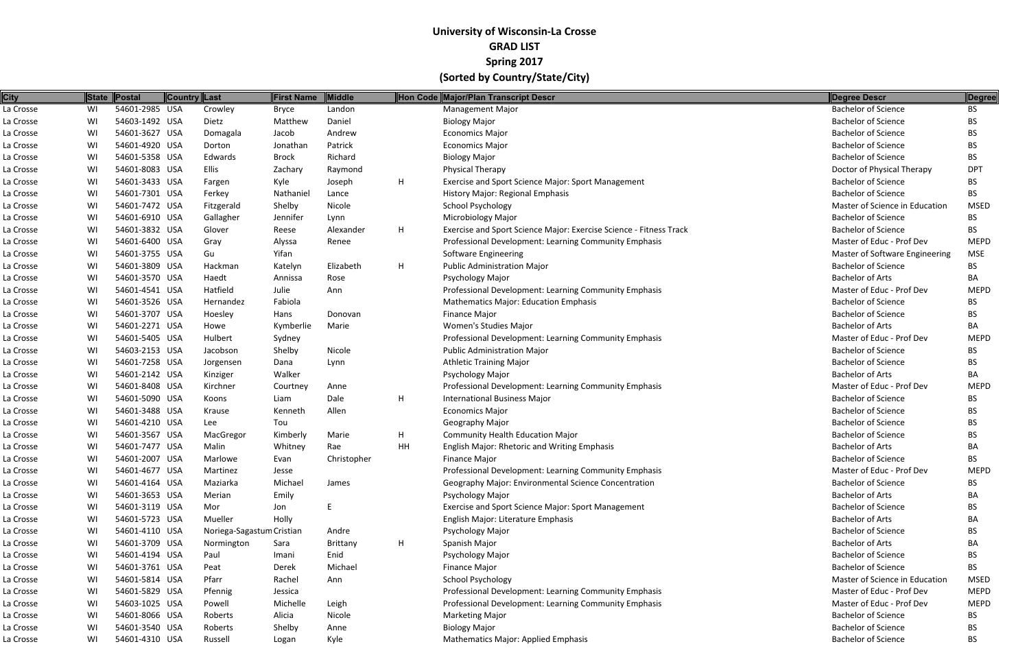| <b>City</b> |    | State Postal   | Country Last              | <b>First Name</b> | Middle      |    | Hon Code Major/Plan Transcript Descr                               | <b>Degree Descr</b>            | Degree      |
|-------------|----|----------------|---------------------------|-------------------|-------------|----|--------------------------------------------------------------------|--------------------------------|-------------|
| La Crosse   | WI | 54601-2985 USA | Crowley                   | Bryce             | Landon      |    | <b>Management Major</b>                                            | <b>Bachelor of Science</b>     | <b>BS</b>   |
| La Crosse   | WI | 54603-1492 USA | Dietz                     | Matthew           | Daniel      |    | <b>Biology Major</b>                                               | <b>Bachelor of Science</b>     | <b>BS</b>   |
| La Crosse   | WI | 54601-3627 USA | Domagala                  | Jacob             | Andrew      |    | <b>Economics Major</b>                                             | <b>Bachelor of Science</b>     | <b>BS</b>   |
| La Crosse   | WI | 54601-4920 USA | Dorton                    | Jonathan          | Patrick     |    | <b>Economics Major</b>                                             | <b>Bachelor of Science</b>     | <b>BS</b>   |
| La Crosse   | WI | 54601-5358 USA | Edwards                   | <b>Brock</b>      | Richard     |    | <b>Biology Major</b>                                               | <b>Bachelor of Science</b>     | <b>BS</b>   |
| La Crosse   | WI | 54601-8083 USA | Ellis                     | Zachary           | Raymond     |    | Physical Therapy                                                   | Doctor of Physical Therapy     | <b>DPT</b>  |
| La Crosse   | WI | 54601-3433 USA | Fargen                    | Kyle              | Joseph      | H. | Exercise and Sport Science Major: Sport Management                 | <b>Bachelor of Science</b>     | <b>BS</b>   |
| La Crosse   | WI | 54601-7301 USA | Ferkey                    | Nathaniel         | Lance       |    | History Major: Regional Emphasis                                   | <b>Bachelor of Science</b>     | <b>BS</b>   |
| La Crosse   | WI | 54601-7472 USA | Fitzgerald                | Shelby            | Nicole      |    | <b>School Psychology</b>                                           | Master of Science in Education | <b>MSED</b> |
| La Crosse   | WI | 54601-6910 USA | Gallagher                 | Jennifer          | Lynn        |    | Microbiology Major                                                 | <b>Bachelor of Science</b>     | <b>BS</b>   |
| La Crosse   | WI | 54601-3832 USA | Glover                    | Reese             | Alexander   | H  | Exercise and Sport Science Major: Exercise Science - Fitness Track | <b>Bachelor of Science</b>     | <b>BS</b>   |
| La Crosse   | WI | 54601-6400 USA | Gray                      | Alyssa            | Renee       |    | Professional Development: Learning Community Emphasis              | Master of Educ - Prof Dev      | <b>MEPD</b> |
| La Crosse   | WI | 54601-3755 USA | Gu                        | Yifan             |             |    | Software Engineering                                               | Master of Software Engineering | <b>MSE</b>  |
| La Crosse   | WI | 54601-3809 USA | Hackman                   | Katelyn           | Elizabeth   | H  | <b>Public Administration Major</b>                                 | <b>Bachelor of Science</b>     | <b>BS</b>   |
| La Crosse   | WI | 54601-3570 USA | Haedt                     | Annissa           | Rose        |    | Psychology Major                                                   | <b>Bachelor of Arts</b>        | BA          |
| La Crosse   | WI | 54601-4541 USA | Hatfield                  | Julie             | Ann         |    | Professional Development: Learning Community Emphasis              | Master of Educ - Prof Dev      | <b>MEPD</b> |
| La Crosse   | WI | 54601-3526 USA | Hernandez                 | Fabiola           |             |    | <b>Mathematics Major: Education Emphasis</b>                       | <b>Bachelor of Science</b>     | BS.         |
| La Crosse   | WI | 54601-3707 USA | Hoesley                   | Hans              | Donovan     |    | Finance Major                                                      | <b>Bachelor of Science</b>     | <b>BS</b>   |
| La Crosse   | WI | 54601-2271 USA | Howe                      | Kymberlie         | Marie       |    | Women's Studies Major                                              | <b>Bachelor of Arts</b>        | BA          |
| La Crosse   | WI | 54601-5405 USA | Hulbert                   | Sydney            |             |    | Professional Development: Learning Community Emphasis              | Master of Educ - Prof Dev      | <b>MEPD</b> |
| La Crosse   | WI | 54603-2153 USA | Jacobson                  | Shelby            | Nicole      |    | <b>Public Administration Major</b>                                 | <b>Bachelor of Science</b>     | <b>BS</b>   |
| La Crosse   | WI | 54601-7258 USA | Jorgensen                 | Dana              | Lynn        |    | <b>Athletic Training Major</b>                                     | <b>Bachelor of Science</b>     | <b>BS</b>   |
| La Crosse   | WI | 54601-2142 USA | Kinziger                  | Walker            |             |    | Psychology Major                                                   | <b>Bachelor of Arts</b>        | BA          |
| La Crosse   | WI | 54601-8408 USA | Kirchner                  | Courtney          | Anne        |    | Professional Development: Learning Community Emphasis              | Master of Educ - Prof Dev      | <b>MEPD</b> |
| La Crosse   | WI | 54601-5090 USA | Koons                     | Liam              | Dale        | H  | International Business Major                                       | <b>Bachelor of Science</b>     | BS.         |
| La Crosse   | WI | 54601-3488 USA | Krause                    | Kenneth           | Allen       |    | <b>Economics Major</b>                                             | <b>Bachelor of Science</b>     | <b>BS</b>   |
| La Crosse   | WI | 54601-4210 USA | Lee                       | Tou               |             |    | Geography Major                                                    | <b>Bachelor of Science</b>     | <b>BS</b>   |
| La Crosse   | WI | 54601-3567 USA | MacGregor                 | Kimberly          | Marie       | H. | <b>Community Health Education Major</b>                            | <b>Bachelor of Science</b>     | BS.         |
| La Crosse   | WI | 54601-7477 USA | Malin                     | Whitney           | Rae         | HН | <b>English Major: Rhetoric and Writing Emphasis</b>                | <b>Bachelor of Arts</b>        | BA          |
| La Crosse   | WI | 54601-2007 USA | Marlowe                   | Evan              | Christopher |    | <b>Finance Major</b>                                               | <b>Bachelor of Science</b>     | BS.         |
| La Crosse   | WI | 54601-4677 USA | Martinez                  | Jesse             |             |    | Professional Development: Learning Community Emphasis              | Master of Educ - Prof Dev      | <b>MEPD</b> |
| La Crosse   | WI | 54601-4164 USA | Maziarka                  | Michael           | James       |    | Geography Major: Environmental Science Concentration               | <b>Bachelor of Science</b>     | BS          |
| La Crosse   | WI | 54601-3653 USA | Merian                    | Emily             |             |    | Psychology Major                                                   | <b>Bachelor of Arts</b>        | BA          |
| La Crosse   | WI | 54601-3119 USA | Mor                       | Jon               | E           |    | Exercise and Sport Science Major: Sport Management                 | <b>Bachelor of Science</b>     | BS.         |
| La Crosse   | WI | 54601-5723 USA | Mueller                   | Holly             |             |    | English Major: Literature Emphasis                                 | <b>Bachelor of Arts</b>        | BA          |
| La Crosse   | WI | 54601-4110 USA | Noriega-Sagastum Cristian |                   | Andre       |    | Psychology Major                                                   | <b>Bachelor of Science</b>     | BS.         |
| La Crosse   | WI | 54601-3709 USA | Normington                | Sara              | Brittany    | H  | Spanish Major                                                      | <b>Bachelor of Arts</b>        | BA          |
| La Crosse   | WI | 54601-4194 USA | Paul                      | Imani             | Enid        |    | Psychology Major                                                   | <b>Bachelor of Science</b>     | BS          |
| La Crosse   | WI | 54601-3761 USA | Peat                      | Derek             | Michael     |    | <b>Finance Major</b>                                               | <b>Bachelor of Science</b>     | BS.         |
| La Crosse   | WI | 54601-5814 USA | Pfarr                     | Rachel            | Ann         |    | <b>School Psychology</b>                                           | Master of Science in Education | <b>MSED</b> |
| La Crosse   | WI | 54601-5829 USA | Pfennig                   | Jessica           |             |    | Professional Development: Learning Community Emphasis              | Master of Educ - Prof Dev      | <b>MEPD</b> |
| La Crosse   | WI | 54603-1025 USA | Powell                    | Michelle          | Leigh       |    | Professional Development: Learning Community Emphasis              | Master of Educ - Prof Dev      | <b>MEPD</b> |
| La Crosse   | WI | 54601-8066 USA | Roberts                   | Alicia            | Nicole      |    | <b>Marketing Major</b>                                             | <b>Bachelor of Science</b>     | BS          |
| La Crosse   | WI | 54601-3540 USA | Roberts                   | Shelby            | Anne        |    | <b>Biology Major</b>                                               | <b>Bachelor of Science</b>     | BS.         |
| La Crosse   | WI | 54601-4310 USA | Russell                   | Logan             | Kyle        |    | <b>Mathematics Major: Applied Emphasis</b>                         | <b>Bachelor of Science</b>     | <b>BS</b>   |
|             |    |                |                           |                   |             |    |                                                                    |                                |             |

| Degree Descr                   | <b>Degree</b> |
|--------------------------------|---------------|
| <b>Bachelor of Science</b>     | BS            |
| <b>Bachelor of Science</b>     | <b>BS</b>     |
| <b>Bachelor of Science</b>     | BS            |
| <b>Bachelor of Science</b>     | <b>BS</b>     |
| <b>Bachelor of Science</b>     | <b>BS</b>     |
| Doctor of Physical Therapy     | <b>DPT</b>    |
| <b>Bachelor of Science</b>     | <b>BS</b>     |
| Bachelor of Science            | BS            |
| Master of Science in Education | <b>MSED</b>   |
| <b>Bachelor of Science</b>     | <b>BS</b>     |
| <b>Bachelor of Science</b>     | <b>BS</b>     |
| Master of Educ - Prof Dev      | <b>MEPD</b>   |
| Master of Software Engineering | MSE           |
| <b>Bachelor of Science</b>     | BS            |
| <b>Bachelor of Arts</b>        | BА            |
| Master of Educ - Prof Dev      | <b>MEPD</b>   |
| <b>Bachelor of Science</b>     | BS            |
| <b>Bachelor of Science</b>     | <b>BS</b>     |
| <b>Bachelor of Arts</b>        | BА            |
| Master of Educ - Prof Dev      | <b>MEPD</b>   |
| <b>Bachelor of Science</b>     | <b>BS</b>     |
| <b>Bachelor of Science</b>     | <b>BS</b>     |
| <b>Bachelor of Arts</b>        | BА            |
| Master of Educ - Prof Dev      | <b>MEPD</b>   |
| <b>Bachelor of Science</b>     | <b>BS</b>     |
| <b>Bachelor of Science</b>     | <b>BS</b>     |
| <b>Bachelor of Science</b>     | <b>BS</b>     |
| <b>Bachelor of Science</b>     | <b>BS</b>     |
| <b>Bachelor of Arts</b>        | BА            |
| <b>Bachelor of Science</b>     | <b>BS</b>     |
| Master of Educ - Prof Dev      | <b>MEPD</b>   |
| <b>Bachelor of Science</b>     | BS            |
| <b>Bachelor of Arts</b>        | BA            |
| <b>Bachelor of Science</b>     | <b>BS</b>     |
| <b>Bachelor of Arts</b>        | BA            |
| <b>Bachelor of Science</b>     | <b>BS</b>     |
| <b>Bachelor of Arts</b>        | BА            |
| <b>Bachelor of Science</b>     | <b>BS</b>     |
| <b>Bachelor of Science</b>     | <b>BS</b>     |
| Master of Science in Education | MSED          |
| Master of Educ - Prof Dev      | <b>MEPD</b>   |
| Master of Educ - Prof Dev      | <b>MEPD</b>   |
| <b>Bachelor of Science</b>     | <b>BS</b>     |
| <b>Bachelor of Science</b>     | <b>BS</b>     |
| Bachelor of Science            | <b>BS</b>     |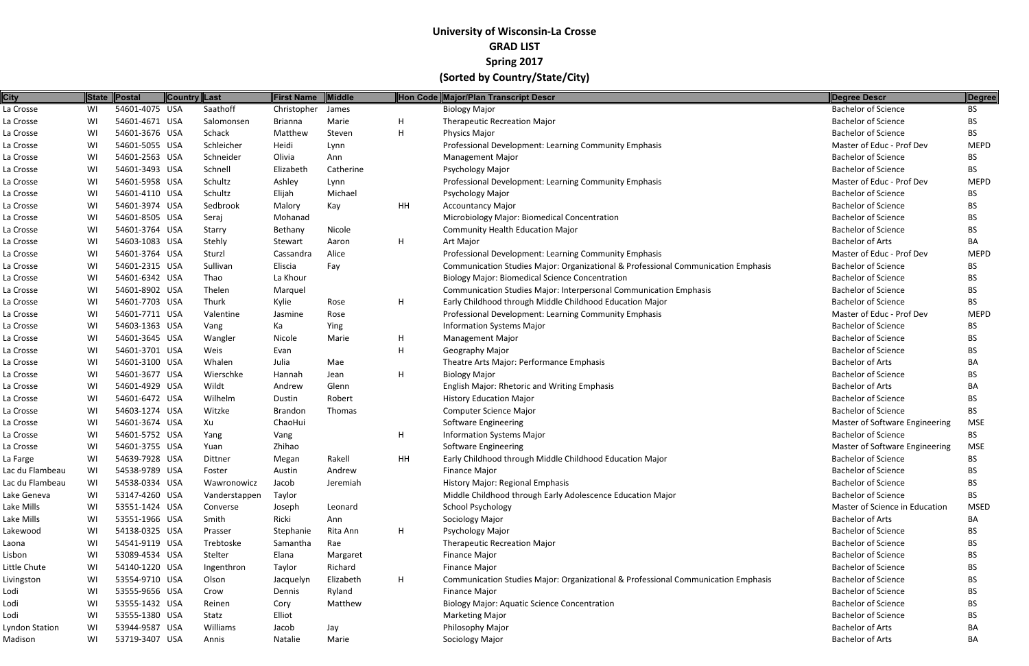| <b>City</b>     |    | State Postal   | Country Last |               | <b>First Name</b> | <b>Middle</b> |    | Hon Code Major/Plan Transcript Descr                                              | Degree Descr                   | Degree      |
|-----------------|----|----------------|--------------|---------------|-------------------|---------------|----|-----------------------------------------------------------------------------------|--------------------------------|-------------|
| La Crosse       | WI | 54601-4075 USA |              | Saathoff      | Christopher       | James         |    | <b>Biology Major</b>                                                              | <b>Bachelor of Science</b>     | <b>BS</b>   |
| La Crosse       | WI | 54601-4671 USA |              | Salomonsen    | <b>Brianna</b>    | Marie         | H  | <b>Therapeutic Recreation Major</b>                                               | <b>Bachelor of Science</b>     | BS.         |
| La Crosse       | WI | 54601-3676 USA |              | Schack        | Matthew           | Steven        | H  | Physics Major                                                                     | <b>Bachelor of Science</b>     | BS.         |
| La Crosse       | WI | 54601-5055 USA |              | Schleicher    | Heidi             | Lynn          |    | Professional Development: Learning Community Emphasis                             | Master of Educ - Prof Dev      | <b>MEPD</b> |
| La Crosse       | WI | 54601-2563 USA |              | Schneider     | Olivia            | Ann           |    | <b>Management Major</b>                                                           | <b>Bachelor of Science</b>     | BS.         |
| La Crosse       | WI | 54601-3493 USA |              | Schnell       | Elizabeth         | Catherine     |    | Psychology Major                                                                  | <b>Bachelor of Science</b>     | <b>BS</b>   |
| La Crosse       | WI | 54601-5958 USA |              | Schultz       | Ashley            | Lynn          |    | Professional Development: Learning Community Emphasis                             | Master of Educ - Prof Dev      | <b>MEPD</b> |
| La Crosse       | WI | 54601-4110 USA |              | Schultz       | Elijah            | Michael       |    | Psychology Major                                                                  | <b>Bachelor of Science</b>     | BS.         |
| La Crosse       | WI | 54601-3974 USA |              | Sedbrook      | Malory            | Kay           | HH | <b>Accountancy Major</b>                                                          | <b>Bachelor of Science</b>     | BS          |
| La Crosse       | WI | 54601-8505 USA |              | Seraj         | Mohanad           |               |    | Microbiology Major: Biomedical Concentration                                      | <b>Bachelor of Science</b>     | BS.         |
| La Crosse       | WI | 54601-3764 USA |              | Starry        | Bethany           | Nicole        |    | <b>Community Health Education Major</b>                                           | <b>Bachelor of Science</b>     | BS          |
| La Crosse       | WI | 54603-1083 USA |              | Stehly        | Stewart           | Aaron         | H  | Art Major                                                                         | <b>Bachelor of Arts</b>        | ВA          |
| La Crosse       | WI | 54601-3764 USA |              | Sturzl        | Cassandra         | Alice         |    | Professional Development: Learning Community Emphasis                             | Master of Educ - Prof Dev      | <b>MEPD</b> |
| La Crosse       | WI | 54601-2315 USA |              | Sullivan      | Eliscia           | Fay           |    | Communication Studies Major: Organizational & Professional Communication Emphasis | <b>Bachelor of Science</b>     | BS          |
| La Crosse       | WI | 54601-6342 USA |              | Thao          | La Khour          |               |    | <b>Biology Major: Biomedical Science Concentration</b>                            | <b>Bachelor of Science</b>     | BS.         |
| La Crosse       | WI | 54601-8902 USA |              | Thelen        | Marquel           |               |    | Communication Studies Major: Interpersonal Communication Emphasis                 | <b>Bachelor of Science</b>     | BS          |
| La Crosse       | WI | 54601-7703 USA |              | Thurk         | Kylie             | Rose          | H  | Early Childhood through Middle Childhood Education Major                          | <b>Bachelor of Science</b>     | <b>BS</b>   |
| La Crosse       | WI | 54601-7711 USA |              | Valentine     | Jasmine           | Rose          |    | Professional Development: Learning Community Emphasis                             | Master of Educ - Prof Dev      | <b>MEPD</b> |
| La Crosse       | WI | 54603-1363 USA |              | Vang          | Ka                | Ying          |    | <b>Information Systems Major</b>                                                  | <b>Bachelor of Science</b>     | ВS          |
| La Crosse       | WI | 54601-3645 USA |              | Wangler       | Nicole            | Marie         | H  | <b>Management Major</b>                                                           | <b>Bachelor of Science</b>     | BS.         |
| La Crosse       | WI | 54601-3701 USA |              | Weis          | Evan              |               | н  | Geography Major                                                                   | <b>Bachelor of Science</b>     | BS          |
| La Crosse       | WI | 54601-3100 USA |              | Whalen        | Julia             | Mae           |    | Theatre Arts Major: Performance Emphasis                                          | <b>Bachelor of Arts</b>        | BА          |
| La Crosse       | WI | 54601-3677 USA |              | Wierschke     | Hannah            | Jean          | H  | <b>Biology Major</b>                                                              | <b>Bachelor of Science</b>     | BS.         |
| La Crosse       | WI | 54601-4929 USA |              | Wildt         | Andrew            | Glenn         |    | English Major: Rhetoric and Writing Emphasis                                      | <b>Bachelor of Arts</b>        | ВA          |
| La Crosse       | WI | 54601-6472 USA |              | Wilhelm       | Dustin            | Robert        |    | <b>History Education Major</b>                                                    | <b>Bachelor of Science</b>     | BS.         |
| La Crosse       | WI | 54603-1274 USA |              | Witzke        | <b>Brandon</b>    | Thomas        |    | <b>Computer Science Major</b>                                                     | <b>Bachelor of Science</b>     | BS.         |
| La Crosse       | WI | 54601-3674 USA |              | Xu            | ChaoHui           |               |    | <b>Software Engineering</b>                                                       | Master of Software Engineering | <b>MSE</b>  |
| La Crosse       | WI | 54601-5752 USA |              | Yang          | Vang              |               | H  | <b>Information Systems Major</b>                                                  | <b>Bachelor of Science</b>     | BS.         |
| La Crosse       | WI | 54601-3755 USA |              | Yuan          | Zhihao            |               |    | Software Engineering                                                              | Master of Software Engineering | <b>MSE</b>  |
| La Farge        | WI | 54639-7928 USA |              | Dittner       | Megan             | Rakell        | HH | Early Childhood through Middle Childhood Education Major                          | <b>Bachelor of Science</b>     | BS.         |
| Lac du Flambeau | WI | 54538-9789 USA |              | Foster        | Austin            | Andrew        |    | Finance Major                                                                     | <b>Bachelor of Science</b>     | BS          |
| Lac du Flambeau | WI | 54538-0334 USA |              | Wawronowicz   | Jacob             | Jeremiah      |    | History Major: Regional Emphasis                                                  | <b>Bachelor of Science</b>     | ВS          |
| Lake Geneva     | WI | 53147-4260 USA |              | Vanderstappen | Taylor            |               |    | Middle Childhood through Early Adolescence Education Major                        | <b>Bachelor of Science</b>     | BS.         |
| Lake Mills      | WI | 53551-1424 USA |              | Converse      | Joseph            | Leonard       |    | <b>School Psychology</b>                                                          | Master of Science in Education | <b>MSED</b> |
| Lake Mills      | WI | 53551-1966 USA |              | Smith         | Ricki             | Ann           |    | Sociology Major                                                                   | <b>Bachelor of Arts</b>        | BА          |
| Lakewood        | WI | 54138-0325 USA |              | Prasser       | Stephanie         | Rita Ann      | H  | Psychology Major                                                                  | <b>Bachelor of Science</b>     | BS.         |
| Laona           | WI | 54541-9119 USA |              | Trebtoske     | Samantha          | Rae           |    | <b>Therapeutic Recreation Major</b>                                               | <b>Bachelor of Science</b>     | ВS          |
| Lisbon          | WI | 53089-4534 USA |              | Stelter       | Elana             | Margaret      |    | <b>Finance Major</b>                                                              | <b>Bachelor of Science</b>     | BS.         |
| Little Chute    | WI | 54140-1220 USA |              | Ingenthron    | Taylor            | Richard       |    | <b>Finance Major</b>                                                              | <b>Bachelor of Science</b>     | BS          |
| Livingston      | WI | 53554-9710 USA |              | Olson         | Jacquelyn         | Elizabeth     | H  | Communication Studies Major: Organizational & Professional Communication Emphasis | <b>Bachelor of Science</b>     | BS.         |
| Lodi            | WI | 53555-9656 USA |              | Crow          | Dennis            | Ryland        |    | <b>Finance Major</b>                                                              | <b>Bachelor of Science</b>     | BS          |
| Lodi            | WI | 53555-1432 USA |              | Reinen        | Cory              | Matthew       |    | <b>Biology Major: Aquatic Science Concentration</b>                               | <b>Bachelor of Science</b>     | ВS          |
| Lodi            | WI | 53555-1380 USA |              | Statz         | Elliot            |               |    | <b>Marketing Major</b>                                                            | <b>Bachelor of Science</b>     | BS          |
| Lyndon Station  | WI | 53944-9587 USA |              | Williams      | Jacob             | Jay           |    | Philosophy Major                                                                  | <b>Bachelor of Arts</b>        | ВA          |
| Madison         | WI | 53719-3407 USA |              | Annis         | Natalie           | Marie         |    | Sociology Major                                                                   | <b>Bachelor of Arts</b>        | BA          |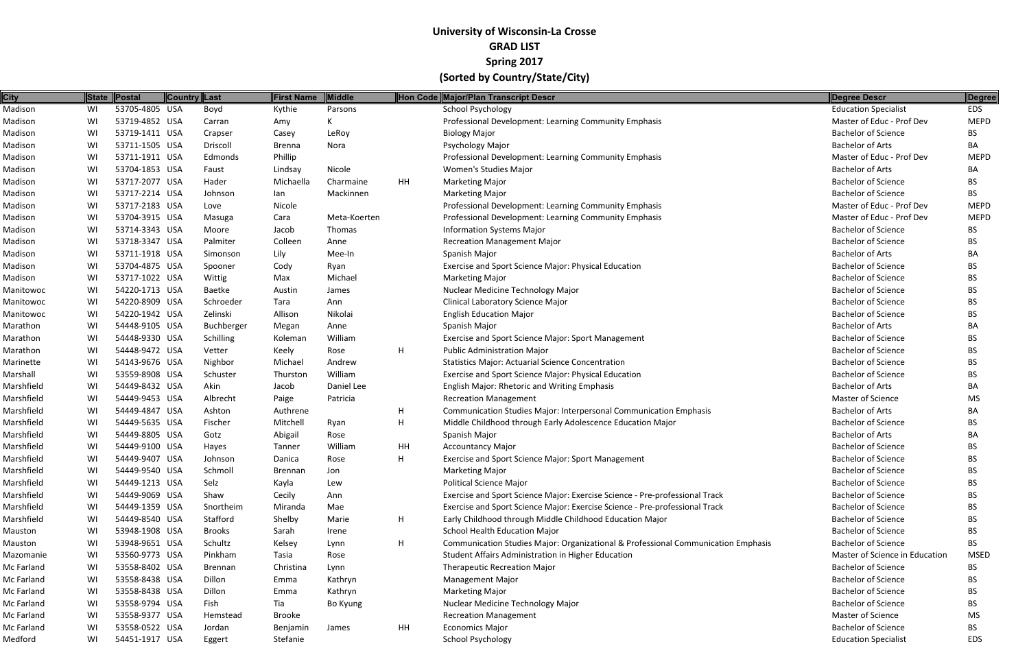| City       |    | State Postal   | Country Last   | <b>First Name</b> | <b>Middle</b> |    | Hon Code Major/Plan Transcript Descr                                              | Degree Descr                   | ∥Degree     |
|------------|----|----------------|----------------|-------------------|---------------|----|-----------------------------------------------------------------------------------|--------------------------------|-------------|
| Madison    | WI | 53705-4805 USA | Boyd           | Kythie            | Parsons       |    | <b>School Psychology</b>                                                          | <b>Education Specialist</b>    | <b>EDS</b>  |
| Madison    | WI | 53719-4852 USA | Carran         | Amy               |               |    | Professional Development: Learning Community Emphasis                             | Master of Educ - Prof Dev      | <b>MEPD</b> |
| Madison    | WI | 53719-1411 USA | Crapser        | Casey             | LeRoy         |    | <b>Biology Major</b>                                                              | <b>Bachelor of Science</b>     | BS.         |
| Madison    | WI | 53711-1505 USA | Driscoll       | Brenna            | Nora          |    | Psychology Major                                                                  | <b>Bachelor of Arts</b>        | BA          |
| Madison    | WI | 53711-1911 USA | Edmonds        | Phillip           |               |    | Professional Development: Learning Community Emphasis                             | Master of Educ - Prof Dev      | <b>MEPD</b> |
| Madison    | WI | 53704-1853 USA | Faust          | Lindsay           | Nicole        |    | Women's Studies Major                                                             | <b>Bachelor of Arts</b>        | BA.         |
| Madison    | WI | 53717-2077 USA | Hader          | Michaella         | Charmaine     | HH | <b>Marketing Major</b>                                                            | <b>Bachelor of Science</b>     | BS.         |
| Madison    | WI | 53717-2214 USA | Johnson        | lan               | Mackinnen     |    | <b>Marketing Major</b>                                                            | <b>Bachelor of Science</b>     | BS.         |
| Madison    | WI | 53717-2183 USA | Love           | Nicole            |               |    | Professional Development: Learning Community Emphasis                             | Master of Educ - Prof Dev      | <b>MEPD</b> |
| Madison    | WI | 53704-3915 USA | Masuga         | Cara              | Meta-Koerten  |    | Professional Development: Learning Community Emphasis                             | Master of Educ - Prof Dev      | <b>MEPD</b> |
| Madison    | WI | 53714-3343 USA | Moore          | Jacob             | Thomas        |    | <b>Information Systems Major</b>                                                  | <b>Bachelor of Science</b>     | BS.         |
| Madison    | WI | 53718-3347 USA | Palmiter       | Colleen           | Anne          |    | <b>Recreation Management Major</b>                                                | <b>Bachelor of Science</b>     | BS.         |
| Madison    | WI | 53711-1918 USA | Simonson       | Lily              | Mee-In        |    | Spanish Major                                                                     | <b>Bachelor of Arts</b>        | BA          |
| Madison    | WI | 53704-4875 USA | Spooner        | Cody              | Ryan          |    | Exercise and Sport Science Major: Physical Education                              | <b>Bachelor of Science</b>     | BS.         |
| Madison    | WI | 53717-1022 USA | Wittig         | Max               | Michael       |    | <b>Marketing Major</b>                                                            | <b>Bachelor of Science</b>     | BS.         |
| Manitowoc  | WI | 54220-1713 USA | Baetke         | Austin            | James         |    | Nuclear Medicine Technology Major                                                 | <b>Bachelor of Science</b>     | BS.         |
| Manitowoc  | WI | 54220-8909 USA | Schroeder      | Tara              | Ann           |    | Clinical Laboratory Science Major                                                 | <b>Bachelor of Science</b>     | BS.         |
| Manitowoc  | WI | 54220-1942 USA | Zelinski       | Allison           | Nikolai       |    | <b>English Education Major</b>                                                    | <b>Bachelor of Science</b>     | BS.         |
| Marathon   | WI | 54448-9105 USA | Buchberger     | Megan             | Anne          |    | Spanish Major                                                                     | <b>Bachelor of Arts</b>        | BA          |
| Marathon   | WI | 54448-9330 USA | Schilling      | Koleman           | William       |    | Exercise and Sport Science Major: Sport Management                                | <b>Bachelor of Science</b>     | BS.         |
| Marathon   | WI | 54448-9472 USA | Vetter         | Keely             | Rose          | H  | <b>Public Administration Major</b>                                                | <b>Bachelor of Science</b>     | BS.         |
| Marinette  | WI | 54143-9676 USA | Nighbor        | Michael           | Andrew        |    | <b>Statistics Major: Actuarial Science Concentration</b>                          | <b>Bachelor of Science</b>     | BS          |
| Marshall   | WI | 53559-8908 USA | Schuster       | Thurston          | William       |    | Exercise and Sport Science Major: Physical Education                              | <b>Bachelor of Science</b>     | BS.         |
| Marshfield | WI | 54449-8432 USA | Akin           | Jacob             | Daniel Lee    |    | English Major: Rhetoric and Writing Emphasis                                      | <b>Bachelor of Arts</b>        | BA          |
| Marshfield | WI | 54449-9453 USA | Albrecht       | Paige             | Patricia      |    | <b>Recreation Management</b>                                                      | Master of Science              | <b>MS</b>   |
| Marshfield | WI | 54449-4847 USA | Ashton         | Authrene          |               | H. | Communication Studies Major: Interpersonal Communication Emphasis                 | <b>Bachelor of Arts</b>        | BA          |
| Marshfield | WI | 54449-5635 USA | Fischer        | Mitchell          | Ryan          | H  | Middle Childhood through Early Adolescence Education Major                        | <b>Bachelor of Science</b>     | BS.         |
| Marshfield | WI | 54449-8805 USA | Gotz           | Abigail           | Rose          |    | Spanish Major                                                                     | <b>Bachelor of Arts</b>        | BA.         |
| Marshfield | WI | 54449-9100 USA | Hayes          | Tanner            | William       | HH | <b>Accountancy Major</b>                                                          | <b>Bachelor of Science</b>     | BS.         |
| Marshfield | WI | 54449-9407 USA | Johnson        | Danica            | Rose          |    | <b>Exercise and Sport Science Major: Sport Management</b>                         | <b>Bachelor of Science</b>     | <b>BS</b>   |
| Marshfield | WI | 54449-9540 USA | Schmoll        | <b>Brennan</b>    | Jon           |    | <b>Marketing Major</b>                                                            | <b>Bachelor of Science</b>     | BS.         |
| Marshfield | WI | 54449-1213 USA | Selz           | Kayla             | Lew           |    | <b>Political Science Major</b>                                                    | <b>Bachelor of Science</b>     | BS.         |
| Marshfield | WI | 54449-9069 USA | Shaw           | Cecily            | Ann           |    | Exercise and Sport Science Major: Exercise Science - Pre-professional Track       | <b>Bachelor of Science</b>     | BS.         |
| Marshfield | WI | 54449-1359 USA | Snortheim      | Miranda           | Mae           |    | Exercise and Sport Science Major: Exercise Science - Pre-professional Track       | <b>Bachelor of Science</b>     | BS.         |
| Marshfield | WI | 54449-8540 USA | Stafford       | Shelby            | Marie         | H  | Early Childhood through Middle Childhood Education Major                          | <b>Bachelor of Science</b>     | BS.         |
| Mauston    | WI | 53948-1908 USA | <b>Brooks</b>  | Sarah             | Irene         |    | <b>School Health Education Major</b>                                              | <b>Bachelor of Science</b>     | BS.         |
| Mauston    | WI | 53948-9651 USA | Schultz        | Kelsey            | Lynn          | H  | Communication Studies Major: Organizational & Professional Communication Emphasis | <b>Bachelor of Science</b>     | BS.         |
| Mazomanie  | WI | 53560-9773 USA | Pinkham        | Tasia             | Rose          |    | Student Affairs Administration in Higher Education                                | Master of Science in Education | <b>MSED</b> |
| Mc Farland | WI | 53558-8402 USA | <b>Brennan</b> | Christina         | Lynn          |    | <b>Therapeutic Recreation Major</b>                                               | <b>Bachelor of Science</b>     | BS.         |
| Mc Farland | WI | 53558-8438 USA | Dillon         | Emma              | Kathryn       |    | Management Major                                                                  | <b>Bachelor of Science</b>     | BS.         |
| Mc Farland | WI | 53558-8438 USA | Dillon         | Emma              | Kathryn       |    | <b>Marketing Major</b>                                                            | <b>Bachelor of Science</b>     | BS.         |
| Mc Farland | WI | 53558-9794 USA | Fish           | Tia               | Bo Kyung      |    | Nuclear Medicine Technology Major                                                 | <b>Bachelor of Science</b>     | BS.         |
| Mc Farland | WI | 53558-9377 USA | Hemstead       | Brooke            |               |    | <b>Recreation Management</b>                                                      | Master of Science              | MS          |
| Mc Farland | WI | 53558-0522 USA | Jordan         | Benjamin          | James         | HH | <b>Economics Major</b>                                                            | <b>Bachelor of Science</b>     | BS.         |
| Medford    | WI | 54451-1917 USA | Eggert         | Stefanie          |               |    | School Psychology                                                                 | <b>Education Specialist</b>    | <b>EDS</b>  |
|            |    |                |                |                   |               |    |                                                                                   |                                |             |

|      | <b>Degree Descr</b>            | <b>Degree</b> |
|------|--------------------------------|---------------|
|      | <b>Education Specialist</b>    | <b>EDS</b>    |
|      | Master of Educ - Prof Dev      | <b>MEPD</b>   |
|      | <b>Bachelor of Science</b>     | <b>BS</b>     |
|      | <b>Bachelor of Arts</b>        | BA            |
|      | Master of Educ - Prof Dev      | <b>MEPD</b>   |
|      | <b>Bachelor of Arts</b>        | BA            |
|      | <b>Bachelor of Science</b>     | <b>BS</b>     |
|      | <b>Bachelor of Science</b>     | <b>BS</b>     |
|      | Master of Educ - Prof Dev      | <b>MEPD</b>   |
|      | Master of Educ - Prof Dev      | <b>MEPD</b>   |
|      | <b>Bachelor of Science</b>     | <b>BS</b>     |
|      | <b>Bachelor of Science</b>     | <b>BS</b>     |
|      | <b>Bachelor of Arts</b>        | BA            |
|      | <b>Bachelor of Science</b>     | <b>BS</b>     |
|      | <b>Bachelor of Science</b>     | <b>BS</b>     |
|      | <b>Bachelor of Science</b>     | <b>BS</b>     |
|      | <b>Bachelor of Science</b>     | <b>BS</b>     |
|      | <b>Bachelor of Science</b>     | <b>BS</b>     |
|      | <b>Bachelor of Arts</b>        | BA            |
|      | <b>Bachelor of Science</b>     | <b>BS</b>     |
|      | <b>Bachelor of Science</b>     | <b>BS</b>     |
|      | <b>Bachelor of Science</b>     | <b>BS</b>     |
|      | <b>Bachelor of Science</b>     | <b>BS</b>     |
|      | <b>Bachelor of Arts</b>        | BA            |
|      | Master of Science              | <b>MS</b>     |
|      | <b>Bachelor of Arts</b>        | BA            |
|      | <b>Bachelor of Science</b>     | <b>BS</b>     |
|      | <b>Bachelor of Arts</b>        | BA            |
|      | <b>Bachelor of Science</b>     | <b>BS</b>     |
|      | <b>Bachelor of Science</b>     | BS            |
|      | <b>Bachelor of Science</b>     | BS            |
|      | <b>Bachelor of Science</b>     | <b>BS</b>     |
|      | <b>Bachelor of Science</b>     | <b>BS</b>     |
|      | <b>Bachelor of Science</b>     | <b>BS</b>     |
|      | <b>Bachelor of Science</b>     | <b>BS</b>     |
|      | <b>Bachelor of Science</b>     | <b>BS</b>     |
| ısis | <b>Bachelor of Science</b>     | <b>BS</b>     |
|      | Master of Science in Education | <b>MSED</b>   |
|      | <b>Bachelor of Science</b>     | BS            |
|      | <b>Bachelor of Science</b>     | <b>BS</b>     |
|      | <b>Bachelor of Science</b>     | <b>BS</b>     |
|      | <b>Bachelor of Science</b>     | <b>BS</b>     |
|      | <b>Master of Science</b>       | <b>MS</b>     |
|      | <b>Bachelor of Science</b>     | BS            |
|      |                                |               |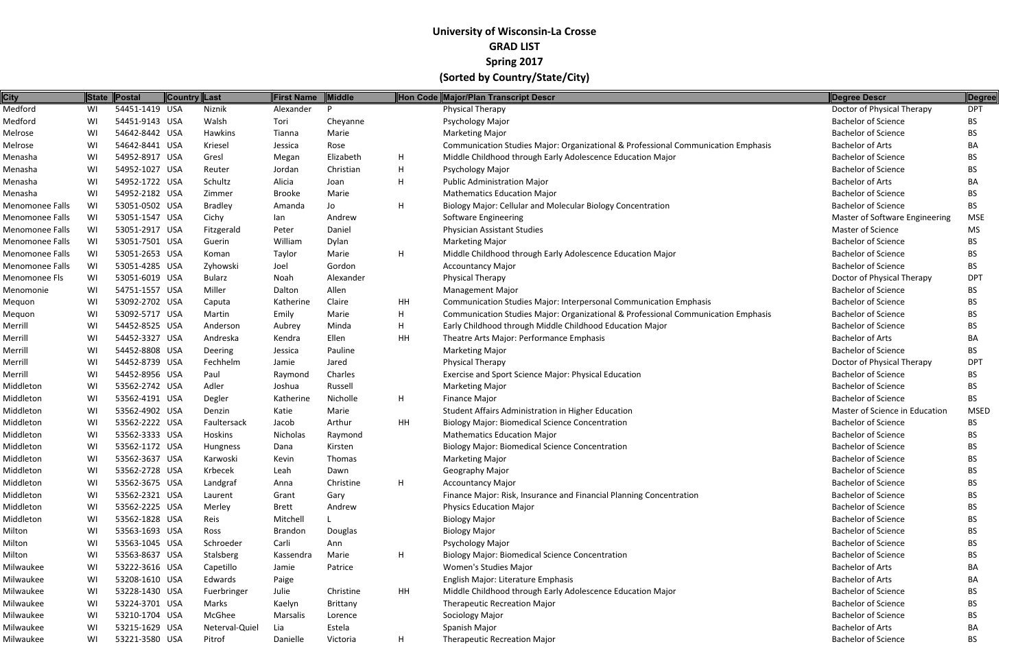| <b>City</b>     |    | State Postal   | Country Last   | <b>First Name</b> | Middle    |             | Hon Code Major/Plan Transcript Descr                                              | Degree Descr                   | Degree      |
|-----------------|----|----------------|----------------|-------------------|-----------|-------------|-----------------------------------------------------------------------------------|--------------------------------|-------------|
| Medford         | WI | 54451-1419 USA | Niznik         | Alexander         | <b>D</b>  |             | Physical Therapy                                                                  | Doctor of Physical Therapy     | <b>DPT</b>  |
| Medford         | WI | 54451-9143 USA | Walsh          | Tori              | Cheyanne  |             | Psychology Major                                                                  | <b>Bachelor of Science</b>     | BS.         |
| Melrose         | WI | 54642-8442 USA | Hawkins        | Tianna            | Marie     |             | <b>Marketing Major</b>                                                            | <b>Bachelor of Science</b>     | BS.         |
| Melrose         | WI | 54642-8441 USA | Kriesel        | Jessica           | Rose      |             | Communication Studies Major: Organizational & Professional Communication Emphasis | <b>Bachelor of Arts</b>        | BA          |
| Menasha         | WI | 54952-8917 USA | Gresl          | Megan             | Elizabeth | H           | Middle Childhood through Early Adolescence Education Major                        | <b>Bachelor of Science</b>     | BS.         |
| Menasha         | WI | 54952-1027 USA | Reuter         | Jordan            | Christian | H           | Psychology Major                                                                  | <b>Bachelor of Science</b>     | <b>BS</b>   |
| Menasha         | WI | 54952-1722 USA | Schultz        | Alicia            | Joan      | H           | <b>Public Administration Major</b>                                                | <b>Bachelor of Arts</b>        | BA          |
| Menasha         | WI | 54952-2182 USA | Zimmer         | Brooke            | Marie     |             | <b>Mathematics Education Major</b>                                                | <b>Bachelor of Science</b>     | BS.         |
| Menomonee Falls | WI | 53051-0502 USA | <b>Bradley</b> | Amanda            | Jo        | H           | Biology Major: Cellular and Molecular Biology Concentration                       | <b>Bachelor of Science</b>     | <b>BS</b>   |
| Menomonee Falls | WI | 53051-1547 USA | Cichy          | lan               | Andrew    |             | Software Engineering                                                              | Master of Software Engineering | <b>MSE</b>  |
| Menomonee Falls | WI | 53051-2917 USA | Fitzgerald     | Peter             | Daniel    |             | <b>Physician Assistant Studies</b>                                                | <b>Master of Science</b>       | <b>MS</b>   |
| Menomonee Falls | WI | 53051-7501 USA | Guerin         | William           | Dylan     |             | <b>Marketing Major</b>                                                            | <b>Bachelor of Science</b>     | BS.         |
| Menomonee Falls | WI | 53051-2653 USA | Koman          | Taylor            | Marie     | H.          | Middle Childhood through Early Adolescence Education Major                        | <b>Bachelor of Science</b>     | BS.         |
| Menomonee Falls | WI | 53051-4285 USA | Zyhowski       | Joel              | Gordon    |             | <b>Accountancy Major</b>                                                          | <b>Bachelor of Science</b>     | <b>BS</b>   |
| Menomonee Fls   | WI | 53051-6019 USA | <b>Bularz</b>  | Noah              | Alexander |             | Physical Therapy                                                                  | Doctor of Physical Therapy     | <b>DPT</b>  |
| Menomonie       | WI | 54751-1557 USA | Miller         | Dalton            | Allen     |             | <b>Management Major</b>                                                           | <b>Bachelor of Science</b>     | BS.         |
| Mequon          | WI | 53092-2702 USA | Caputa         | Katherine         | Claire    | HH          | <b>Communication Studies Major: Interpersonal Communication Emphasis</b>          | <b>Bachelor of Science</b>     | BS          |
| Mequon          | WI | 53092-5717 USA | Martin         | Emily             | Marie     | H           | Communication Studies Major: Organizational & Professional Communication Emphasis | <b>Bachelor of Science</b>     | BS.         |
| Merrill         | WI | 54452-8525 USA | Anderson       | Aubrey            | Minda     | H           | Early Childhood through Middle Childhood Education Major                          | <b>Bachelor of Science</b>     | <b>BS</b>   |
| Merrill         | WI | 54452-3327 USA | Andreska       | Kendra            | Ellen     | HH          | Theatre Arts Major: Performance Emphasis                                          | <b>Bachelor of Arts</b>        | BA          |
| Merrill         | WI | 54452-8808 USA | Deering        | Jessica           | Pauline   |             | <b>Marketing Major</b>                                                            | <b>Bachelor of Science</b>     | BS.         |
| Merrill         | WI | 54452-8739 USA | Fechhelm       | Jamie             | Jared     |             | Physical Therapy                                                                  | Doctor of Physical Therapy     | <b>DPT</b>  |
| Merrill         | WI | 54452-8956 USA | Paul           | Raymond           | Charles   |             | Exercise and Sport Science Major: Physical Education                              | <b>Bachelor of Science</b>     | <b>BS</b>   |
| Middleton       | WI | 53562-2742 USA | Adler          | Joshua            | Russell   |             | <b>Marketing Major</b>                                                            | <b>Bachelor of Science</b>     | <b>BS</b>   |
| Middleton       | WI | 53562-4191 USA | Degler         | Katherine         | Nicholle  | H.          | <b>Finance Major</b>                                                              | <b>Bachelor of Science</b>     | BS.         |
| Middleton       | WI | 53562-4902 USA | Denzin         | Katie             | Marie     |             | Student Affairs Administration in Higher Education                                | Master of Science in Education | <b>MSED</b> |
| Middleton       | WI | 53562-2222 USA | Faultersack    | Jacob             | Arthur    | HH          | <b>Biology Major: Biomedical Science Concentration</b>                            | <b>Bachelor of Science</b>     | <b>BS</b>   |
| Middleton       | WI | 53562-3333 USA | Hoskins        | Nicholas          | Raymond   |             | <b>Mathematics Education Major</b>                                                | <b>Bachelor of Science</b>     | BS.         |
| Middleton       | WI | 53562-1172 USA | Hungness       | Dana              | Kirsten   |             | <b>Biology Major: Biomedical Science Concentration</b>                            | <b>Bachelor of Science</b>     | <b>BS</b>   |
| Middleton       | WI | 53562-3637 USA | Karwoski       | Kevin             | Thomas    |             | <b>Marketing Major</b>                                                            | <b>Bachelor of Science</b>     | <b>BS</b>   |
| Middleton       | WI | 53562-2728 USA | Krbecek        | Leah              | Dawn      |             | Geography Major                                                                   | <b>Bachelor of Science</b>     | <b>BS</b>   |
| Middleton       | WI | 53562-3675 USA | Landgraf       | Anna              | Christine | H.          | <b>Accountancy Major</b>                                                          | <b>Bachelor of Science</b>     | <b>BS</b>   |
| Middleton       | WI | 53562-2321 USA | Laurent        | Grant             | Gary      |             | Finance Major: Risk, Insurance and Financial Planning Concentration               | <b>Bachelor of Science</b>     | <b>BS</b>   |
| Middleton       | WI | 53562-2225 USA | Merley         | Brett             | Andrew    |             | <b>Physics Education Major</b>                                                    | <b>Bachelor of Science</b>     | BS.         |
| Middleton       | WI | 53562-1828 USA | Reis           | Mitchell          |           |             | <b>Biology Major</b>                                                              | <b>Bachelor of Science</b>     | BS.         |
| Milton          | WI | 53563-1693 USA | Ross           | <b>Brandon</b>    | Douglas   |             | <b>Biology Major</b>                                                              | <b>Bachelor of Science</b>     | BS.         |
| Milton          | WI | 53563-1045 USA | Schroeder      | Carli             | Ann       |             | Psychology Major                                                                  | <b>Bachelor of Science</b>     | <b>BS</b>   |
| Milton          | WI | 53563-8637 USA | Stalsberg      | Kassendra         | Marie     | H           | <b>Biology Major: Biomedical Science Concentration</b>                            | <b>Bachelor of Science</b>     | BS.         |
| Milwaukee       | WI | 53222-3616 USA | Capetillo      | Jamie             | Patrice   |             | Women's Studies Major                                                             | <b>Bachelor of Arts</b>        | BA          |
| Milwaukee       | WI | 53208-1610 USA | Edwards        | Paige             |           |             | English Major: Literature Emphasis                                                | <b>Bachelor of Arts</b>        | BA          |
| Milwaukee       | WI | 53228-1430 USA | Fuerbringer    | Julie             | Christine | HH          | Middle Childhood through Early Adolescence Education Major                        | <b>Bachelor of Science</b>     | <b>BS</b>   |
| Milwaukee       | WI | 53224-3701 USA | Marks          | Kaelyn            | Brittany  |             | Therapeutic Recreation Major                                                      | <b>Bachelor of Science</b>     | <b>BS</b>   |
| Milwaukee       | WI | 53210-1704 USA | McGhee         | Marsalis          | Lorence   |             | Sociology Major                                                                   | <b>Bachelor of Science</b>     | BS.         |
| Milwaukee       | WI | 53215-1629 USA | Neterval-Quiel | Lia               | Estela    |             | Spanish Major                                                                     | <b>Bachelor of Arts</b>        | BA          |
| Milwaukee       | WI | 53221-3580 USA | Pitrof         | Danielle          | Victoria  | $H_{\perp}$ | Therapeutic Recreation Major                                                      | <b>Bachelor of Science</b>     | <b>BS</b>   |
|                 |    |                |                |                   |           |             |                                                                                   |                                |             |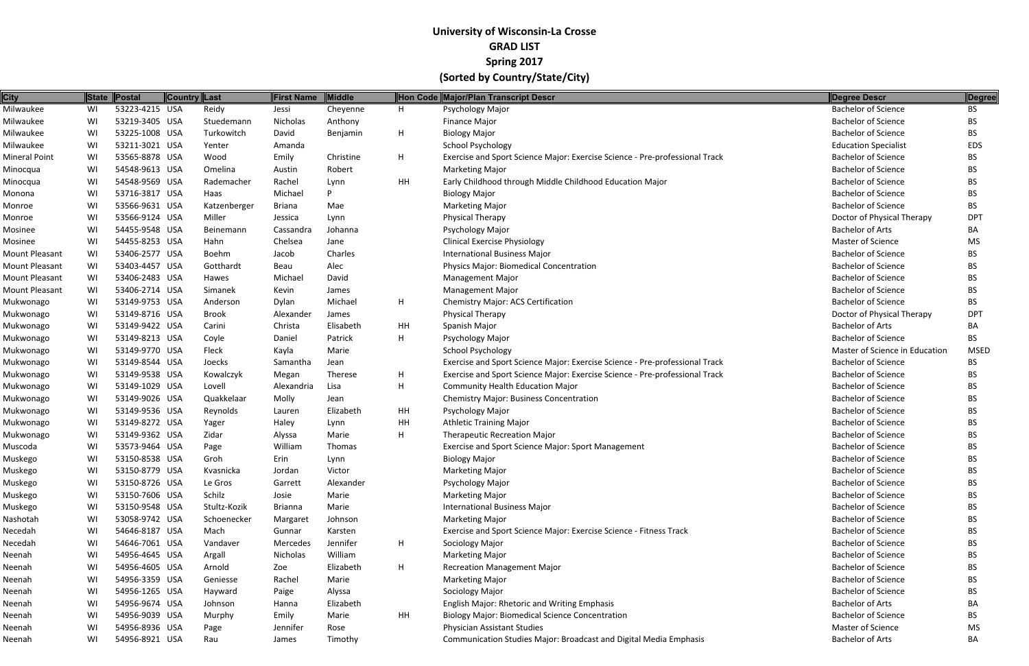| <b>City</b>           |    | State Postal   | <b>Country Last</b> |              | <b>First Name</b> | Middle    |    | Hon Code Major/Plan Transcript Descr                                        | <b>Degree Descr</b>            | Degree      |
|-----------------------|----|----------------|---------------------|--------------|-------------------|-----------|----|-----------------------------------------------------------------------------|--------------------------------|-------------|
| Milwaukee             | WI | 53223-4215 USA |                     | Reidy        | Jessi             | Cheyenne  | H  | Psychology Major                                                            | <b>Bachelor of Science</b>     | <b>BS</b>   |
| Milwaukee             | WI | 53219-3405 USA |                     | Stuedemann   | Nicholas          | Anthony   |    | Finance Major                                                               | <b>Bachelor of Science</b>     | <b>BS</b>   |
| Milwaukee             | WI | 53225-1008 USA |                     | Turkowitch   | David             | Benjamin  | H  | <b>Biology Major</b>                                                        | <b>Bachelor of Science</b>     | <b>BS</b>   |
| Milwaukee             | WI | 53211-3021 USA |                     | Yenter       | Amanda            |           |    | School Psychology                                                           | <b>Education Specialist</b>    | <b>EDS</b>  |
| <b>Mineral Point</b>  | WI | 53565-8878 USA |                     | Wood         | Emily             | Christine | H  | Exercise and Sport Science Major: Exercise Science - Pre-professional Track | <b>Bachelor of Science</b>     | BS.         |
| Minocqua              | WI | 54548-9613 USA |                     | Omelina      | Austin            | Robert    |    | <b>Marketing Major</b>                                                      | <b>Bachelor of Science</b>     | <b>BS</b>   |
| Minocqua              | WI | 54548-9569 USA |                     | Rademacher   | Rachel            | Lynn      | HH | Early Childhood through Middle Childhood Education Major                    | <b>Bachelor of Science</b>     | <b>BS</b>   |
| Monona                | WI | 53716-3817 USA |                     | Haas         | Michael           | D         |    | <b>Biology Major</b>                                                        | <b>Bachelor of Science</b>     | BS.         |
| Monroe                | WI | 53566-9631 USA |                     | Katzenberger | <b>Briana</b>     | Mae       |    | <b>Marketing Major</b>                                                      | <b>Bachelor of Science</b>     | <b>BS</b>   |
| Monroe                | WI | 53566-9124 USA |                     | Miller       | Jessica           | Lynn      |    | Physical Therapy                                                            | Doctor of Physical Therapy     | <b>DPT</b>  |
| Mosinee               | WI | 54455-9548 USA |                     | Beinemann    | Cassandra         | Johanna   |    | Psychology Major                                                            | <b>Bachelor of Arts</b>        | BA          |
| Mosinee               | WI | 54455-8253 USA |                     | Hahn         | Chelsea           | Jane      |    | <b>Clinical Exercise Physiology</b>                                         | Master of Science              | MS          |
| <b>Mount Pleasant</b> | WI | 53406-2577 USA |                     | Boehm        | Jacob             | Charles   |    | International Business Major                                                | <b>Bachelor of Science</b>     | <b>BS</b>   |
| Mount Pleasant        | WI | 53403-4457 USA |                     | Gotthardt    | Beau              | Alec      |    | Physics Major: Biomedical Concentration                                     | <b>Bachelor of Science</b>     | BS.         |
| Mount Pleasant        | WI | 53406-2483 USA |                     | Hawes        | Michael           | David     |    | <b>Management Major</b>                                                     | <b>Bachelor of Science</b>     | BS.         |
| <b>Mount Pleasant</b> | WI | 53406-2714 USA |                     | Simanek      | Kevin             | James     |    | <b>Management Major</b>                                                     | <b>Bachelor of Science</b>     | <b>BS</b>   |
| Mukwonago             | WI | 53149-9753 USA |                     | Anderson     | Dylan             | Michael   | H  | <b>Chemistry Major: ACS Certification</b>                                   | <b>Bachelor of Science</b>     | <b>BS</b>   |
| Mukwonago             | WI | 53149-8716 USA |                     | <b>Brook</b> | Alexander         | James     |    | Physical Therapy                                                            | Doctor of Physical Therapy     | <b>DPT</b>  |
| Mukwonago             | WI | 53149-9422 USA |                     | Carini       | Christa           | Elisabeth | HH | Spanish Major                                                               | <b>Bachelor of Arts</b>        | BA          |
| Mukwonago             | WI | 53149-8213 USA |                     | Coyle        | Daniel            | Patrick   | H  | Psychology Major                                                            | <b>Bachelor of Science</b>     | <b>BS</b>   |
| Mukwonago             | WI | 53149-9770 USA |                     | Fleck        | Kayla             | Marie     |    | School Psychology                                                           | Master of Science in Education | <b>MSED</b> |
| Mukwonago             | WI | 53149-8544 USA |                     | Joecks       | Samantha          | Jean      |    | Exercise and Sport Science Major: Exercise Science - Pre-professional Track | <b>Bachelor of Science</b>     | <b>BS</b>   |
| Mukwonago             | WI | 53149-9538 USA |                     | Kowalczyk    | Megan             | Therese   | H  | Exercise and Sport Science Major: Exercise Science - Pre-professional Track | <b>Bachelor of Science</b>     | BS.         |
| Mukwonago             | WI | 53149-1029 USA |                     | Lovell       | Alexandria        | Lisa      | Н  | <b>Community Health Education Major</b>                                     | <b>Bachelor of Science</b>     | BS.         |
| Mukwonago             | WI | 53149-9026 USA |                     | Quakkelaar   | Molly             | Jean      |    | <b>Chemistry Major: Business Concentration</b>                              | <b>Bachelor of Science</b>     | <b>BS</b>   |
| Mukwonago             | WI | 53149-9536 USA |                     | Reynolds     | Lauren            | Elizabeth | HH | Psychology Major                                                            | <b>Bachelor of Science</b>     | BS.         |
| Mukwonago             | WI | 53149-8272 USA |                     | Yager        | Haley             | Lynn      | HH | <b>Athletic Training Major</b>                                              | <b>Bachelor of Science</b>     | BS.         |
| Mukwonago             | WI | 53149-9362 USA |                     | Zidar        | Alyssa            | Marie     | H  | <b>Therapeutic Recreation Major</b>                                         | <b>Bachelor of Science</b>     | BS.         |
| Muscoda               | WI | 53573-9464 USA |                     | Page         | William           | Thomas    |    | Exercise and Sport Science Major: Sport Management                          | <b>Bachelor of Science</b>     | <b>BS</b>   |
| Muskego               | WI | 53150-8538 USA |                     | Groh         | Erin              | Lynn      |    | <b>Biology Major</b>                                                        | <b>Bachelor of Science</b>     | BS.         |
| Muskego               | WI | 53150-8779 USA |                     | Kvasnicka    | Jordan            | Victor    |    | <b>Marketing Major</b>                                                      | <b>Bachelor of Science</b>     | <b>BS</b>   |
| Muskego               | WI | 53150-8726 USA |                     | Le Gros      | Garrett           | Alexander |    | Psychology Major                                                            | <b>Bachelor of Science</b>     | BS          |
| Muskego               | WI | 53150-7606 USA |                     | Schilz       | Josie             | Marie     |    | <b>Marketing Major</b>                                                      | <b>Bachelor of Science</b>     | BS.         |
| Muskego               | WI | 53150-9548 USA |                     | Stultz-Kozik | <b>Brianna</b>    | Marie     |    | <b>International Business Major</b>                                         | <b>Bachelor of Science</b>     | BS.         |
| Nashotah              | WI | 53058-9742 USA |                     | Schoenecker  | Margaret          | Johnson   |    | <b>Marketing Major</b>                                                      | <b>Bachelor of Science</b>     | BS.         |
| Necedah               | WI | 54646-8187 USA |                     | Mach         | Gunnar            | Karsten   |    | Exercise and Sport Science Major: Exercise Science - Fitness Track          | <b>Bachelor of Science</b>     | BS.         |
| Necedah               | WI | 54646-7061 USA |                     | Vandaver     | Mercedes          | Jennifer  | H  | Sociology Major                                                             | <b>Bachelor of Science</b>     | BS.         |
| Neenah                | WI | 54956-4645 USA |                     | Argall       | <b>Nicholas</b>   | William   |    | <b>Marketing Major</b>                                                      | <b>Bachelor of Science</b>     | BS.         |
| Neenah                | WI | 54956-4605 USA |                     | Arnold       | Zoe               | Elizabeth | H  | <b>Recreation Management Major</b>                                          | <b>Bachelor of Science</b>     | BS.         |
| Neenah                | WI | 54956-3359 USA |                     | Geniesse     | Rachel            | Marie     |    | <b>Marketing Major</b>                                                      | <b>Bachelor of Science</b>     | <b>BS</b>   |
| Neenah                | WI | 54956-1265 USA |                     | Hayward      | Paige             | Alyssa    |    | Sociology Major                                                             | <b>Bachelor of Science</b>     | BS.         |
| Neenah                | WI | 54956-9674 USA |                     | Johnson      | Hanna             | Elizabeth |    | <b>English Major: Rhetoric and Writing Emphasis</b>                         | <b>Bachelor of Arts</b>        | BA          |
| Neenah                | WI | 54956-9039 USA |                     | Murphy       | Emily             | Marie     | HH | <b>Biology Major: Biomedical Science Concentration</b>                      | <b>Bachelor of Science</b>     | BS.         |
| Neenah                | WI | 54956-8936 USA |                     | Page         | Jennifer          | Rose      |    | <b>Physician Assistant Studies</b>                                          | Master of Science              | MS          |
| Neenah                | WI | 54956-8921 USA |                     | Rau          | James             | Timothy   |    | Communication Studies Major: Broadcast and Digital Media Emphasis           | <b>Bachelor of Arts</b>        | BA          |
|                       |    |                |                     |              |                   |           |    |                                                                             |                                |             |

| <b>Degree Descr</b>                                          | <b>Degree</b> |
|--------------------------------------------------------------|---------------|
| <b>Bachelor of Science</b>                                   | BS            |
| <b>Bachelor of Science</b>                                   | <b>BS</b>     |
| <b>Bachelor of Science</b>                                   | <b>BS</b>     |
| <b>Education Specialist</b>                                  | <b>EDS</b>    |
| <b>Bachelor of Science</b>                                   | <b>BS</b>     |
| <b>Bachelor of Science</b>                                   | <b>BS</b>     |
| <b>Bachelor of Science</b>                                   | <b>BS</b>     |
| <b>Bachelor of Science</b>                                   | <b>BS</b>     |
| <b>Bachelor of Science</b>                                   | <b>BS</b>     |
| Doctor of Physical Therapy                                   | <b>DPT</b>    |
| <b>Bachelor of Arts</b>                                      | BА            |
| <b>Master of Science</b>                                     | <b>MS</b>     |
| <b>Bachelor of Science</b>                                   | <b>BS</b>     |
| <b>Bachelor of Science</b>                                   | <b>BS</b>     |
| <b>Bachelor of Science</b>                                   | <b>BS</b>     |
| <b>Bachelor of Science</b>                                   | <b>BS</b>     |
| <b>Bachelor of Science</b>                                   | BS            |
|                                                              | DPT           |
| Doctor of Physical Therapy<br><b>Bachelor of Arts</b>        | BА            |
| <b>Bachelor of Science</b>                                   |               |
|                                                              | <b>BS</b>     |
| Master of Science in Education<br><b>Bachelor of Science</b> | <b>MSED</b>   |
|                                                              | <b>BS</b>     |
| <b>Bachelor of Science</b>                                   | <b>BS</b>     |
| <b>Bachelor of Science</b>                                   | <b>BS</b>     |
| <b>Bachelor of Science</b>                                   | <b>BS</b>     |
| <b>Bachelor of Science</b>                                   | <b>BS</b>     |
| <b>Bachelor of Science</b>                                   | <b>BS</b>     |
| <b>Bachelor of Science</b>                                   | <b>BS</b>     |
| <b>Bachelor of Science</b>                                   | <b>BS</b>     |
| <b>Bachelor of Science</b>                                   | BS            |
| <b>Bachelor of Science</b>                                   | BS            |
| <b>Bachelor of Science</b>                                   | BS            |
| <b>Bachelor of Science</b>                                   | <b>BS</b>     |
| <b>Bachelor of Science</b>                                   | <b>BS</b>     |
| <b>Bachelor of Science</b>                                   | <b>BS</b>     |
| <b>Bachelor of Science</b>                                   | <b>BS</b>     |
| <b>Bachelor of Science</b>                                   | <b>BS</b>     |
| <b>Bachelor of Science</b>                                   | <b>BS</b>     |
| <b>Bachelor of Science</b>                                   | <b>BS</b>     |
| <b>Bachelor of Science</b>                                   | <b>BS</b>     |
| <b>Bachelor of Science</b>                                   | <b>BS</b>     |
| <b>Bachelor of Arts</b>                                      | BA            |
| <b>Bachelor of Science</b>                                   | <b>BS</b>     |
| <b>Master of Science</b>                                     | MS            |
| Bachelor of Arts                                             | <b>BA</b>     |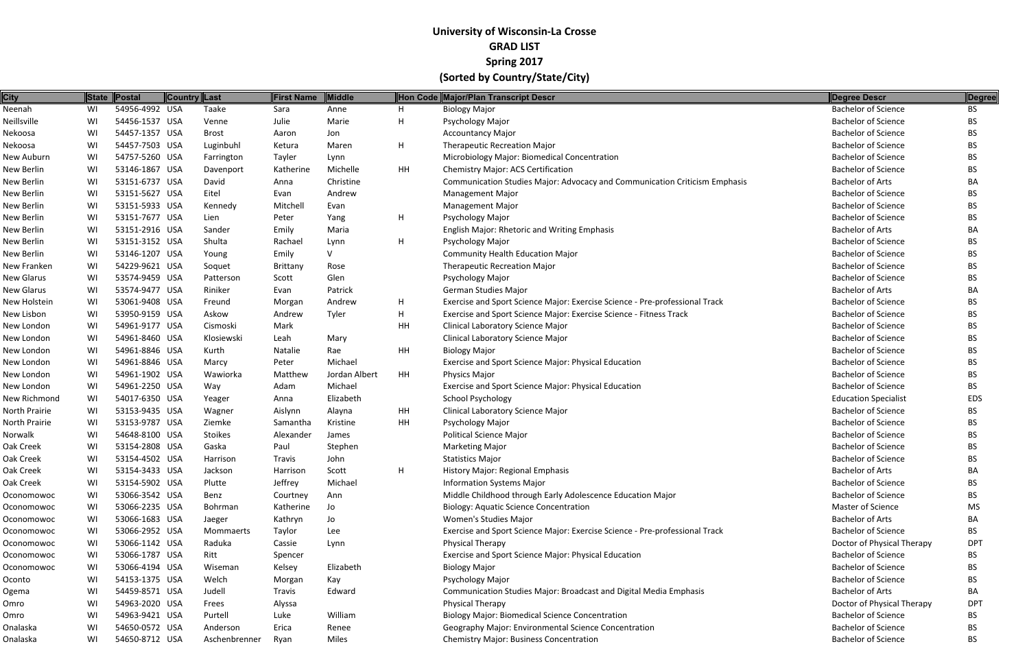| <b>City</b>       |    | State Postal   | Country Last |               | <b>First Name</b> | Middle        |    | Hon Code Major/Plan Transcript Descr                                        | Degree Descr                | Degree     |
|-------------------|----|----------------|--------------|---------------|-------------------|---------------|----|-----------------------------------------------------------------------------|-----------------------------|------------|
| Neenah            | WI | 54956-4992 USA |              | Taake         | Sara              | Anne          | H  | <b>Biology Major</b>                                                        | <b>Bachelor of Science</b>  | <b>BS</b>  |
| Neillsville       | WI | 54456-1537 USA |              | Venne         | Julie             | Marie         | H  | Psychology Major                                                            | <b>Bachelor of Science</b>  | BS.        |
| Nekoosa           | WI | 54457-1357 USA |              | <b>Brost</b>  | Aaron             | Jon           |    | <b>Accountancy Major</b>                                                    | <b>Bachelor of Science</b>  | BS.        |
| Nekoosa           | WI | 54457-7503 USA |              | Luginbuhl     | Ketura            | Maren         | H  | <b>Therapeutic Recreation Major</b>                                         | <b>Bachelor of Science</b>  | ВS         |
| New Auburn        | WI | 54757-5260 USA |              | Farrington    | Tayler            | Lynn          |    | Microbiology Major: Biomedical Concentration                                | <b>Bachelor of Science</b>  | BS.        |
| New Berlin        | WI | 53146-1867 USA |              | Davenport     | Katherine         | Michelle      | HH | Chemistry Major: ACS Certification                                          | <b>Bachelor of Science</b>  | <b>BS</b>  |
| New Berlin        | WI | 53151-6737 USA |              | David         | Anna              | Christine     |    | Communication Studies Major: Advocacy and Communication Criticism Emphasis  | <b>Bachelor of Arts</b>     | BA         |
| New Berlin        | WI | 53151-5627 USA |              | Eitel         | Evan              | Andrew        |    | <b>Management Major</b>                                                     | <b>Bachelor of Science</b>  | BS.        |
| New Berlin        | WI | 53151-5933 USA |              | Kennedy       | Mitchell          | Evan          |    | <b>Management Major</b>                                                     | <b>Bachelor of Science</b>  | <b>BS</b>  |
| New Berlin        | WI | 53151-7677 USA |              | Lien          | Peter             | Yang          | H  | Psychology Major                                                            | <b>Bachelor of Science</b>  | BS.        |
| New Berlin        | WI | 53151-2916 USA |              | Sander        | Emily             | Maria         |    | English Major: Rhetoric and Writing Emphasis                                | <b>Bachelor of Arts</b>     | BA         |
| New Berlin        | WI | 53151-3152 USA |              | Shulta        | Rachael           | Lynn          | H  | Psychology Major                                                            | <b>Bachelor of Science</b>  | BS.        |
| New Berlin        | WI | 53146-1207 USA |              | Young         | Emily             |               |    | <b>Community Health Education Major</b>                                     | <b>Bachelor of Science</b>  | BS.        |
| New Franken       | WI | 54229-9621 USA |              | Soquet        | Brittany          | Rose          |    | <b>Therapeutic Recreation Major</b>                                         | <b>Bachelor of Science</b>  | <b>BS</b>  |
| <b>New Glarus</b> | WI | 53574-9459 USA |              | Patterson     | Scott             | Glen          |    | Psychology Major                                                            | <b>Bachelor of Science</b>  | BS.        |
| <b>New Glarus</b> | WI | 53574-9477 USA |              | Riniker       | Evan              | Patrick       |    | German Studies Major                                                        | <b>Bachelor of Arts</b>     | BA         |
| New Holstein      | WI | 53061-9408 USA |              | Freund        | Morgan            | Andrew        | H  | Exercise and Sport Science Major: Exercise Science - Pre-professional Track | <b>Bachelor of Science</b>  | ВS         |
| New Lisbon        | WI | 53950-9159 USA |              | Askow         | Andrew            | Tyler         | H  | Exercise and Sport Science Major: Exercise Science - Fitness Track          | <b>Bachelor of Science</b>  | BS.        |
| New London        | WI | 54961-9177 USA |              | Cismoski      | Mark              |               | HH | Clinical Laboratory Science Major                                           | <b>Bachelor of Science</b>  | <b>BS</b>  |
| New London        | WI | 54961-8460 USA |              | Klosiewski    | Leah              | Mary          |    | Clinical Laboratory Science Major                                           | <b>Bachelor of Science</b>  | BS.        |
| New London        | WI | 54961-8846 USA |              | Kurth         | Natalie           | Rae           | HH | <b>Biology Major</b>                                                        | <b>Bachelor of Science</b>  | <b>BS</b>  |
| New London        | WI | 54961-8846 USA |              | Marcy         | Peter             | Michael       |    | Exercise and Sport Science Major: Physical Education                        | <b>Bachelor of Science</b>  | <b>BS</b>  |
| New London        | WI | 54961-1902 USA |              | Wawiorka      | Matthew           | Jordan Albert | HH | Physics Major                                                               | <b>Bachelor of Science</b>  | BS.        |
| New London        | WI | 54961-2250 USA |              | Way           | Adam              | Michael       |    | Exercise and Sport Science Major: Physical Education                        | <b>Bachelor of Science</b>  | <b>BS</b>  |
| New Richmond      | WI | 54017-6350 USA |              | Yeager        | Anna              | Elizabeth     |    | <b>School Psychology</b>                                                    | <b>Education Specialist</b> | EDS        |
| North Prairie     | WI | 53153-9435 USA |              | Wagner        | Aislynn           | Alayna        | HH | Clinical Laboratory Science Major                                           | <b>Bachelor of Science</b>  | ВS         |
| North Prairie     | WI | 53153-9787 USA |              | Ziemke        | Samantha          | Kristine      | HH | Psychology Major                                                            | <b>Bachelor of Science</b>  | <b>BS</b>  |
| Norwalk           | WI | 54648-8100 USA |              | Stoikes       | Alexander         | James         |    | <b>Political Science Major</b>                                              | <b>Bachelor of Science</b>  | BS.        |
| Oak Creek         | WI | 53154-2808 USA |              | Gaska         | Paul              | Stephen       |    | <b>Marketing Major</b>                                                      | <b>Bachelor of Science</b>  | <b>BS</b>  |
| Oak Creek         | WI | 53154-4502 USA |              | Harrison      | Travis            | John          |    | <b>Statistics Major</b>                                                     | <b>Bachelor of Science</b>  | BS         |
| Oak Creek         | WI | 53154-3433 USA |              | Jackson       | Harrison          | Scott         | H  | <b>History Major: Regional Emphasis</b>                                     | <b>Bachelor of Arts</b>     | BA         |
| Oak Creek         | WI | 53154-5902 USA |              | Plutte        | Jeffrey           | Michael       |    | <b>Information Systems Major</b>                                            | <b>Bachelor of Science</b>  | <b>BS</b>  |
| Oconomowoc        | WI | 53066-3542 USA |              | Benz          | Courtney          | Ann           |    | Middle Childhood through Early Adolescence Education Major                  | <b>Bachelor of Science</b>  | BS.        |
| Oconomowoc        | WI | 53066-2235 USA |              | Bohrman       | Katherine         | Jo            |    | <b>Biology: Aquatic Science Concentration</b>                               | <b>Master of Science</b>    | MS         |
| Oconomowoc        | WI | 53066-1683 USA |              | Jaeger        | Kathryn           | Jo            |    | Women's Studies Major                                                       | <b>Bachelor of Arts</b>     | BA         |
| Oconomowoc        | WI | 53066-2952 USA |              | Mommaerts     | Taylor            | Lee           |    | Exercise and Sport Science Major: Exercise Science - Pre-professional Track | <b>Bachelor of Science</b>  | BS.        |
| Oconomowoc        | WI | 53066-1142 USA |              | Raduka        | Cassie            | Lynn          |    | Physical Therapy                                                            | Doctor of Physical Therapy  | <b>DPT</b> |
| Oconomowoc        | WI | 53066-1787 USA |              | Ritt          | Spencer           |               |    | Exercise and Sport Science Major: Physical Education                        | <b>Bachelor of Science</b>  | BS.        |
| Oconomowoc        | WI | 53066-4194 USA |              | Wiseman       | Kelsey            | Elizabeth     |    | <b>Biology Major</b>                                                        | <b>Bachelor of Science</b>  | BS.        |
| Oconto            | WI | 54153-1375 USA |              | Welch         | Morgan            | Kay           |    | Psychology Major                                                            | <b>Bachelor of Science</b>  | <b>BS</b>  |
| Ogema             | WI | 54459-8571 USA |              | Judell        | Travis            | Edward        |    | Communication Studies Major: Broadcast and Digital Media Emphasis           | <b>Bachelor of Arts</b>     | BA         |
| Omro              | WI | 54963-2020 USA |              | Frees         | Alyssa            |               |    | Physical Therapy                                                            | Doctor of Physical Therapy  | <b>DPT</b> |
| Omro              | WI | 54963-9421 USA |              | Purtell       | Luke              | William       |    | <b>Biology Major: Biomedical Science Concentration</b>                      | <b>Bachelor of Science</b>  | BS.        |
| Onalaska          | WI | 54650-0572 USA |              | Anderson      | Erica             | Renee         |    | Geography Major: Environmental Science Concentration                        | <b>Bachelor of Science</b>  | BS.        |
| Onalaska          | WI | 54650-8712 USA |              | Aschenbrenner | Ryan              | Miles         |    | <b>Chemistry Major: Business Concentration</b>                              | <b>Bachelor of Science</b>  | <b>BS</b>  |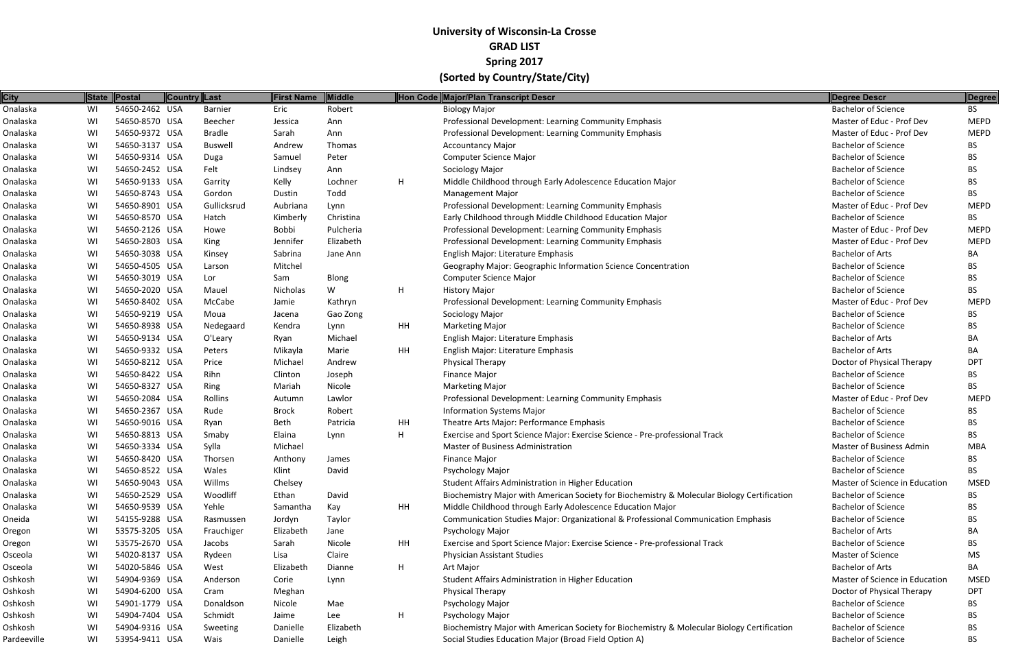| <b>City</b> |    | State   Postal | Country Last   | First Name | Middle    |    | Hon Code Major/Plan Transcript Descr                                                        | <b>Degree Descr</b>             | Degree      |
|-------------|----|----------------|----------------|------------|-----------|----|---------------------------------------------------------------------------------------------|---------------------------------|-------------|
| Onalaska    | WI | 54650-2462 USA | Barnier        | Eric       | Robert    |    | <b>Biology Major</b>                                                                        | <b>Bachelor of Science</b>      | <b>BS</b>   |
| Onalaska    | WI | 54650-8570 USA | Beecher        | Jessica    | Ann       |    | Professional Development: Learning Community Emphasis                                       | Master of Educ - Prof Dev       | MEPD        |
| Onalaska    | WI | 54650-9372 USA | Bradle         | Sarah      | Ann       |    | Professional Development: Learning Community Emphasis                                       | Master of Educ - Prof Dev       | <b>MEPD</b> |
| Onalaska    | WI | 54650-3137 USA | <b>Buswell</b> | Andrew     | Thomas    |    | <b>Accountancy Major</b>                                                                    | <b>Bachelor of Science</b>      | BS.         |
| Onalaska    | WI | 54650-9314 USA | Duga           | Samuel     | Peter     |    | Computer Science Major                                                                      | <b>Bachelor of Science</b>      | BS.         |
| Onalaska    | WI | 54650-2452 USA | Felt           | Lindsey    | Ann       |    | Sociology Major                                                                             | <b>Bachelor of Science</b>      | BS          |
| Onalaska    | WI | 54650-9133 USA | Garrity        | Kelly      | Lochner   | H  | Middle Childhood through Early Adolescence Education Major                                  | <b>Bachelor of Science</b>      | BS.         |
| Onalaska    | WI | 54650-8743 USA | Gordon         | Dustin     | Todd      |    | <b>Management Major</b>                                                                     | <b>Bachelor of Science</b>      | BS          |
| Onalaska    | WI | 54650-8901 USA | Gullicksrud    | Aubriana   | Lynn      |    | Professional Development: Learning Community Emphasis                                       | Master of Educ - Prof Dev       | <b>MEPD</b> |
| Onalaska    | WI | 54650-8570 USA | Hatch          | Kimberly   | Christina |    | Early Childhood through Middle Childhood Education Major                                    | <b>Bachelor of Science</b>      | BS          |
| Onalaska    | WI | 54650-2126 USA | Howe           | Bobbi      | Pulcheria |    | Professional Development: Learning Community Emphasis                                       | Master of Educ - Prof Dev       | <b>MEPD</b> |
| Onalaska    | WI | 54650-2803 USA | King           | Jennifer   | Elizabeth |    | Professional Development: Learning Community Emphasis                                       | Master of Educ - Prof Dev       | <b>MEPD</b> |
| Onalaska    | WI | 54650-3038 USA | Kinsey         | Sabrina    | Jane Ann  |    | English Major: Literature Emphasis                                                          | <b>Bachelor of Arts</b>         | BA          |
| Onalaska    | WI | 54650-4505 USA | Larson         | Mitchel    |           |    | Geography Major: Geographic Information Science Concentration                               | <b>Bachelor of Science</b>      | ВS          |
| Onalaska    | WI | 54650-3019 USA | Lor            | Sam        | Blong     |    | Computer Science Major                                                                      | <b>Bachelor of Science</b>      | BS          |
| Onalaska    | WI | 54650-2020 USA | Mauel          | Nicholas   | W         | H  | <b>History Major</b>                                                                        | <b>Bachelor of Science</b>      | BS          |
| Onalaska    | WI | 54650-8402 USA | McCabe         | Jamie      | Kathryn   |    | Professional Development: Learning Community Emphasis                                       | Master of Educ - Prof Dev       | <b>MEPD</b> |
| Onalaska    | WI | 54650-9219 USA | Moua           | Jacena     | Gao Zong  |    | Sociology Major                                                                             | <b>Bachelor of Science</b>      | BS.         |
| Onalaska    | WI | 54650-8938 USA | Nedegaard      | Kendra     | Lynn      | HH | <b>Marketing Major</b>                                                                      | <b>Bachelor of Science</b>      | ВS          |
| Onalaska    | WI | 54650-9134 USA | O'Leary        | Ryan       | Michael   |    | English Major: Literature Emphasis                                                          | <b>Bachelor of Arts</b>         | ВA          |
| Onalaska    | WI | 54650-9332 USA | Peters         | Mikayla    | Marie     | HH | English Major: Literature Emphasis                                                          | <b>Bachelor of Arts</b>         | BA          |
| Onalaska    | WI | 54650-8212 USA | Price          | Michael    | Andrew    |    | <b>Physical Therapy</b>                                                                     | Doctor of Physical Therapy      | <b>DPT</b>  |
| Onalaska    | WI | 54650-8422 USA | Rihn           | Clinton    | Joseph    |    | <b>Finance Major</b>                                                                        | <b>Bachelor of Science</b>      | BS          |
| Onalaska    | WI | 54650-8327 USA | Ring           | Mariah     | Nicole    |    | <b>Marketing Major</b>                                                                      | <b>Bachelor of Science</b>      | BS.         |
| Onalaska    | WI | 54650-2084 USA | Rollins        | Autumn     | Lawlor    |    | Professional Development: Learning Community Emphasis                                       | Master of Educ - Prof Dev       | <b>MEPD</b> |
| Onalaska    | WI | 54650-2367 USA | Rude           | Brock      | Robert    |    | <b>Information Systems Major</b>                                                            | <b>Bachelor of Science</b>      | BS.         |
| Onalaska    | WI | 54650-9016 USA | Ryan           | Beth       | Patricia  | HH | Theatre Arts Major: Performance Emphasis                                                    | <b>Bachelor of Science</b>      | ВS          |
| Onalaska    | WI | 54650-8813 USA | Smaby          | Elaina     | Lynn      | H  | Exercise and Sport Science Major: Exercise Science - Pre-professional Track                 | <b>Bachelor of Science</b>      | BS.         |
| Onalaska    | WI | 54650-3334 USA | Sylla          | Michael    |           |    | <b>Master of Business Administration</b>                                                    | <b>Master of Business Admin</b> | MBA         |
| Onalaska    | WI | 54650-8420 USA | Thorsen        | Anthony    | James     |    | <b>Finance Major</b>                                                                        | <b>Bachelor of Science</b>      | BS.         |
| Onalaska    | WI | 54650-8522 USA | Wales          | Klint      | David     |    | Psychology Major                                                                            | <b>Bachelor of Science</b>      | <b>BS</b>   |
| Onalaska    | WI | 54650-9043 USA | Willms         | Chelsey    |           |    | Student Affairs Administration in Higher Education                                          | Master of Science in Education  | <b>MSED</b> |
| Onalaska    | WI | 54650-2529 USA | Woodliff       | Ethan      | David     |    | Biochemistry Major with American Society for Biochemistry & Molecular Biology Certification | <b>Bachelor of Science</b>      | BS          |
| Onalaska    | WI | 54650-9539 USA | Yehle          | Samantha   | Kay       | HH | Middle Childhood through Early Adolescence Education Major                                  | <b>Bachelor of Science</b>      | BS.         |
| Oneida      | WI | 54155-9288 USA | Rasmussen      | Jordyn     | Taylor    |    | Communication Studies Major: Organizational & Professional Communication Emphasis           | <b>Bachelor of Science</b>      | ВS          |
| Oregon      | WI | 53575-3205 USA | Frauchiger     | Elizabeth  | Jane      |    | Psychology Major                                                                            | <b>Bachelor of Arts</b>         | BA          |
| Oregon      | WI | 53575-2670 USA | Jacobs         | Sarah      | Nicole    | HH | Exercise and Sport Science Major: Exercise Science - Pre-professional Track                 | <b>Bachelor of Science</b>      | ВS          |
| Osceola     | WI | 54020-8137 USA | Rydeen         | Lisa       | Claire    |    | <b>Physician Assistant Studies</b>                                                          | Master of Science               | MS          |
| Osceola     | WI | 54020-5846 USA | West           | Elizabeth  | Dianne    | H  | Art Major                                                                                   | <b>Bachelor of Arts</b>         | ВA          |
| Oshkosh     | WI | 54904-9369 USA | Anderson       | Corie      | Lynn      |    | Student Affairs Administration in Higher Education                                          | Master of Science in Education  | MSED        |
| Oshkosh     | WI | 54904-6200 USA | Cram           | Meghan     |           |    | <b>Physical Therapy</b>                                                                     | Doctor of Physical Therapy      | <b>DPT</b>  |
| Oshkosh     | WI | 54901-1779 USA | Donaldson      | Nicole     | Mae       |    | Psychology Major                                                                            | <b>Bachelor of Science</b>      | BS.         |
| Oshkosh     | WI | 54904-7404 USA | Schmidt        | Jaime      | Lee       | H  | Psychology Major                                                                            | <b>Bachelor of Science</b>      | BS          |
| Oshkosh     | WI | 54904-9316 USA | Sweeting       | Danielle   | Elizabeth |    | Biochemistry Major with American Society for Biochemistry & Molecular Biology Certification | <b>Bachelor of Science</b>      | BS          |
| Pardeeville | WI | 53954-9411 USA | Wais           | Danielle   | Leigh     |    | Social Studies Education Major (Broad Field Option A)                                       | <b>Bachelor of Science</b>      | <b>BS</b>   |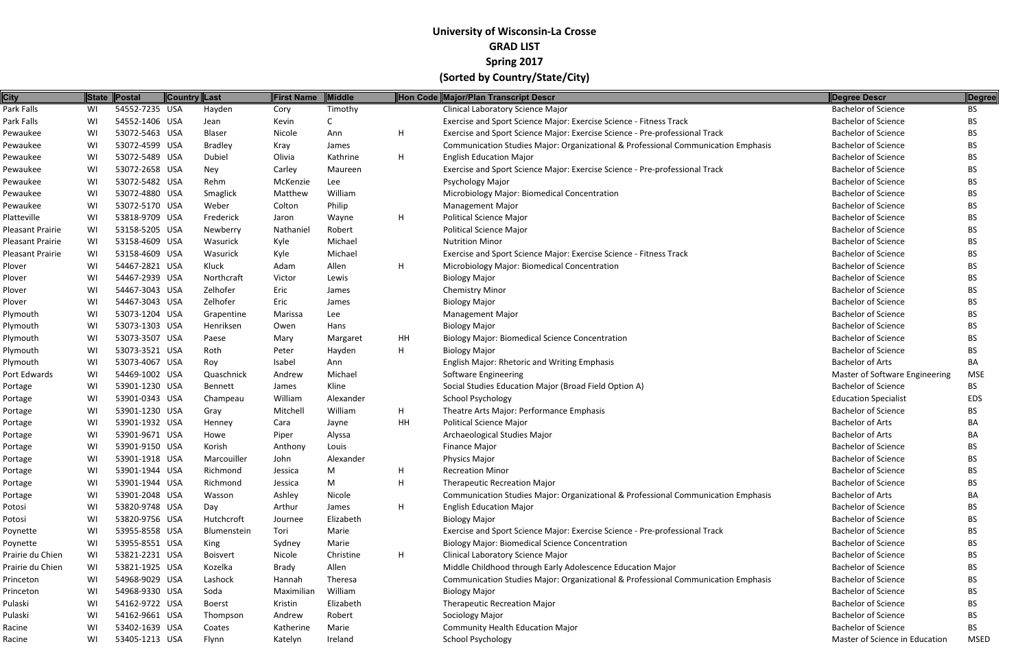| <b>City</b>      |    | State Postal   | Country Last |                 | <b>First Name</b> | <b>Middle</b> |    | Hon Code Major/Plan Transcript Descr                                              | Degree Descr                   | Degree      |
|------------------|----|----------------|--------------|-----------------|-------------------|---------------|----|-----------------------------------------------------------------------------------|--------------------------------|-------------|
| Park Falls       | WI | 54552-7235 USA |              | Hayden          | Cory              | Timothy       |    | <b>Clinical Laboratory Science Major</b>                                          | <b>Bachelor of Science</b>     | <b>BS</b>   |
| Park Falls       | WI | 54552-1406 USA |              | Jean            | Kevin             |               |    | Exercise and Sport Science Major: Exercise Science - Fitness Track                | <b>Bachelor of Science</b>     | <b>BS</b>   |
| Pewaukee         | WI | 53072-5463 USA |              | Blaser          | Nicole            | Ann           | H  | Exercise and Sport Science Major: Exercise Science - Pre-professional Track       | <b>Bachelor of Science</b>     | BS.         |
| Pewaukee         | WI | 53072-4599 USA |              | <b>Bradley</b>  | Kray              | James         |    | Communication Studies Major: Organizational & Professional Communication Emphasis | <b>Bachelor of Science</b>     | <b>BS</b>   |
| Pewaukee         | WI | 53072-5489 USA |              | Dubiel          | Olivia            | Kathrine      | H  | <b>English Education Major</b>                                                    | <b>Bachelor of Science</b>     | BS.         |
| Pewaukee         | WI | 53072-2658 USA |              | Ney             | Carley            | Maureen       |    | Exercise and Sport Science Major: Exercise Science - Pre-professional Track       | <b>Bachelor of Science</b>     | <b>BS</b>   |
| Pewaukee         | WI | 53072-5482 USA |              | Rehm            | McKenzie          | Lee           |    | Psychology Major                                                                  | <b>Bachelor of Science</b>     | BS.         |
| Pewaukee         | WI | 53072-4880 USA |              | Smaglick        | Matthew           | William       |    | Microbiology Major: Biomedical Concentration                                      | <b>Bachelor of Science</b>     | <b>BS</b>   |
| Pewaukee         | WI | 53072-5170 USA |              | Weber           | Colton            | Philip        |    | <b>Management Major</b>                                                           | <b>Bachelor of Science</b>     | <b>BS</b>   |
| Platteville      | WI | 53818-9709 USA |              | Frederick       | Jaron             | Wayne         | H. | <b>Political Science Major</b>                                                    | <b>Bachelor of Science</b>     | <b>BS</b>   |
| Pleasant Prairie | WI | 53158-5205 USA |              | Newberry        | Nathaniel         | Robert        |    | <b>Political Science Major</b>                                                    | <b>Bachelor of Science</b>     | <b>BS</b>   |
| Pleasant Prairie | WI | 53158-4609 USA |              | Wasurick        | Kyle              | Michael       |    | <b>Nutrition Minor</b>                                                            | <b>Bachelor of Science</b>     | <b>BS</b>   |
| Pleasant Prairie | WI | 53158-4609 USA |              | Wasurick        | Kyle              | Michael       |    | Exercise and Sport Science Major: Exercise Science - Fitness Track                | <b>Bachelor of Science</b>     | <b>BS</b>   |
| Plover           | WI | 54467-2821 USA |              | Kluck           | Adam              | Allen         | H  | Microbiology Major: Biomedical Concentration                                      | <b>Bachelor of Science</b>     | <b>BS</b>   |
| Plover           | WI | 54467-2939 USA |              | Northcraft      | Victor            | Lewis         |    | <b>Biology Major</b>                                                              | <b>Bachelor of Science</b>     | BS.         |
| Plover           | WI | 54467-3043 USA |              | Zelhofer        | Eric              | James         |    | <b>Chemistry Minor</b>                                                            | <b>Bachelor of Science</b>     | <b>BS</b>   |
| Plover           | WI | 54467-3043 USA |              | Zelhofer        | Eric              | James         |    | <b>Biology Major</b>                                                              | <b>Bachelor of Science</b>     | BS.         |
| Plymouth         | WI | 53073-1204 USA |              | Grapentine      | Marissa           | Lee           |    | <b>Management Major</b>                                                           | <b>Bachelor of Science</b>     | <b>BS</b>   |
| Plymouth         | WI | 53073-1303 USA |              | Henriksen       | Owen              | Hans          |    | <b>Biology Major</b>                                                              | <b>Bachelor of Science</b>     | <b>BS</b>   |
| Plymouth         | WI | 53073-3507 USA |              | Paese           | Mary              | Margaret      | HH | <b>Biology Major: Biomedical Science Concentration</b>                            | <b>Bachelor of Science</b>     | <b>BS</b>   |
| Plymouth         | WI | 53073-3521 USA |              | Roth            | Peter             | Hayden        | H  | <b>Biology Major</b>                                                              | <b>Bachelor of Science</b>     | <b>BS</b>   |
| Plymouth         | WI | 53073-4067 USA |              | Roy             | Isabel            | Ann           |    | English Major: Rhetoric and Writing Emphasis                                      | <b>Bachelor of Arts</b>        | BA          |
| Port Edwards     | WI | 54469-1002 USA |              | Quaschnick      | Andrew            | Michael       |    | <b>Software Engineering</b>                                                       | Master of Software Engineering | <b>MSE</b>  |
| Portage          | WI | 53901-1230 USA |              | Bennett         | James             | Kline         |    | Social Studies Education Major (Broad Field Option A)                             | <b>Bachelor of Science</b>     | <b>BS</b>   |
| Portage          | WI | 53901-0343 USA |              | Champeau        | William           | Alexander     |    | <b>School Psychology</b>                                                          | <b>Education Specialist</b>    | <b>EDS</b>  |
| Portage          | WI | 53901-1230 USA |              | Gray            | Mitchell          | William       | H. | Theatre Arts Major: Performance Emphasis                                          | <b>Bachelor of Science</b>     | BS.         |
| Portage          | WI | 53901-1932 USA |              | Henney          | Cara              | Jayne         | HH | <b>Political Science Major</b>                                                    | <b>Bachelor of Arts</b>        | BA          |
| Portage          | WI | 53901-9671 USA |              | Howe            | Piper             | Alyssa        |    | Archaeological Studies Major                                                      | <b>Bachelor of Arts</b>        | BA          |
| Portage          | WI | 53901-9150 USA |              | Korish          | Anthony           | Louis         |    | <b>Finance Major</b>                                                              | <b>Bachelor of Science</b>     | <b>BS</b>   |
| Portage          | WI | 53901-1918 USA |              | Marcouiller     | John              | Alexander     |    | <b>Physics Major</b>                                                              | <b>Bachelor of Science</b>     | <b>BS</b>   |
| Portage          | WI | 53901-1944 USA |              | Richmond        | Jessica           | M             | H  | <b>Recreation Minor</b>                                                           | <b>Bachelor of Science</b>     | <b>BS</b>   |
| Portage          | WI | 53901-1944 USA |              | Richmond        | Jessica           | M             | H  | <b>Therapeutic Recreation Major</b>                                               | <b>Bachelor of Science</b>     | <b>BS</b>   |
| Portage          | WI | 53901-2048 USA |              | Wasson          | Ashley            | Nicole        |    | Communication Studies Major: Organizational & Professional Communication Emphasis | <b>Bachelor of Arts</b>        | BA          |
| Potosi           | WI | 53820-9748 USA |              | Day             | Arthur            | James         | H. | <b>English Education Major</b>                                                    | <b>Bachelor of Science</b>     | BS.         |
| Potosi           | WI | 53820-9756 USA |              | Hutchcroft      | Journee           | Elizabeth     |    | <b>Biology Major</b>                                                              | <b>Bachelor of Science</b>     | BS.         |
| Poynette         | WI | 53955-8558 USA |              | Blumenstein     | Tori              | Marie         |    | Exercise and Sport Science Major: Exercise Science - Pre-professional Track       | <b>Bachelor of Science</b>     | BS.         |
| Poynette         | WI | 53955-8551 USA |              | King            | Sydney            | Marie         |    | <b>Biology Major: Biomedical Science Concentration</b>                            | <b>Bachelor of Science</b>     | BS.         |
| Prairie du Chien | WI | 53821-2231 USA |              | <b>Boisvert</b> | Nicole            | Christine     | H  | Clinical Laboratory Science Major                                                 | <b>Bachelor of Science</b>     | BS.         |
| Prairie du Chien | WI | 53821-1925 USA |              | Kozelka         | Brady             | Allen         |    | Middle Childhood through Early Adolescence Education Major                        | <b>Bachelor of Science</b>     | BS.         |
| Princeton        | WI | 54968-9029 USA |              | Lashock         | Hannah            | Theresa       |    | Communication Studies Major: Organizational & Professional Communication Emphasis | <b>Bachelor of Science</b>     | BS.         |
| Princeton        | WI | 54968-9330 USA |              | Soda            | Maximilian        | William       |    | <b>Biology Major</b>                                                              | <b>Bachelor of Science</b>     | BS.         |
| Pulaski          | WI | 54162-9722 USA |              | Boerst          | Kristin           | Elizabeth     |    | <b>Therapeutic Recreation Major</b>                                               | <b>Bachelor of Science</b>     | <b>BS</b>   |
| Pulaski          | WI | 54162-9661 USA |              | Thompson        | Andrew            | Robert        |    | Sociology Major                                                                   | <b>Bachelor of Science</b>     | BS.         |
| Racine           | WI | 53402-1639 USA |              | Coates          | Katherine         | Marie         |    | <b>Community Health Education Major</b>                                           | <b>Bachelor of Science</b>     | <b>BS</b>   |
| Racine           | WI | 53405-1213 USA |              | Flynn           | Katelyn           | Ireland       |    | <b>School Psychology</b>                                                          | Master of Science in Education | <b>MSED</b> |
|                  |    |                |              |                 |                   |               |    |                                                                                   |                                |             |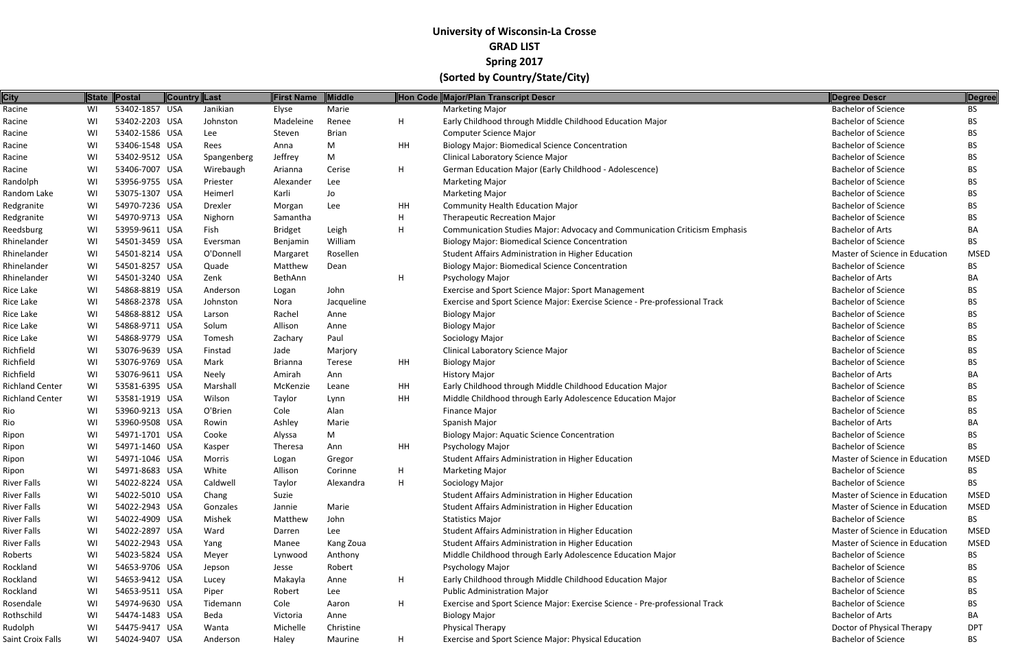| <b>City</b>            | State | Postal         | Country Last |                | <b>First Name</b> | Middle       |    | Hon Code Major/Plan Transcript Descr                                        | Degree Descr                   | Degree      |
|------------------------|-------|----------------|--------------|----------------|-------------------|--------------|----|-----------------------------------------------------------------------------|--------------------------------|-------------|
| Racine                 | WI    | 53402-1857 USA |              | Janikian       | Elyse             | Marie        |    | <b>Marketing Major</b>                                                      | <b>Bachelor of Science</b>     | <b>BS</b>   |
| Racine                 | WI    | 53402-2203 USA |              | Johnston       | Madeleine         | Renee        | H  | Early Childhood through Middle Childhood Education Major                    | <b>Bachelor of Science</b>     | <b>BS</b>   |
| Racine                 | WI    | 53402-1586 USA |              | Lee            | Steven            | <b>Brian</b> |    | <b>Computer Science Major</b>                                               | <b>Bachelor of Science</b>     | BS.         |
| Racine                 | WI    | 53406-1548 USA |              | Rees           | Anna              | M            | HH | <b>Biology Major: Biomedical Science Concentration</b>                      | <b>Bachelor of Science</b>     | BS          |
| Racine                 | WI    | 53402-9512 USA |              | Spangenberg    | Jeffrey           | M            |    | Clinical Laboratory Science Major                                           | <b>Bachelor of Science</b>     | BS.         |
| Racine                 | WI    | 53406-7007 USA |              | Wirebaugh      | Arianna           | Cerise       | H  | German Education Major (Early Childhood - Adolescence)                      | <b>Bachelor of Science</b>     | <b>BS</b>   |
| Randolph               | WI    | 53956-9755 USA |              | Priester       | Alexander         | Lee          |    | <b>Marketing Major</b>                                                      | <b>Bachelor of Science</b>     | BS          |
| Random Lake            | WI    | 53075-1307 USA |              | Heimerl        | Karli             | Jo           |    | <b>Marketing Major</b>                                                      | <b>Bachelor of Science</b>     | BS          |
| Redgranite             | WI    | 54970-7236 USA |              | <b>Drexler</b> | Morgan            | Lee          | HH | <b>Community Health Education Major</b>                                     | <b>Bachelor of Science</b>     | <b>BS</b>   |
| Redgranite             | WI    | 54970-9713 USA |              | Nighorn        | Samantha          |              | H  | <b>Therapeutic Recreation Major</b>                                         | <b>Bachelor of Science</b>     | <b>BS</b>   |
| Reedsburg              | WI    | 53959-9611 USA |              | Fish           | <b>Bridget</b>    | Leigh        | H  | Communication Studies Major: Advocacy and Communication Criticism Emphasis  | <b>Bachelor of Arts</b>        | BA          |
| Rhinelander            | WI    | 54501-3459 USA |              | Eversman       | Benjamin          | William      |    | <b>Biology Major: Biomedical Science Concentration</b>                      | <b>Bachelor of Science</b>     | <b>BS</b>   |
| Rhinelander            | WI    | 54501-8214 USA |              | O'Donnell      | Margaret          | Rosellen     |    | Student Affairs Administration in Higher Education                          | Master of Science in Education | <b>MSED</b> |
| Rhinelander            | WI    | 54501-8257 USA |              | Quade          | Matthew           | Dean         |    | <b>Biology Major: Biomedical Science Concentration</b>                      | <b>Bachelor of Science</b>     | BS.         |
| Rhinelander            | WI    | 54501-3240 USA |              | Zenk           | BethAnn           |              | H  | Psychology Major                                                            | <b>Bachelor of Arts</b>        | BA          |
| Rice Lake              | WI    | 54868-8819 USA |              | Anderson       | Logan             | John         |    | Exercise and Sport Science Major: Sport Management                          | <b>Bachelor of Science</b>     | <b>BS</b>   |
| Rice Lake              | WI    | 54868-2378 USA |              | Johnston       | Nora              | Jacqueline   |    | Exercise and Sport Science Major: Exercise Science - Pre-professional Track | <b>Bachelor of Science</b>     | BS          |
| Rice Lake              | WI    | 54868-8812 USA |              | Larson         | Rachel            | Anne         |    | <b>Biology Major</b>                                                        | <b>Bachelor of Science</b>     | BS.         |
| Rice Lake              | WI    | 54868-9711 USA |              | Solum          | Allison           | Anne         |    | <b>Biology Major</b>                                                        | <b>Bachelor of Science</b>     | <b>BS</b>   |
| Rice Lake              | WI    | 54868-9779 USA |              | Tomesh         | Zachary           | Paul         |    | Sociology Major                                                             | <b>Bachelor of Science</b>     | <b>BS</b>   |
| Richfield              | WI    | 53076-9639 USA |              | Finstad        | Jade              | Marjory      |    | Clinical Laboratory Science Major                                           | <b>Bachelor of Science</b>     | <b>BS</b>   |
| Richfield              | WI    | 53076-9769 USA |              | Mark           | <b>Brianna</b>    | Terese       | HH | <b>Biology Major</b>                                                        | <b>Bachelor of Science</b>     | BS          |
| Richfield              | WI    | 53076-9611 USA |              | Neely          | Amirah            | Ann          |    | <b>History Major</b>                                                        | <b>Bachelor of Arts</b>        | BA          |
| <b>Richland Center</b> | WI    | 53581-6395 USA |              | Marshall       | McKenzie          | Leane        | HH | Early Childhood through Middle Childhood Education Major                    | <b>Bachelor of Science</b>     | BS.         |
| <b>Richland Center</b> | WI    | 53581-1919 USA |              | Wilson         | Taylor            | Lynn         | HH | Middle Childhood through Early Adolescence Education Major                  | <b>Bachelor of Science</b>     | <b>BS</b>   |
| Rio                    | WI    | 53960-9213 USA |              | O'Brien        | Cole              | Alan         |    | <b>Finance Major</b>                                                        | <b>Bachelor of Science</b>     | <b>BS</b>   |
| Rio                    | WI    | 53960-9508 USA |              | Rowin          | Ashley            | Marie        |    | Spanish Major                                                               | <b>Bachelor of Arts</b>        | BA          |
| Ripon                  | WI    | 54971-1701 USA |              | Cooke          | Alyssa            | M            |    | <b>Biology Major: Aquatic Science Concentration</b>                         | <b>Bachelor of Science</b>     | BS.         |
| Ripon                  | WI    | 54971-1460 USA |              | Kasper         | Theresa           | Ann          | HH | Psychology Major                                                            | <b>Bachelor of Science</b>     | BS.         |
| Ripon                  | WI    | 54971-1046 USA |              | Morris         | Logan             | Gregor       |    | Student Affairs Administration in Higher Education                          | Master of Science in Education | <b>MSED</b> |
| Ripon                  | WI    | 54971-8683 USA |              | White          | Allison           | Corinne      |    | <b>Marketing Major</b>                                                      | <b>Bachelor of Science</b>     | BS.         |
| River Falls            | WI    | 54022-8224 USA |              | Caldwell       | Taylor            | Alexandra    | H  | Sociology Major                                                             | <b>Bachelor of Science</b>     | BS.         |
| River Falls            | WI    | 54022-5010 USA |              | Chang          | Suzie             |              |    | Student Affairs Administration in Higher Education                          | Master of Science in Education | <b>MSED</b> |
| River Falls            | WI    | 54022-2943 USA |              | Gonzales       | Jannie            | Marie        |    | Student Affairs Administration in Higher Education                          | Master of Science in Education | <b>MSED</b> |
| River Falls            | WI    | 54022-4909 USA |              | Mishek         | Matthew           | John         |    | <b>Statistics Major</b>                                                     | <b>Bachelor of Science</b>     | <b>BS</b>   |
| River Falls            | WI    | 54022-2897 USA |              | Ward           | Darren            | Lee          |    | Student Affairs Administration in Higher Education                          | Master of Science in Education | <b>MSED</b> |
| River Falls            | WI    | 54022-2943 USA |              | Yang           | Manee             | Kang Zoua    |    | Student Affairs Administration in Higher Education                          | Master of Science in Education | <b>MSED</b> |
| Roberts                | WI    | 54023-5824 USA |              | Meyer          | Lynwood           | Anthony      |    | Middle Childhood through Early Adolescence Education Major                  | <b>Bachelor of Science</b>     | BS.         |
| Rockland               | WI    | 54653-9706 USA |              | Jepson         | Jesse             | Robert       |    | Psychology Major                                                            | <b>Bachelor of Science</b>     | BS.         |
| Rockland               | WI    | 54653-9412 USA |              | Lucey          | Makayla           | Anne         | H  | Early Childhood through Middle Childhood Education Major                    | <b>Bachelor of Science</b>     | BS.         |
| Rockland               | WI    | 54653-9511 USA |              | Piper          | Robert            | Lee          |    | Public Administration Major                                                 | <b>Bachelor of Science</b>     | BS.         |
| Rosendale              | WI    | 54974-9630 USA |              | Tidemann       | Cole              | Aaron        | H  | Exercise and Sport Science Major: Exercise Science - Pre-professional Track | <b>Bachelor of Science</b>     | BS.         |
| Rothschild             | WI    | 54474-1483 USA |              | Beda           | Victoria          | Anne         |    | <b>Biology Major</b>                                                        | <b>Bachelor of Arts</b>        | BA          |
| Rudolph                | WI    | 54475-9417 USA |              | Wanta          | Michelle          | Christine    |    | <b>Physical Therapy</b>                                                     | Doctor of Physical Therapy     | <b>DPT</b>  |
| Saint Croix Falls      | WI    | 54024-9407 USA |              | Anderson       | Haley             | Maurine      | H  | Exercise and Sport Science Major: Physical Education                        | <b>Bachelor of Science</b>     | <b>BS</b>   |
|                        |       |                |              |                |                   |              |    |                                                                             |                                |             |

| <b>Degree Descr</b>                                      | <b>Degree</b>          |
|----------------------------------------------------------|------------------------|
| <b>Bachelor of Science</b>                               | BS                     |
| <b>Bachelor of Science</b>                               | BS                     |
|                                                          |                        |
| <b>Bachelor of Science</b><br><b>Bachelor of Science</b> | <b>BS</b><br><b>BS</b> |
|                                                          |                        |
| <b>Bachelor of Science</b>                               | <b>BS</b>              |
| <b>Bachelor of Science</b>                               | BS                     |
| <b>Bachelor of Science</b>                               | <b>BS</b>              |
| <b>Bachelor of Science</b>                               | <b>BS</b>              |
| <b>Bachelor of Science</b>                               | <b>BS</b>              |
| <b>Bachelor of Science</b>                               | <b>BS</b>              |
| <b>Bachelor of Arts</b>                                  | BА                     |
| <b>Bachelor of Science</b>                               | ΒS                     |
| Master of Science in Education                           | MSED                   |
| <b>Bachelor of Science</b>                               | BS                     |
| <b>Bachelor of Arts</b>                                  | BА                     |
| <b>Bachelor of Science</b>                               | <b>BS</b>              |
| <b>Bachelor of Science</b>                               | BS                     |
| <b>Bachelor of Science</b>                               | <b>BS</b>              |
| <b>Bachelor of Science</b>                               | <b>BS</b>              |
| <b>Bachelor of Science</b>                               | <b>BS</b>              |
| <b>Bachelor of Science</b>                               | <b>BS</b>              |
| <b>Bachelor of Science</b>                               | <b>BS</b>              |
| <b>Bachelor of Arts</b>                                  | BА                     |
| <b>Bachelor of Science</b>                               | BS                     |
| <b>Bachelor of Science</b>                               | <b>BS</b>              |
| <b>Bachelor of Science</b>                               | <b>BS</b>              |
| <b>Bachelor of Arts</b>                                  | BА                     |
| <b>Bachelor of Science</b>                               | <b>BS</b>              |
| <b>Bachelor of Science</b>                               | BS                     |
| Master of Science in Education                           | MSED                   |
| <b>Bachelor of Science</b>                               | BS                     |
| <b>Bachelor of Science</b>                               | <b>BS</b>              |
| Master of Science in Education                           | <b>MSED</b>            |
| Master of Science in Education                           | MSED                   |
| Bachelor of Science                                      | BS                     |
| Master of Science in Education                           | MSED                   |
| Master of Science in Education                           | MSED                   |
| <b>Bachelor of Science</b>                               | <b>BS</b>              |
| <b>Bachelor of Science</b>                               | BS                     |
| <b>Bachelor of Science</b>                               | <b>BS</b>              |
| Bachelor of Science                                      | <b>BS</b>              |
| <b>Bachelor of Science</b>                               | <b>BS</b>              |
| <b>Bachelor of Arts</b>                                  | BA                     |
| Doctor of Physical Therapy                               | <b>DPT</b>             |
| Bachelor of Science                                      | RS.                    |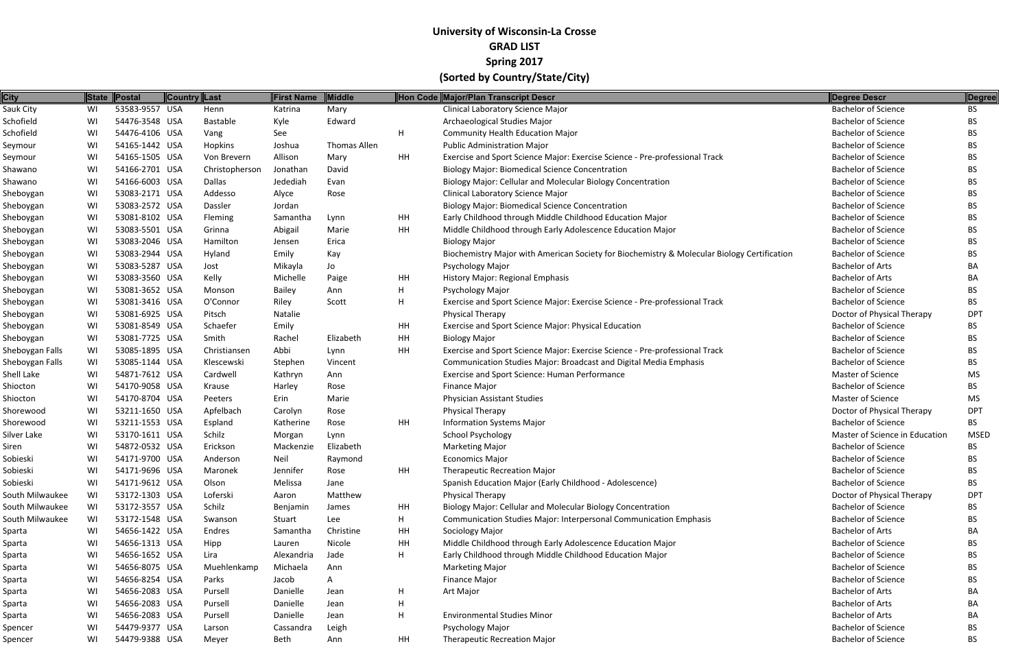| <b>City</b>     |    | State Postal   | Country Last |                | <b>First Name</b> | <b>Middle</b> |           | Hon Code Major/Plan Transcript Descr                                                        | Degree Descr                   | Degree      |
|-----------------|----|----------------|--------------|----------------|-------------------|---------------|-----------|---------------------------------------------------------------------------------------------|--------------------------------|-------------|
| Sauk City       | WI | 53583-9557 USA |              | Henn           | Katrina           | Mary          |           | <b>Clinical Laboratory Science Major</b>                                                    | <b>Bachelor of Science</b>     | <b>BS</b>   |
| Schofield       | WI | 54476-3548 USA |              | Bastable       | Kyle              | Edward        |           | Archaeological Studies Major                                                                | <b>Bachelor of Science</b>     | BS.         |
| Schofield       | WI | 54476-4106 USA |              | Vang           | See               |               | H         | <b>Community Health Education Major</b>                                                     | <b>Bachelor of Science</b>     | BS.         |
| Seymour         | WI | 54165-1442 USA |              | Hopkins        | Joshua            | Thomas Allen  |           | <b>Public Administration Major</b>                                                          | <b>Bachelor of Science</b>     | <b>BS</b>   |
| Seymour         | WI | 54165-1505 USA |              | Von Brevern    | Allison           | Mary          | <b>HH</b> | Exercise and Sport Science Major: Exercise Science - Pre-professional Track                 | <b>Bachelor of Science</b>     | BS.         |
| Shawano         | WI | 54166-2701 USA |              | Christophersor | Jonathan          | David         |           | <b>Biology Major: Biomedical Science Concentration</b>                                      | <b>Bachelor of Science</b>     | <b>BS</b>   |
| Shawano         | WI | 54166-6003 USA |              | Dallas         | Jedediah          | Evan          |           | Biology Major: Cellular and Molecular Biology Concentration                                 | <b>Bachelor of Science</b>     | BS.         |
| Sheboygan       | WI | 53083-2171 USA |              | Addesso        | Alyce             | Rose          |           | <b>Clinical Laboratory Science Major</b>                                                    | <b>Bachelor of Science</b>     | BS.         |
| Sheboygan       | WI | 53083-2572 USA |              | Dassler        | Jordan            |               |           | <b>Biology Major: Biomedical Science Concentration</b>                                      | <b>Bachelor of Science</b>     | <b>BS</b>   |
| Sheboygan       | WI | 53081-8102 USA |              | Fleming        | Samantha          | Lynn          | HH        | Early Childhood through Middle Childhood Education Major                                    | <b>Bachelor of Science</b>     | BS.         |
| Sheboygan       | WI | 53083-5501 USA |              | Grinna         | Abigail           | Marie         | <b>HH</b> | Middle Childhood through Early Adolescence Education Major                                  | <b>Bachelor of Science</b>     | <b>BS</b>   |
| Sheboygan       | WI | 53083-2046 USA |              | Hamilton       | Jensen            | Erica         |           | <b>Biology Major</b>                                                                        | <b>Bachelor of Science</b>     | <b>BS</b>   |
| Sheboygan       | WI | 53083-2944 USA |              | Hyland         | Emily             | Kay           |           | Biochemistry Major with American Society for Biochemistry & Molecular Biology Certification | <b>Bachelor of Science</b>     | BS.         |
| Sheboygan       | WI | 53083-5287 USA |              | Jost           | Mikayla           | Jo            |           | <b>Psychology Major</b>                                                                     | <b>Bachelor of Arts</b>        | ВA          |
| Sheboygan       | WI | 53083-3560 USA |              | Kelly          | Michelle          | Paige         | HH        | History Major: Regional Emphasis                                                            | <b>Bachelor of Arts</b>        | BA          |
| Sheboygan       | WI | 53081-3652 USA |              | Monson         | Bailey            | Ann           | H         | Psychology Major                                                                            | <b>Bachelor of Science</b>     | BS.         |
| Sheboygan       | WI | 53081-3416 USA |              | O'Connor       | Riley             | Scott         | H         | Exercise and Sport Science Major: Exercise Science - Pre-professional Track                 | <b>Bachelor of Science</b>     | BS          |
| Sheboygan       | WI | 53081-6925 USA |              | Pitsch         | Natalie           |               |           | <b>Physical Therapy</b>                                                                     | Doctor of Physical Therapy     | <b>DPT</b>  |
| Sheboygan       | WI | 53081-8549 USA |              | Schaefer       | Emily             |               | HH        | Exercise and Sport Science Major: Physical Education                                        | <b>Bachelor of Science</b>     | BS.         |
| Sheboygan       | WI | 53081-7725 USA |              | Smith          | Rachel            | Elizabeth     | HH        | <b>Biology Major</b>                                                                        | <b>Bachelor of Science</b>     | BS.         |
| Sheboygan Falls | WI | 53085-1895 USA |              | Christiansen   | Abbi              | Lynn          | HH        | Exercise and Sport Science Major: Exercise Science - Pre-professional Track                 | <b>Bachelor of Science</b>     | BS.         |
| Sheboygan Falls | WI | 53085-1144 USA |              | Klescewski     | Stephen           | Vincent       |           | Communication Studies Major: Broadcast and Digital Media Emphasis                           | <b>Bachelor of Science</b>     | <b>BS</b>   |
| Shell Lake      | WI | 54871-7612 USA |              | Cardwell       | Kathryn           | Ann           |           | Exercise and Sport Science: Human Performance                                               | <b>Master of Science</b>       | <b>MS</b>   |
| Shiocton        | WI | 54170-9058 USA |              | Krause         | Harley            | Rose          |           | <b>Finance Major</b>                                                                        | <b>Bachelor of Science</b>     | <b>BS</b>   |
| Shiocton        | WI | 54170-8704 USA |              | Peeters        | Erin              | Marie         |           | <b>Physician Assistant Studies</b>                                                          | Master of Science              | <b>MS</b>   |
| Shorewood       | WI | 53211-1650 USA |              | Apfelbach      | Carolyn           | Rose          |           | Physical Therapy                                                                            | Doctor of Physical Therapy     | <b>DPT</b>  |
| Shorewood       | WI | 53211-1553 USA |              | Espland        | Katherine         | Rose          | <b>HH</b> | <b>Information Systems Major</b>                                                            | <b>Bachelor of Science</b>     | BS.         |
| Silver Lake     | WI | 53170-1611 USA |              | Schilz         | Morgan            | Lynn          |           | School Psychology                                                                           | Master of Science in Education | <b>MSED</b> |
| Siren           | WI | 54872-0532 USA |              | Erickson       | Mackenzie         | Elizabeth     |           | <b>Marketing Major</b>                                                                      | <b>Bachelor of Science</b>     | BS.         |
| Sobieski        | WI | 54171-9700 USA |              | Anderson       | Neil              | Raymond       |           | <b>Economics Major</b>                                                                      | <b>Bachelor of Science</b>     | <b>BS</b>   |
| Sobieski        | WI | 54171-9696 USA |              | Maronek        | Jennifer          | Rose          | HH        | <b>Therapeutic Recreation Major</b>                                                         | <b>Bachelor of Science</b>     | BS.         |
| Sobieski        | WI | 54171-9612 USA |              | Olson          | Melissa           | Jane          |           | Spanish Education Major (Early Childhood - Adolescence)                                     | <b>Bachelor of Science</b>     | <b>BS</b>   |
| South Milwaukee | WI | 53172-1303 USA |              | Loferski       | Aaron             | Matthew       |           | Physical Therapy                                                                            | Doctor of Physical Therapy     | <b>DPT</b>  |
| South Milwaukee | WI | 53172-3557 USA |              | Schilz         | Benjamin          | James         | HH        | Biology Major: Cellular and Molecular Biology Concentration                                 | <b>Bachelor of Science</b>     | <b>BS</b>   |
| South Milwaukee | WI | 53172-1548 USA |              | Swanson        | Stuart            | Lee           | H.        | <b>Communication Studies Major: Interpersonal Communication Emphasis</b>                    | <b>Bachelor of Science</b>     | BS.         |
| Sparta          | WI | 54656-1422 USA |              | Endres         | Samantha          | Christine     | HH        | Sociology Major                                                                             | <b>Bachelor of Arts</b>        | BA          |
| Sparta          | WI | 54656-1313 USA |              | Hipp           | Lauren            | Nicole        | HH        | Middle Childhood through Early Adolescence Education Major                                  | <b>Bachelor of Science</b>     | <b>BS</b>   |
| Sparta          | WI | 54656-1652 USA |              | Lira           | Alexandria        | Jade          | Н.        | Early Childhood through Middle Childhood Education Major                                    | <b>Bachelor of Science</b>     | BS.         |
| Sparta          | WI | 54656-8075 USA |              | Muehlenkamp    | Michaela          | Ann           |           | <b>Marketing Major</b>                                                                      | <b>Bachelor of Science</b>     | BS.         |
| Sparta          | WI | 54656-8254 USA |              | Parks          | Jacob             | A             |           | <b>Finance Major</b>                                                                        | <b>Bachelor of Science</b>     | BS.         |
| Sparta          | WI | 54656-2083 USA |              | Pursell        | Danielle          | Jean          | H         | Art Major                                                                                   | <b>Bachelor of Arts</b>        | BA          |
| Sparta          | WI | 54656-2083 USA |              | Pursell        | Danielle          | Jean          | H         |                                                                                             | <b>Bachelor of Arts</b>        | ВA          |
| Sparta          | WI | 54656-2083 USA |              | Pursell        | Danielle          | Jean          | H         | <b>Environmental Studies Minor</b>                                                          | <b>Bachelor of Arts</b>        | BA          |
| Spencer         | WI | 54479-9377 USA |              | Larson         | Cassandra         | Leigh         |           | Psychology Major                                                                            | <b>Bachelor of Science</b>     | BS.         |
| Spencer         | WI | 54479-9388 USA |              | Meyer          | Beth              | Ann           | HH        | <b>Therapeutic Recreation Major</b>                                                         | <b>Bachelor of Science</b>     | <b>BS</b>   |
|                 |    |                |              |                |                   |               |           |                                                                                             |                                |             |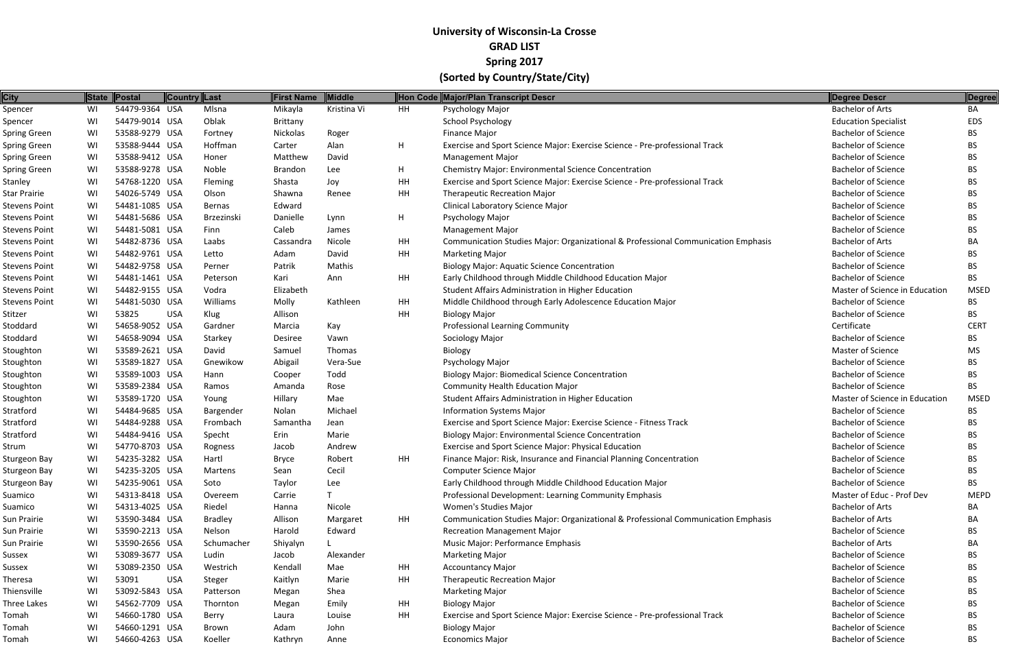| <b>City</b>          |    | State Postal   | Country Last |                | <b>First Name</b> | Middle      |           | Hon Code Major/Plan Transcript Descr                                              | Degree Descr                   | Degree      |
|----------------------|----|----------------|--------------|----------------|-------------------|-------------|-----------|-----------------------------------------------------------------------------------|--------------------------------|-------------|
| Spencer              | WI | 54479-9364 USA |              | Mlsna          | Mikayla           | Kristina Vi | <b>HH</b> | Psychology Major                                                                  | <b>Bachelor of Arts</b>        | BA          |
| Spencer              | WI | 54479-9014 USA |              | Oblak          | <b>Brittany</b>   |             |           | <b>School Psychology</b>                                                          | <b>Education Specialist</b>    | EDS         |
| Spring Green         | WI | 53588-9279 USA |              | Fortney        | Nickolas          | Roger       |           | <b>Finance Major</b>                                                              | <b>Bachelor of Science</b>     | BS.         |
| Spring Green         | WI | 53588-9444 USA |              | Hoffman        | Carter            | Alan        | H.        | Exercise and Sport Science Major: Exercise Science - Pre-professional Track       | <b>Bachelor of Science</b>     | BS.         |
| Spring Green         | WI | 53588-9412 USA |              | Honer          | Matthew           | David       |           | <b>Management Major</b>                                                           | <b>Bachelor of Science</b>     | BS.         |
| Spring Green         | WI | 53588-9278 USA |              | Noble          | <b>Brandon</b>    | Lee         | H         | Chemistry Major: Environmental Science Concentration                              | <b>Bachelor of Science</b>     | <b>BS</b>   |
| Stanley              | WI | 54768-1220 USA |              | Fleming        | Shasta            | Joy         | HH        | Exercise and Sport Science Major: Exercise Science - Pre-professional Track       | <b>Bachelor of Science</b>     | BS.         |
| Star Prairie         | WI | 54026-5749 USA |              | Olson          | Shawna            | Renee       | <b>HH</b> | <b>Therapeutic Recreation Major</b>                                               | <b>Bachelor of Science</b>     | <b>BS</b>   |
| Stevens Point        | WI | 54481-1085 USA |              | <b>Bernas</b>  | Edward            |             |           | Clinical Laboratory Science Major                                                 | <b>Bachelor of Science</b>     | BS          |
| Stevens Point        | WI | 54481-5686 USA |              | Brzezinski     | Danielle          | Lynn        | H         | Psychology Major                                                                  | <b>Bachelor of Science</b>     | BS.         |
| Stevens Point        | WI | 54481-5081 USA |              | Finn           | Caleb             | James       |           | <b>Management Major</b>                                                           | <b>Bachelor of Science</b>     | BS.         |
| Stevens Point        | WI | 54482-8736 USA |              | Laabs          | Cassandra         | Nicole      | HH        | Communication Studies Major: Organizational & Professional Communication Emphasis | <b>Bachelor of Arts</b>        | BA          |
| Stevens Point        | WI | 54482-9761 USA |              | Letto          | Adam              | David       | <b>HH</b> | <b>Marketing Major</b>                                                            | <b>Bachelor of Science</b>     | BS.         |
| Stevens Point        | WI | 54482-9758 USA |              | Perner         | Patrik            | Mathis      |           | <b>Biology Major: Aquatic Science Concentration</b>                               | <b>Bachelor of Science</b>     | <b>BS</b>   |
| <b>Stevens Point</b> | WI | 54481-1461 USA |              | Peterson       | Kari              | Ann         | HH        | Early Childhood through Middle Childhood Education Major                          | <b>Bachelor of Science</b>     | <b>BS</b>   |
| Stevens Point        | WI | 54482-9155 USA |              | Vodra          | Elizabeth         |             |           | Student Affairs Administration in Higher Education                                | Master of Science in Education | <b>MSED</b> |
| Stevens Point        | WI | 54481-5030 USA |              | Williams       | Molly             | Kathleen    | HH        | Middle Childhood through Early Adolescence Education Major                        | <b>Bachelor of Science</b>     | BS.         |
| Stitzer              | WI | 53825          | <b>USA</b>   | Klug           | Allison           |             | HH        | <b>Biology Major</b>                                                              | <b>Bachelor of Science</b>     | BS.         |
| Stoddard             | WI | 54658-9052 USA |              | Gardner        | Marcia            | Kay         |           | <b>Professional Learning Community</b>                                            | Certificate                    | <b>CERT</b> |
| Stoddard             | WI | 54658-9094 USA |              | Starkey        | Desiree           | Vawn        |           | Sociology Major                                                                   | <b>Bachelor of Science</b>     | BS.         |
| Stoughton            | WI | 53589-2621 USA |              | David          | Samuel            | Thomas      |           | Biology                                                                           | <b>Master of Science</b>       | <b>MS</b>   |
| Stoughton            | WI | 53589-1827 USA |              | Gnewikow       | Abigail           | Vera-Sue    |           | Psychology Major                                                                  | <b>Bachelor of Science</b>     | BS.         |
| Stoughton            | WI | 53589-1003 USA |              | Hann           | Cooper            | Todd        |           | <b>Biology Major: Biomedical Science Concentration</b>                            | <b>Bachelor of Science</b>     | <b>BS</b>   |
| Stoughton            | WI | 53589-2384 USA |              | Ramos          | Amanda            | Rose        |           | <b>Community Health Education Major</b>                                           | <b>Bachelor of Science</b>     | BS.         |
| Stoughton            | WI | 53589-1720 USA |              | Young          | Hillary           | Mae         |           | Student Affairs Administration in Higher Education                                | Master of Science in Education | <b>MSED</b> |
| Stratford            | WI | 54484-9685 USA |              | Bargender      | Nolan             | Michael     |           | <b>Information Systems Major</b>                                                  | <b>Bachelor of Science</b>     | BS.         |
| Stratford            | WI | 54484-9288 USA |              | Frombach       | Samantha          | Jean        |           | Exercise and Sport Science Major: Exercise Science - Fitness Track                | <b>Bachelor of Science</b>     | BS          |
| Stratford            | WI | 54484-9416 USA |              | Specht         | Erin              | Marie       |           | <b>Biology Major: Environmental Science Concentration</b>                         | <b>Bachelor of Science</b>     | BS.         |
| Strum                | WI | 54770-8703 USA |              | Rogness        | Jacob             | Andrew      |           | Exercise and Sport Science Major: Physical Education                              | <b>Bachelor of Science</b>     | <b>BS</b>   |
| Sturgeon Bay         | WI | 54235-3282 USA |              | Hartl          | <b>Bryce</b>      | Robert      | HH        | Finance Major: Risk, Insurance and Financial Planning Concentration               | <b>Bachelor of Science</b>     | <b>BS</b>   |
| Sturgeon Bay         | WI | 54235-3205 USA |              | Martens        | Sean              | Cecil       |           | <b>Computer Science Major</b>                                                     | <b>Bachelor of Science</b>     | <b>BS</b>   |
| Sturgeon Bay         | WI | 54235-9061 USA |              | Soto           | Taylor            | Lee         |           | Early Childhood through Middle Childhood Education Major                          | <b>Bachelor of Science</b>     | BS.         |
| Suamico              | WI | 54313-8418 USA |              | Overeem        | Carrie            |             |           | Professional Development: Learning Community Emphasis                             | Master of Educ - Prof Dev      | <b>MEPD</b> |
| Suamico              | WI | 54313-4025 USA |              | Riedel         | Hanna             | Nicole      |           | <b>Women's Studies Major</b>                                                      | <b>Bachelor of Arts</b>        | BA.         |
| Sun Prairie          | WI | 53590-3484 USA |              | <b>Bradley</b> | Allison           | Margaret    | HH        | Communication Studies Major: Organizational & Professional Communication Emphasis | <b>Bachelor of Arts</b>        | BA          |
| Sun Prairie          | WI | 53590-2213 USA |              | Nelson         | Harold            | Edward      |           | <b>Recreation Management Major</b>                                                | <b>Bachelor of Science</b>     | BS.         |
| Sun Prairie          | WI | 53590-2656 USA |              | Schumacher     | Shiyalyn          |             |           | Music Major: Performance Emphasis                                                 | <b>Bachelor of Arts</b>        | BA          |
| Sussex               | WI | 53089-3677 USA |              | Ludin          | Jacob             | Alexander   |           | <b>Marketing Major</b>                                                            | <b>Bachelor of Science</b>     | BS.         |
| Sussex               | WI | 53089-2350 USA |              | Westrich       | Kendall           | Mae         | HH        | <b>Accountancy Major</b>                                                          | <b>Bachelor of Science</b>     | BS.         |
| Theresa              | WI | 53091          | <b>USA</b>   | Steger         | Kaitlyn           | Marie       | HH        | <b>Therapeutic Recreation Major</b>                                               | <b>Bachelor of Science</b>     | BS.         |
| Thiensville          | WI | 53092-5843 USA |              | Patterson      | Megan             | Shea        |           | <b>Marketing Major</b>                                                            | <b>Bachelor of Science</b>     | BS.         |
| Three Lakes          | WI | 54562-7709 USA |              | Thornton       | Megan             | Emily       | HH        | <b>Biology Major</b>                                                              | <b>Bachelor of Science</b>     | <b>BS</b>   |
| Tomah                | WI | 54660-1780 USA |              | Berry          | Laura             | Louise      | HH        | Exercise and Sport Science Major: Exercise Science - Pre-professional Track       | <b>Bachelor of Science</b>     | <b>BS</b>   |
| Tomah                | WI | 54660-1291 USA |              | Brown          | Adam              | John        |           | <b>Biology Major</b>                                                              | <b>Bachelor of Science</b>     | BS.         |
| Tomah                | WI | 54660-4263 USA |              | Koeller        | Kathryn           | Anne        |           | <b>Economics Major</b>                                                            | <b>Bachelor of Science</b>     | <b>BS</b>   |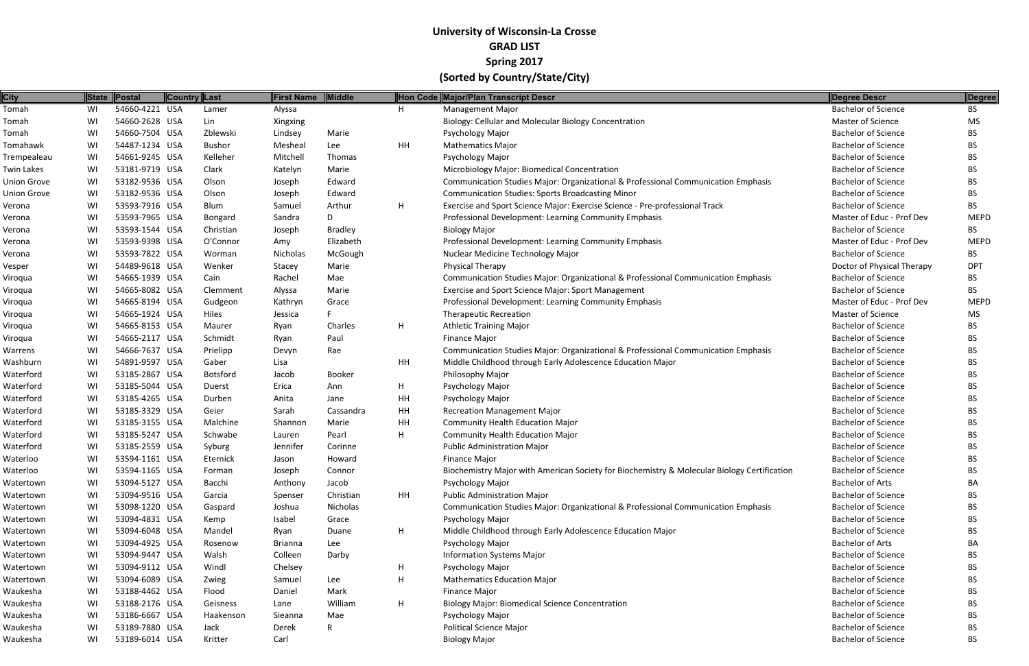| <b>City</b>        |    | State Postal   | Country Last    | <b>First Name</b> | Middle         |    | Hon Code Major/Plan Transcript Descr                                                        | Degree Descr               | Degree      |
|--------------------|----|----------------|-----------------|-------------------|----------------|----|---------------------------------------------------------------------------------------------|----------------------------|-------------|
| Tomah              | WI | 54660-4221 USA | Lamer           | Alyssa            |                | H  | <b>Management Major</b>                                                                     | <b>Bachelor of Science</b> | <b>BS</b>   |
| Tomah              | WI | 54660-2628 USA | Lin             | Xingxing          |                |    | Biology: Cellular and Molecular Biology Concentration                                       | Master of Science          | <b>MS</b>   |
| Tomah              | WI | 54660-7504 USA | Zblewski        | Lindsey           | Marie          |    | Psychology Major                                                                            | <b>Bachelor of Science</b> | BS.         |
| Tomahawk           | WI | 54487-1234 USA | <b>Bushor</b>   | Mesheal           | Lee            | HH | <b>Mathematics Major</b>                                                                    | <b>Bachelor of Science</b> | BS.         |
| Trempealeau        | WI | 54661-9245 USA | Kelleher        | Mitchell          | Thomas         |    | <b>Psychology Major</b>                                                                     | <b>Bachelor of Science</b> | BS.         |
| <b>Twin Lakes</b>  | WI | 53181-9719 USA | Clark           | Katelyn           | Marie          |    | Microbiology Major: Biomedical Concentration                                                | <b>Bachelor of Science</b> | BS          |
| <b>Union Grove</b> | WI | 53182-9536 USA | Olson           | Joseph            | Edward         |    | Communication Studies Major: Organizational & Professional Communication Emphasis           | <b>Bachelor of Science</b> | BS.         |
| <b>Union Grove</b> | WI | 53182-9536 USA | Olson           | Joseph            | Edward         |    | <b>Communication Studies: Sports Broadcasting Minor</b>                                     | <b>Bachelor of Science</b> | <b>BS</b>   |
| Verona             | WI | 53593-7916 USA | Blum            | Samuel            | Arthur         | H  | Exercise and Sport Science Major: Exercise Science - Pre-professional Track                 | <b>Bachelor of Science</b> | <b>BS</b>   |
| Verona             | WI | 53593-7965 USA | Bongard         | Sandra            | D              |    | Professional Development: Learning Community Emphasis                                       | Master of Educ - Prof Dev  | <b>MEPD</b> |
| Verona             | WI | 53593-1544 USA | Christian       | Joseph            | <b>Bradley</b> |    | <b>Biology Major</b>                                                                        | <b>Bachelor of Science</b> | <b>BS</b>   |
| Verona             | WI | 53593-9398 USA | O'Connor        | Amy               | Elizabeth      |    | Professional Development: Learning Community Emphasis                                       | Master of Educ - Prof Dev  | <b>MEPD</b> |
| Verona             | WI | 53593-7822 USA | Worman          | Nicholas          | McGough        |    | Nuclear Medicine Technology Major                                                           | <b>Bachelor of Science</b> | BS          |
| Vesper             | WI | 54489-9618 USA | Wenker          | Stacey            | Marie          |    | Physical Therapy                                                                            | Doctor of Physical Therapy | <b>DPT</b>  |
| Viroqua            | WI | 54665-1939 USA | Cain            | Rachel            | Mae            |    | Communication Studies Major: Organizational & Professional Communication Emphasis           | <b>Bachelor of Science</b> | BS.         |
| Viroqua            | WI | 54665-8082 USA | Clemment        | Alyssa            | Marie          |    | Exercise and Sport Science Major: Sport Management                                          | <b>Bachelor of Science</b> | BS.         |
| Viroqua            | WI | 54665-8194 USA | Gudgeon         | Kathryn           | Grace          |    | Professional Development: Learning Community Emphasis                                       | Master of Educ - Prof Dev  | <b>MEPD</b> |
| Viroqua            | WI | 54665-1924 USA | Hiles           | Jessica           |                |    | <b>Therapeutic Recreation</b>                                                               | Master of Science          | MS          |
| Viroqua            | WI | 54665-8153 USA | Maurer          | Ryan              | Charles        | H  | <b>Athletic Training Major</b>                                                              | <b>Bachelor of Science</b> | BS.         |
| Viroqua            | WI | 54665-2117 USA | Schmidt         | Ryan              | Paul           |    | <b>Finance Major</b>                                                                        | <b>Bachelor of Science</b> | BS.         |
| Warrens            | WI | 54666-7637 USA | Prielipp        | Devyn             | Rae            |    | Communication Studies Major: Organizational & Professional Communication Emphasis           | <b>Bachelor of Science</b> | BS.         |
| Washburn           | WI | 54891-9597 USA | Gaber           | Lisa              |                | HH | Middle Childhood through Early Adolescence Education Major                                  | <b>Bachelor of Science</b> | <b>BS</b>   |
| Waterford          | WI | 53185-2867 USA | <b>Botsford</b> | Jacob             | Booker         |    | Philosophy Major                                                                            | <b>Bachelor of Science</b> | BS.         |
| Waterford          | WI | 53185-5044 USA | Duerst          | Erica             | Ann            | H  | Psychology Major                                                                            | <b>Bachelor of Science</b> | BS.         |
| Waterford          | WI | 53185-4265 USA | Durben          | Anita             | Jane           | HH | <b>Psychology Major</b>                                                                     | <b>Bachelor of Science</b> | <b>BS</b>   |
| Waterford          | WI | 53185-3329 USA | Geier           | Sarah             | Cassandra      | HH | <b>Recreation Management Major</b>                                                          | <b>Bachelor of Science</b> | BS.         |
| Waterford          | WI | 53185-3155 USA | Malchine        | Shannon           | Marie          | HH | <b>Community Health Education Major</b>                                                     | <b>Bachelor of Science</b> | BS.         |
| Waterford          | WI | 53185-5247 USA | Schwabe         | Lauren            | Pearl          | H  | <b>Community Health Education Major</b>                                                     | <b>Bachelor of Science</b> | BS.         |
| Waterford          | WI | 53185-2559 USA | Syburg          | Jennifer          | Corinne        |    | <b>Public Administration Major</b>                                                          | <b>Bachelor of Science</b> | <b>BS</b>   |
| Waterloo           | WI | 53594-1161 USA | Eternick        | Jason             | Howard         |    | <b>Finance Major</b>                                                                        | <b>Bachelor of Science</b> | <b>BS</b>   |
| Waterloo           | WI | 53594-1165 USA | Forman          | Joseph            | Connor         |    | Biochemistry Major with American Society for Biochemistry & Molecular Biology Certification | <b>Bachelor of Science</b> | <b>BS</b>   |
| Watertown          | WI | 53094-5127 USA | Bacchi          | Anthony           | Jacob          |    | Psychology Major                                                                            | <b>Bachelor of Arts</b>    | BA          |
| Watertown          | WI | 53094-9516 USA | Garcia          | Spenser           | Christian      | HH | <b>Public Administration Major</b>                                                          | <b>Bachelor of Science</b> | BS.         |
| Watertown          | WI | 53098-1220 USA | Gaspard         | Joshua            | Nicholas       |    | Communication Studies Major: Organizational & Professional Communication Emphasis           | <b>Bachelor of Science</b> | BS.         |
| Watertown          | WI | 53094-4831 USA | Kemp            | Isabel            | Grace          |    | Psychology Major                                                                            | <b>Bachelor of Science</b> | <b>BS</b>   |
| Watertown          | WI | 53094-6048 USA | Mandel          | Ryan              | Duane          | H  | Middle Childhood through Early Adolescence Education Major                                  | <b>Bachelor of Science</b> | BS.         |
| Watertown          | WI | 53094-4925 USA | Rosenow         | <b>Brianna</b>    | Lee            |    | Psychology Major                                                                            | <b>Bachelor of Arts</b>    | ВA          |
| Watertown          | WI | 53094-9447 USA | Walsh           | Colleen           | Darby          |    | <b>Information Systems Major</b>                                                            | <b>Bachelor of Science</b> | BS.         |
| Watertown          | WI | 53094-9112 USA | Windl           | Chelsey           |                | H  | Psychology Major                                                                            | <b>Bachelor of Science</b> | <b>BS</b>   |
| Watertown          | WI | 53094-6089 USA | Zwieg           | Samuel            | Lee            | H  | <b>Mathematics Education Major</b>                                                          | <b>Bachelor of Science</b> | <b>BS</b>   |
| Waukesha           | WI | 53188-4462 USA | Flood           | Daniel            | Mark           |    | <b>Finance Major</b>                                                                        | <b>Bachelor of Science</b> | BS.         |
| Waukesha           | WI | 53188-2176 USA | Geisness        | Lane              | William        | H  | <b>Biology Major: Biomedical Science Concentration</b>                                      | <b>Bachelor of Science</b> | BS          |
| Waukesha           | WI | 53186-6667 USA | Haakenson       | Sieanna           | Mae            |    | Psychology Major                                                                            | <b>Bachelor of Science</b> | <b>BS</b>   |
| Waukesha           | WI | 53189-7880 USA | Jack            | Derek             | R              |    | <b>Political Science Major</b>                                                              | <b>Bachelor of Science</b> | <b>BS</b>   |
| Waukesha           | WI | 53189-6014 USA | Kritter         | Carl              |                |    | <b>Biology Major</b>                                                                        | <b>Bachelor of Science</b> | <b>BS</b>   |
|                    |    |                |                 |                   |                |    |                                                                                             |                            |             |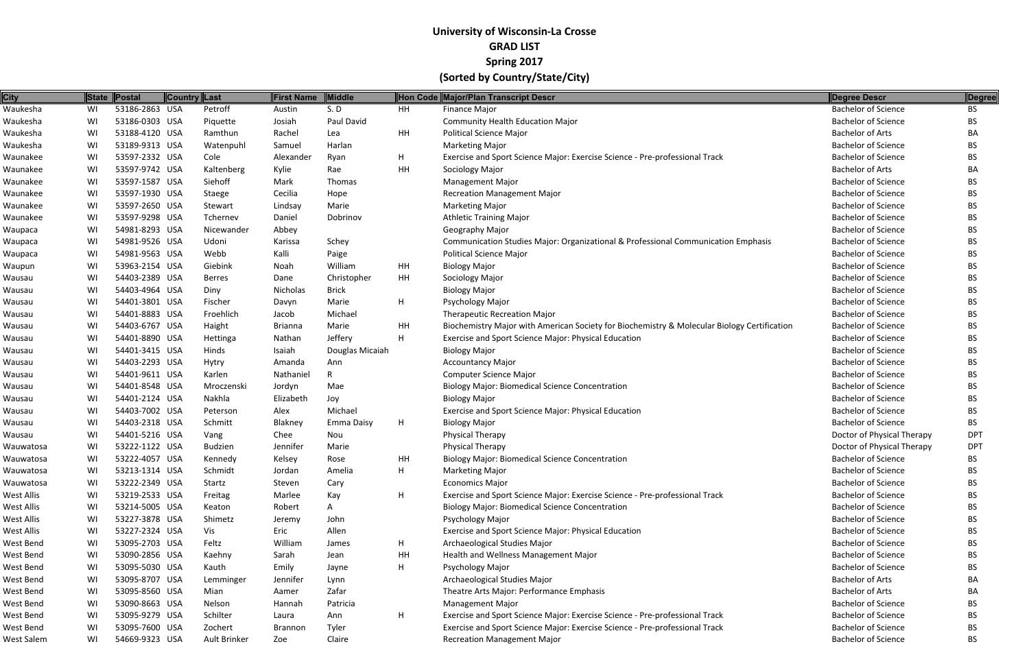| City       |    | State Postal   | Country Last |                | First Name     | <b>Middle</b>   |           | Hon Code Major/Plan Transcript Descr                                                        | Degree Descr               | Degree     |
|------------|----|----------------|--------------|----------------|----------------|-----------------|-----------|---------------------------------------------------------------------------------------------|----------------------------|------------|
| Waukesha   | WI | 53186-2863 USA |              | Petroff        | Austin         | S.D             | <b>HH</b> | Finance Major                                                                               | <b>Bachelor of Science</b> | <b>BS</b>  |
| Waukesha   | WI | 53186-0303 USA |              | Piquette       | Josiah         | Paul David      |           | <b>Community Health Education Major</b>                                                     | <b>Bachelor of Science</b> | BS.        |
| Waukesha   | WI | 53188-4120 USA |              | Ramthun        | Rachel         | Lea             | HH        | <b>Political Science Major</b>                                                              | <b>Bachelor of Arts</b>    | ВA         |
| Waukesha   | WI | 53189-9313 USA |              | Watenpuhl      | Samuel         | Harlan          |           | <b>Marketing Major</b>                                                                      | <b>Bachelor of Science</b> | BS.        |
| Waunakee   | WI | 53597-2332 USA |              | Cole           | Alexander      | Ryan            | H         | Exercise and Sport Science Major: Exercise Science - Pre-professional Track                 | <b>Bachelor of Science</b> | BS.        |
| Waunakee   | WI | 53597-9742 USA |              | Kaltenberg     | Kylie          | Rae             | HH        | Sociology Major                                                                             | <b>Bachelor of Arts</b>    | BA         |
| Waunakee   | WI | 53597-1587 USA |              | Siehoff        | Mark           | Thomas          |           | <b>Management Major</b>                                                                     | <b>Bachelor of Science</b> | BS.        |
| Waunakee   | WI | 53597-1930 USA |              | Staege         | Cecilia        | Hope            |           | <b>Recreation Management Major</b>                                                          | <b>Bachelor of Science</b> | BS.        |
| Waunakee   | WI | 53597-2650 USA |              | Stewart        | Lindsay        | Marie           |           | <b>Marketing Major</b>                                                                      | <b>Bachelor of Science</b> | <b>BS</b>  |
| Waunakee   | WI | 53597-9298 USA |              | Tchernev       | Daniel         | Dobrinov        |           | <b>Athletic Training Major</b>                                                              | <b>Bachelor of Science</b> | BS.        |
| Waupaca    | WI | 54981-8293 USA |              | Nicewander     | Abbey          |                 |           | Geography Major                                                                             | <b>Bachelor of Science</b> | <b>BS</b>  |
| Waupaca    | WI | 54981-9526 USA |              | Udoni          | Karissa        | Schey           |           | Communication Studies Major: Organizational & Professional Communication Emphasis           | <b>Bachelor of Science</b> | BS.        |
| Waupaca    | WI | 54981-9563 USA |              | Webb           | Kalli          | Paige           |           | <b>Political Science Major</b>                                                              | <b>Bachelor of Science</b> | BS.        |
| Waupun     | WI | 53963-2154 USA |              | Giebink        | Noah           | William         | HH        | <b>Biology Major</b>                                                                        | <b>Bachelor of Science</b> | <b>BS</b>  |
| Wausau     | WI | 54403-2389 USA |              | Berres         | Dane           | Christopher     | HH        | Sociology Major                                                                             | <b>Bachelor of Science</b> | BS.        |
| Wausau     | WI | 54403-4964 USA |              | Diny           | Nicholas       | <b>Brick</b>    |           | <b>Biology Major</b>                                                                        | <b>Bachelor of Science</b> | BS.        |
| Wausau     | WI | 54401-3801 USA |              | Fischer        | Davyn          | Marie           | Η.        | Psychology Major                                                                            | <b>Bachelor of Science</b> | BS.        |
| Wausau     | WI | 54401-8883 USA |              | Froehlich      | Jacob          | Michael         |           | <b>Therapeutic Recreation Major</b>                                                         | <b>Bachelor of Science</b> | BS.        |
| Wausau     | WI | 54403-6767 USA |              | Haight         | <b>Brianna</b> | Marie           | HН        | Biochemistry Major with American Society for Biochemistry & Molecular Biology Certification | <b>Bachelor of Science</b> | <b>BS</b>  |
| Wausau     | WI | 54401-8890 USA |              | Hettinga       | Nathan         | Jeffery         | Η.        | Exercise and Sport Science Major: Physical Education                                        | <b>Bachelor of Science</b> | BS.        |
| Wausau     | WI | 54401-3415 USA |              | Hinds          | Isaiah         | Douglas Micaiah |           | <b>Biology Major</b>                                                                        | <b>Bachelor of Science</b> | BS.        |
| Wausau     | WI | 54403-2293 USA |              | Hytry          | Amanda         | Ann             |           | <b>Accountancy Major</b>                                                                    | <b>Bachelor of Science</b> | <b>BS</b>  |
| Wausau     | WI | 54401-9611 USA |              | Karlen         | Nathaniel      |                 |           | Computer Science Major                                                                      | <b>Bachelor of Science</b> | BS.        |
| Wausau     | WI | 54401-8548 USA |              | Mroczenski     | Jordyn         | Mae             |           | <b>Biology Major: Biomedical Science Concentration</b>                                      | <b>Bachelor of Science</b> | <b>BS</b>  |
| Wausau     | WI | 54401-2124 USA |              | Nakhla         | Elizabeth      | Joy             |           | <b>Biology Major</b>                                                                        | <b>Bachelor of Science</b> | BS.        |
| Wausau     | WI | 54403-7002 USA |              | Peterson       | Alex           | Michael         |           | Exercise and Sport Science Major: Physical Education                                        | <b>Bachelor of Science</b> | BS.        |
| Wausau     | WI | 54403-2318 USA |              | Schmitt        | Blakney        | Emma Daisy      | H         | <b>Biology Major</b>                                                                        | <b>Bachelor of Science</b> | <b>BS</b>  |
| Wausau     | WI | 54401-5216 USA |              | Vang           | Chee           | Nou             |           | Physical Therapy                                                                            | Doctor of Physical Therapy | <b>DPT</b> |
| Wauwatosa  | WI | 53222-1122 USA |              | <b>Budzien</b> | Jennifer       | Marie           |           | <b>Physical Therapy</b>                                                                     | Doctor of Physical Therapy | <b>DPT</b> |
| Wauwatosa  | WI | 53222-4057 USA |              | Kennedy        | Kelsey         | Rose            | HH        | <b>Biology Major: Biomedical Science Concentration</b>                                      | <b>Bachelor of Science</b> | <b>BS</b>  |
| Wauwatosa  | WI | 53213-1314 USA |              | Schmidt        | Jordan         | Amelia          | н         | <b>Marketing Major</b>                                                                      | <b>Bachelor of Science</b> | <b>BS</b>  |
| Wauwatosa  | WI | 53222-2349 USA |              | Startz         | Steven         | Cary            |           | <b>Economics Major</b>                                                                      | <b>Bachelor of Science</b> | BS.        |
| West Allis | WI | 53219-2533 USA |              | Freitag        | Marlee         | Kay             | H         | Exercise and Sport Science Major: Exercise Science - Pre-professional Track                 | <b>Bachelor of Science</b> | BS.        |
| West Allis | WI | 53214-5005 USA |              | Keaton         | Robert         | A               |           | <b>Biology Major: Biomedical Science Concentration</b>                                      | <b>Bachelor of Science</b> | BS.        |
| West Allis | WI | 53227-3878 USA |              | Shimetz        | Jeremy         | John            |           | Psychology Major                                                                            | <b>Bachelor of Science</b> | <b>BS</b>  |
| West Allis | WI | 53227-2324 USA |              | Vis            | Eric           | Allen           |           | Exercise and Sport Science Major: Physical Education                                        | <b>Bachelor of Science</b> | BS.        |
| West Bend  | WI | 53095-2703 USA |              | Feltz          | William        | James           | H         | Archaeological Studies Major                                                                | <b>Bachelor of Science</b> | <b>BS</b>  |
| West Bend  | WI | 53090-2856 USA |              | Kaehny         | Sarah          | Jean            | HH        | Health and Wellness Management Major                                                        | <b>Bachelor of Science</b> | BS.        |
| West Bend  | WI | 53095-5030 USA |              | Kauth          | Emily          | Jayne           | H         | Psychology Major                                                                            | <b>Bachelor of Science</b> | BS.        |
| West Bend  | WI | 53095-8707 USA |              | Lemminger      | Jennifer       | Lynn            |           | Archaeological Studies Major                                                                | <b>Bachelor of Arts</b>    | BA         |
| West Bend  | WI | 53095-8560 USA |              | Mian           | Aamer          | Zafar           |           | Theatre Arts Major: Performance Emphasis                                                    | <b>Bachelor of Arts</b>    | BA         |
| West Bend  | WI | 53090-8663 USA |              | Nelson         | Hannah         | Patricia        |           | <b>Management Major</b>                                                                     | <b>Bachelor of Science</b> | BS.        |
| West Bend  | WI | 53095-9279 USA |              | Schilter       | Laura          | Ann             | H         | Exercise and Sport Science Major: Exercise Science - Pre-professional Track                 | <b>Bachelor of Science</b> | BS.        |
| West Bend  | WI | 53095-7600 USA |              | Zochert        | <b>Brannon</b> | Tyler           |           | Exercise and Sport Science Major: Exercise Science - Pre-professional Track                 | <b>Bachelor of Science</b> | BS.        |
| West Salem | WI | 54669-9323 USA |              | Ault Brinker   | Zoe            | Claire          |           | <b>Recreation Management Major</b>                                                          | <b>Bachelor of Science</b> | <b>BS</b>  |